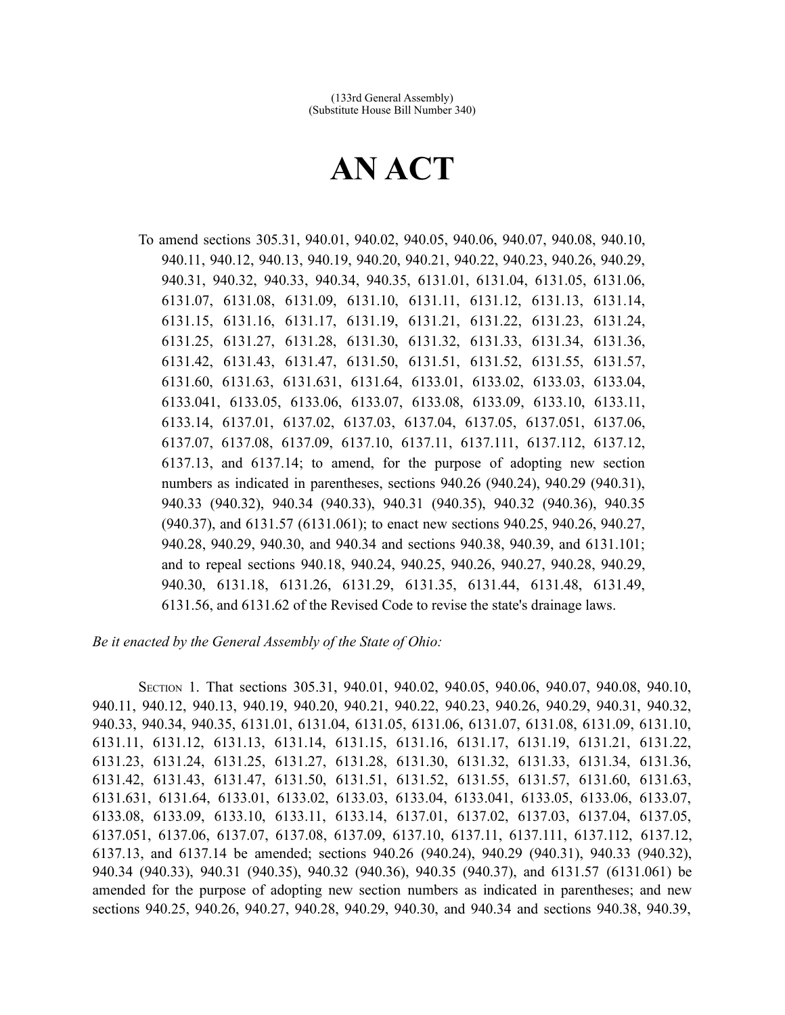## **AN ACT**

To amend sections 305.31, 940.01, 940.02, 940.05, 940.06, 940.07, 940.08, 940.10, 940.11, 940.12, 940.13, 940.19, 940.20, 940.21, 940.22, 940.23, 940.26, 940.29, 940.31, 940.32, 940.33, 940.34, 940.35, 6131.01, 6131.04, 6131.05, 6131.06, 6131.07, 6131.08, 6131.09, 6131.10, 6131.11, 6131.12, 6131.13, 6131.14, 6131.15, 6131.16, 6131.17, 6131.19, 6131.21, 6131.22, 6131.23, 6131.24, 6131.25, 6131.27, 6131.28, 6131.30, 6131.32, 6131.33, 6131.34, 6131.36, 6131.42, 6131.43, 6131.47, 6131.50, 6131.51, 6131.52, 6131.55, 6131.57, 6131.60, 6131.63, 6131.631, 6131.64, 6133.01, 6133.02, 6133.03, 6133.04, 6133.041, 6133.05, 6133.06, 6133.07, 6133.08, 6133.09, 6133.10, 6133.11, 6133.14, 6137.01, 6137.02, 6137.03, 6137.04, 6137.05, 6137.051, 6137.06, 6137.07, 6137.08, 6137.09, 6137.10, 6137.11, 6137.111, 6137.112, 6137.12, 6137.13, and 6137.14; to amend, for the purpose of adopting new section numbers as indicated in parentheses, sections 940.26 (940.24), 940.29 (940.31), 940.33 (940.32), 940.34 (940.33), 940.31 (940.35), 940.32 (940.36), 940.35 (940.37), and 6131.57 (6131.061); to enact new sections 940.25, 940.26, 940.27, 940.28, 940.29, 940.30, and 940.34 and sections 940.38, 940.39, and 6131.101; and to repeal sections 940.18, 940.24, 940.25, 940.26, 940.27, 940.28, 940.29, 940.30, 6131.18, 6131.26, 6131.29, 6131.35, 6131.44, 6131.48, 6131.49, 6131.56, and 6131.62 of the Revised Code to revise the state's drainage laws.

## *Be it enacted by the General Assembly of the State of Ohio:*

SECTION 1. That sections 305.31, 940.01, 940.02, 940.05, 940.06, 940.07, 940.08, 940.10, 940.11, 940.12, 940.13, 940.19, 940.20, 940.21, 940.22, 940.23, 940.26, 940.29, 940.31, 940.32, 940.33, 940.34, 940.35, 6131.01, 6131.04, 6131.05, 6131.06, 6131.07, 6131.08, 6131.09, 6131.10, 6131.11, 6131.12, 6131.13, 6131.14, 6131.15, 6131.16, 6131.17, 6131.19, 6131.21, 6131.22, 6131.23, 6131.24, 6131.25, 6131.27, 6131.28, 6131.30, 6131.32, 6131.33, 6131.34, 6131.36, 6131.42, 6131.43, 6131.47, 6131.50, 6131.51, 6131.52, 6131.55, 6131.57, 6131.60, 6131.63, 6131.631, 6131.64, 6133.01, 6133.02, 6133.03, 6133.04, 6133.041, 6133.05, 6133.06, 6133.07, 6133.08, 6133.09, 6133.10, 6133.11, 6133.14, 6137.01, 6137.02, 6137.03, 6137.04, 6137.05, 6137.051, 6137.06, 6137.07, 6137.08, 6137.09, 6137.10, 6137.11, 6137.111, 6137.112, 6137.12, 6137.13, and 6137.14 be amended; sections 940.26 (940.24), 940.29 (940.31), 940.33 (940.32), 940.34 (940.33), 940.31 (940.35), 940.32 (940.36), 940.35 (940.37), and 6131.57 (6131.061) be amended for the purpose of adopting new section numbers as indicated in parentheses; and new sections 940.25, 940.26, 940.27, 940.28, 940.29, 940.30, and 940.34 and sections 940.38, 940.39,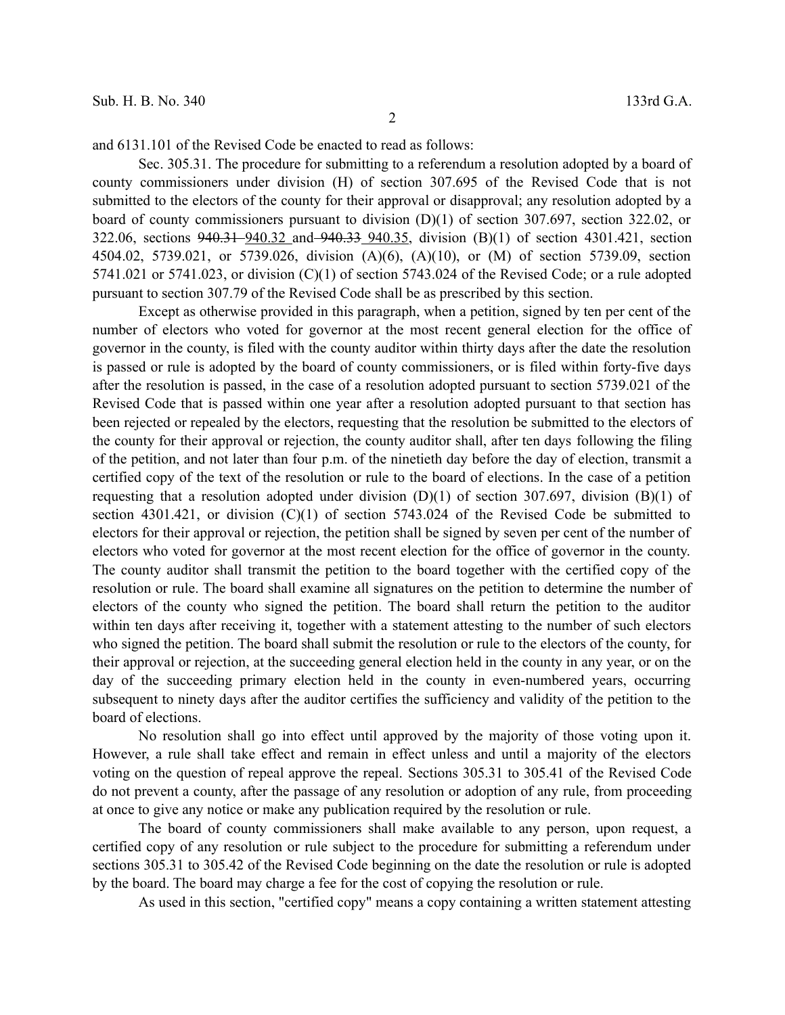and 6131.101 of the Revised Code be enacted to read as follows:

Sec. 305.31. The procedure for submitting to a referendum a resolution adopted by a board of county commissioners under division (H) of section 307.695 of the Revised Code that is not submitted to the electors of the county for their approval or disapproval; any resolution adopted by a board of county commissioners pursuant to division (D)(1) of section 307.697, section 322.02, or 322.06, sections 940.31 940.32 and 940.33 940.35, division (B)(1) of section 4301.421, section 4504.02, 5739.021, or 5739.026, division (A)(6), (A)(10), or (M) of section 5739.09, section 5741.021 or 5741.023, or division (C)(1) of section 5743.024 of the Revised Code; or a rule adopted pursuant to section 307.79 of the Revised Code shall be as prescribed by this section.

Except as otherwise provided in this paragraph, when a petition, signed by ten per cent of the number of electors who voted for governor at the most recent general election for the office of governor in the county, is filed with the county auditor within thirty days after the date the resolution is passed or rule is adopted by the board of county commissioners, or is filed within forty-five days after the resolution is passed, in the case of a resolution adopted pursuant to section 5739.021 of the Revised Code that is passed within one year after a resolution adopted pursuant to that section has been rejected or repealed by the electors, requesting that the resolution be submitted to the electors of the county for their approval or rejection, the county auditor shall, after ten days following the filing of the petition, and not later than four p.m. of the ninetieth day before the day of election, transmit a certified copy of the text of the resolution or rule to the board of elections. In the case of a petition requesting that a resolution adopted under division  $(D)(1)$  of section 307.697, division  $(B)(1)$  of section 4301.421, or division (C)(1) of section 5743.024 of the Revised Code be submitted to electors for their approval or rejection, the petition shall be signed by seven per cent of the number of electors who voted for governor at the most recent election for the office of governor in the county. The county auditor shall transmit the petition to the board together with the certified copy of the resolution or rule. The board shall examine all signatures on the petition to determine the number of electors of the county who signed the petition. The board shall return the petition to the auditor within ten days after receiving it, together with a statement attesting to the number of such electors who signed the petition. The board shall submit the resolution or rule to the electors of the county, for their approval or rejection, at the succeeding general election held in the county in any year, or on the day of the succeeding primary election held in the county in even-numbered years, occurring subsequent to ninety days after the auditor certifies the sufficiency and validity of the petition to the board of elections.

No resolution shall go into effect until approved by the majority of those voting upon it. However, a rule shall take effect and remain in effect unless and until a majority of the electors voting on the question of repeal approve the repeal. Sections 305.31 to 305.41 of the Revised Code do not prevent a county, after the passage of any resolution or adoption of any rule, from proceeding at once to give any notice or make any publication required by the resolution or rule.

The board of county commissioners shall make available to any person, upon request, a certified copy of any resolution or rule subject to the procedure for submitting a referendum under sections 305.31 to 305.42 of the Revised Code beginning on the date the resolution or rule is adopted by the board. The board may charge a fee for the cost of copying the resolution or rule.

As used in this section, "certified copy" means a copy containing a written statement attesting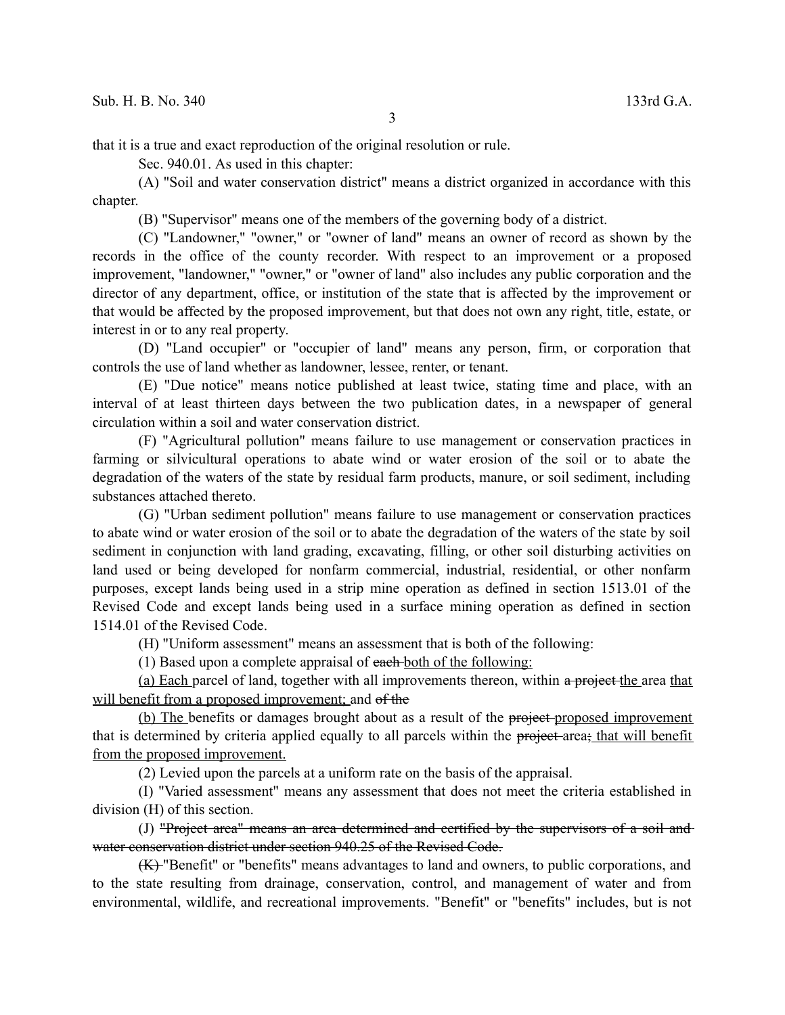that it is a true and exact reproduction of the original resolution or rule.

Sec. 940.01. As used in this chapter:

(A) "Soil and water conservation district" means a district organized in accordance with this chapter.

(B) "Supervisor" means one of the members of the governing body of a district.

(C) "Landowner," "owner," or "owner of land" means an owner of record as shown by the records in the office of the county recorder. With respect to an improvement or a proposed improvement, "landowner," "owner," or "owner of land" also includes any public corporation and the director of any department, office, or institution of the state that is affected by the improvement or that would be affected by the proposed improvement, but that does not own any right, title, estate, or interest in or to any real property.

(D) "Land occupier" or "occupier of land" means any person, firm, or corporation that controls the use of land whether as landowner, lessee, renter, or tenant.

(E) "Due notice" means notice published at least twice, stating time and place, with an interval of at least thirteen days between the two publication dates, in a newspaper of general circulation within a soil and water conservation district.

(F) "Agricultural pollution" means failure to use management or conservation practices in farming or silvicultural operations to abate wind or water erosion of the soil or to abate the degradation of the waters of the state by residual farm products, manure, or soil sediment, including substances attached thereto.

(G) "Urban sediment pollution" means failure to use management or conservation practices to abate wind or water erosion of the soil or to abate the degradation of the waters of the state by soil sediment in conjunction with land grading, excavating, filling, or other soil disturbing activities on land used or being developed for nonfarm commercial, industrial, residential, or other nonfarm purposes, except lands being used in a strip mine operation as defined in section 1513.01 of the Revised Code and except lands being used in a surface mining operation as defined in section 1514.01 of the Revised Code.

(H) "Uniform assessment" means an assessment that is both of the following:

(1) Based upon a complete appraisal of each both of the following:

(a) Each parcel of land, together with all improvements thereon, within a project-the area that will benefit from a proposed improvement; and of the

(b) The benefits or damages brought about as a result of the project-proposed improvement that is determined by criteria applied equally to all parcels within the project area; that will benefit from the proposed improvement.

(2) Levied upon the parcels at a uniform rate on the basis of the appraisal.

(I) "Varied assessment" means any assessment that does not meet the criteria established in division (H) of this section.

(J) "Project area" means an area determined and certified by the supervisors of a soil and water conservation district under section 940.25 of the Revised Code.

(K) "Benefit" or "benefits" means advantages to land and owners, to public corporations, and to the state resulting from drainage, conservation, control, and management of water and from environmental, wildlife, and recreational improvements. "Benefit" or "benefits" includes, but is not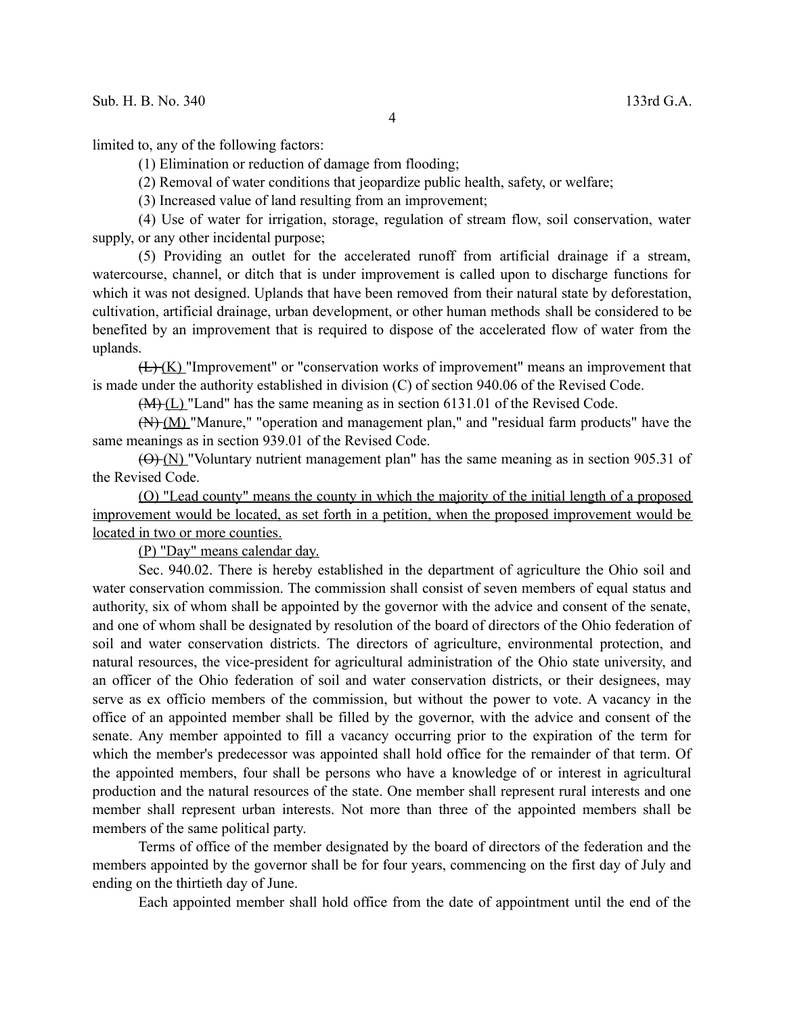limited to, any of the following factors:

(1) Elimination or reduction of damage from flooding;

(2) Removal of water conditions that jeopardize public health, safety, or welfare;

(3) Increased value of land resulting from an improvement;

(4) Use of water for irrigation, storage, regulation of stream flow, soil conservation, water supply, or any other incidental purpose;

(5) Providing an outlet for the accelerated runoff from artificial drainage if a stream, watercourse, channel, or ditch that is under improvement is called upon to discharge functions for which it was not designed. Uplands that have been removed from their natural state by deforestation, cultivation, artificial drainage, urban development, or other human methods shall be considered to be benefited by an improvement that is required to dispose of the accelerated flow of water from the uplands.

 $(L)$  (K) "Improvement" or "conservation works of improvement" means an improvement that is made under the authority established in division (C) of section 940.06 of the Revised Code.

(M) (L) "Land" has the same meaning as in section 6131.01 of the Revised Code.

(N) (M) "Manure," "operation and management plan," and "residual farm products" have the same meanings as in section 939.01 of the Revised Code.

 $(\Theta)$  (N) "Voluntary nutrient management plan" has the same meaning as in section 905.31 of the Revised Code.

(O) "Lead county" means the county in which the majority of the initial length of a proposed improvement would be located, as set forth in a petition, when the proposed improvement would be located in two or more counties.

(P) "Day" means calendar day.

Sec. 940.02. There is hereby established in the department of agriculture the Ohio soil and water conservation commission. The commission shall consist of seven members of equal status and authority, six of whom shall be appointed by the governor with the advice and consent of the senate, and one of whom shall be designated by resolution of the board of directors of the Ohio federation of soil and water conservation districts. The directors of agriculture, environmental protection, and natural resources, the vice-president for agricultural administration of the Ohio state university, and an officer of the Ohio federation of soil and water conservation districts, or their designees, may serve as ex officio members of the commission, but without the power to vote. A vacancy in the office of an appointed member shall be filled by the governor, with the advice and consent of the senate. Any member appointed to fill a vacancy occurring prior to the expiration of the term for which the member's predecessor was appointed shall hold office for the remainder of that term. Of the appointed members, four shall be persons who have a knowledge of or interest in agricultural production and the natural resources of the state. One member shall represent rural interests and one member shall represent urban interests. Not more than three of the appointed members shall be members of the same political party.

Terms of office of the member designated by the board of directors of the federation and the members appointed by the governor shall be for four years, commencing on the first day of July and ending on the thirtieth day of June.

Each appointed member shall hold office from the date of appointment until the end of the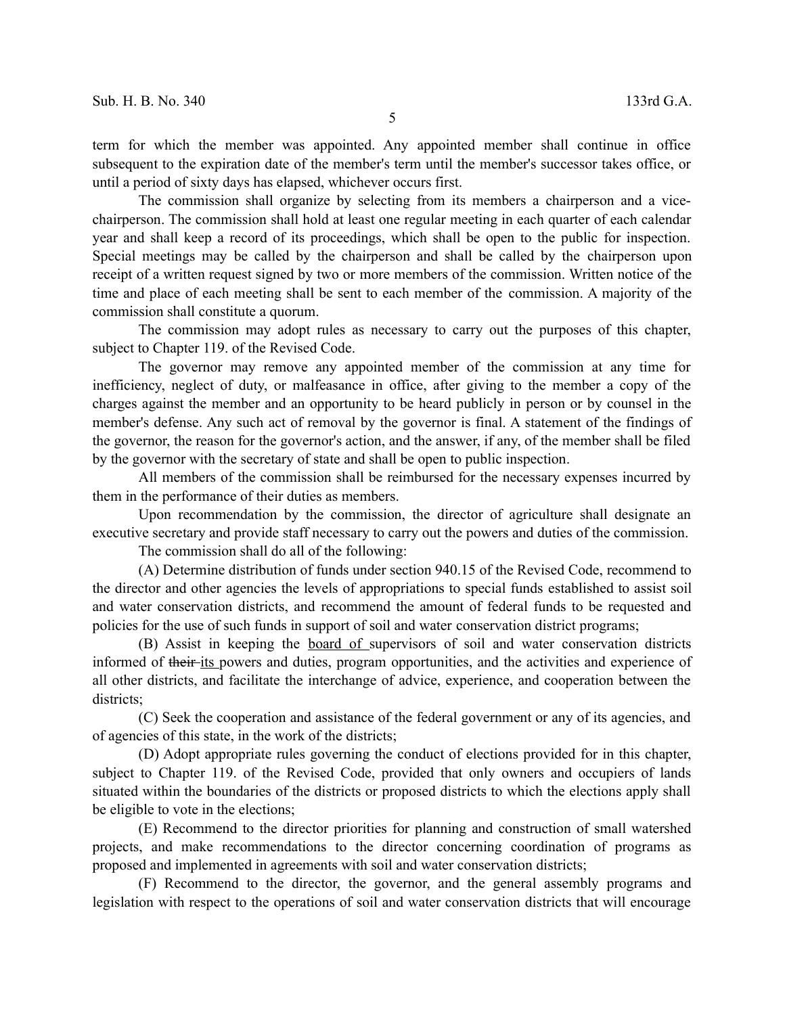The commission shall organize by selecting from its members a chairperson and a vicechairperson. The commission shall hold at least one regular meeting in each quarter of each calendar year and shall keep a record of its proceedings, which shall be open to the public for inspection. Special meetings may be called by the chairperson and shall be called by the chairperson upon receipt of a written request signed by two or more members of the commission. Written notice of the time and place of each meeting shall be sent to each member of the commission. A majority of the commission shall constitute a quorum.

The commission may adopt rules as necessary to carry out the purposes of this chapter, subject to Chapter 119. of the Revised Code.

The governor may remove any appointed member of the commission at any time for inefficiency, neglect of duty, or malfeasance in office, after giving to the member a copy of the charges against the member and an opportunity to be heard publicly in person or by counsel in the member's defense. Any such act of removal by the governor is final. A statement of the findings of the governor, the reason for the governor's action, and the answer, if any, of the member shall be filed by the governor with the secretary of state and shall be open to public inspection.

All members of the commission shall be reimbursed for the necessary expenses incurred by them in the performance of their duties as members.

Upon recommendation by the commission, the director of agriculture shall designate an executive secretary and provide staff necessary to carry out the powers and duties of the commission.

The commission shall do all of the following:

(A) Determine distribution of funds under section 940.15 of the Revised Code, recommend to the director and other agencies the levels of appropriations to special funds established to assist soil and water conservation districts, and recommend the amount of federal funds to be requested and policies for the use of such funds in support of soil and water conservation district programs;

(B) Assist in keeping the board of supervisors of soil and water conservation districts informed of their its powers and duties, program opportunities, and the activities and experience of all other districts, and facilitate the interchange of advice, experience, and cooperation between the districts;

(C) Seek the cooperation and assistance of the federal government or any of its agencies, and of agencies of this state, in the work of the districts;

(D) Adopt appropriate rules governing the conduct of elections provided for in this chapter, subject to Chapter 119. of the Revised Code, provided that only owners and occupiers of lands situated within the boundaries of the districts or proposed districts to which the elections apply shall be eligible to vote in the elections;

(E) Recommend to the director priorities for planning and construction of small watershed projects, and make recommendations to the director concerning coordination of programs as proposed and implemented in agreements with soil and water conservation districts;

(F) Recommend to the director, the governor, and the general assembly programs and legislation with respect to the operations of soil and water conservation districts that will encourage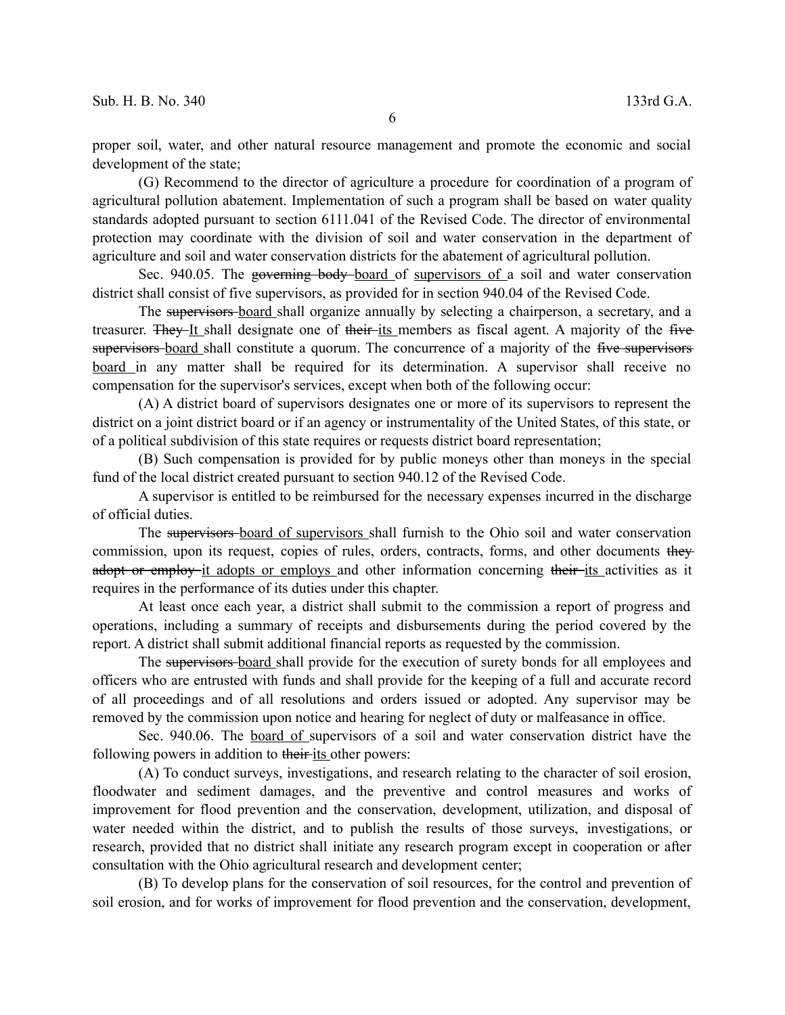proper soil, water, and other natural resource management and promote the economic and social development of the state;

(G) Recommend to the director of agriculture a procedure for coordination of a program of agricultural pollution abatement. Implementation of such a program shall be based on water quality standards adopted pursuant to section 6111.041 of the Revised Code. The director of environmental protection may coordinate with the division of soil and water conservation in the department of agriculture and soil and water conservation districts for the abatement of agricultural pollution.

Sec. 940.05. The governing body-board of supervisors of a soil and water conservation district shall consist of five supervisors, as provided for in section 940.04 of the Revised Code.

The supervisors-board shall organize annually by selecting a chairperson, a secretary, and a treasurer. They It shall designate one of their its members as fiscal agent. A majority of the five supervisors board shall constitute a quorum. The concurrence of a majority of the five supervisors board in any matter shall be required for its determination. A supervisor shall receive no compensation for the supervisor's services, except when both of the following occur:

(A) A district board of supervisors designates one or more of its supervisors to represent the district on a joint district board or if an agency or instrumentality of the United States, of this state, or of a political subdivision of this state requires or requests district board representation;

(B) Such compensation is provided for by public moneys other than moneys in the special fund of the local district created pursuant to section 940.12 of the Revised Code.

A supervisor is entitled to be reimbursed for the necessary expenses incurred in the discharge of official duties.

The supervisors board of supervisors shall furnish to the Ohio soil and water conservation commission, upon its request, copies of rules, orders, contracts, forms, and other documents they adopt or employ it adopts or employs and other information concerning their-its activities as it requires in the performance of its duties under this chapter.

At least once each year, a district shall submit to the commission a report of progress and operations, including a summary of receipts and disbursements during the period covered by the report. A district shall submit additional financial reports as requested by the commission.

The supervisors board shall provide for the execution of surety bonds for all employees and officers who are entrusted with funds and shall provide for the keeping of a full and accurate record of all proceedings and of all resolutions and orders issued or adopted. Any supervisor may be removed by the commission upon notice and hearing for neglect of duty or malfeasance in office.

Sec. 940.06. The board of supervisors of a soil and water conservation district have the following powers in addition to their-its other powers:

(A) To conduct surveys, investigations, and research relating to the character of soil erosion, floodwater and sediment damages, and the preventive and control measures and works of improvement for flood prevention and the conservation, development, utilization, and disposal of water needed within the district, and to publish the results of those surveys, investigations, or research, provided that no district shall initiate any research program except in cooperation or after consultation with the Ohio agricultural research and development center;

(B) To develop plans for the conservation of soil resources, for the control and prevention of soil erosion, and for works of improvement for flood prevention and the conservation, development,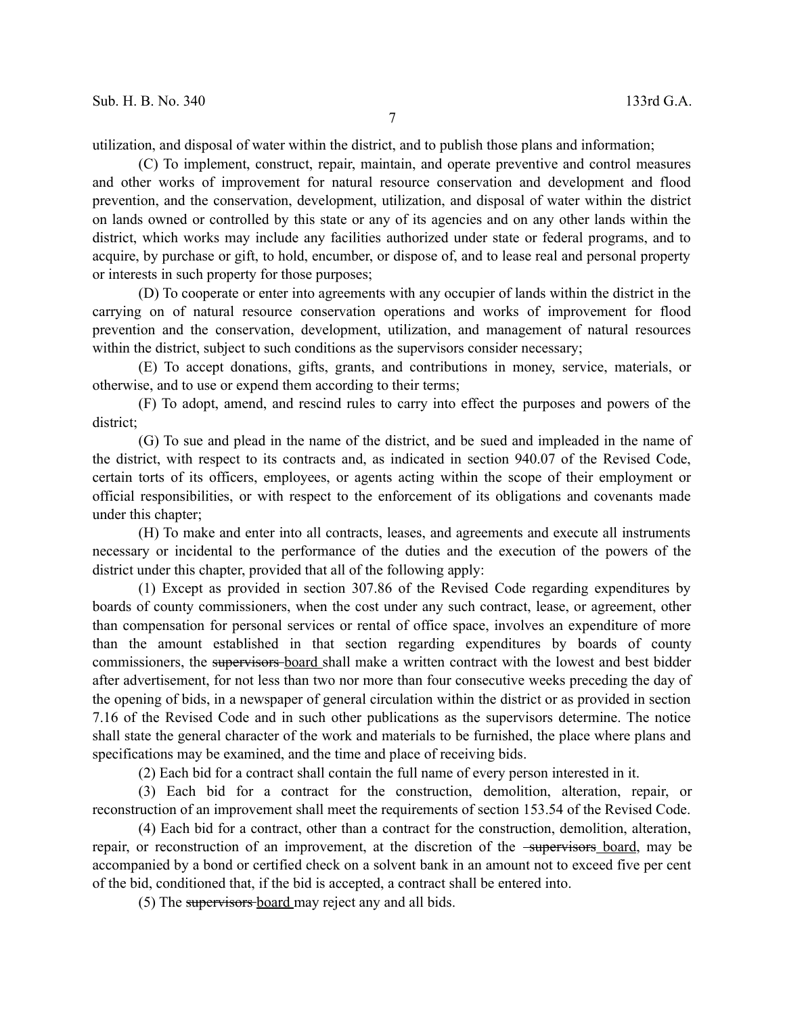7

utilization, and disposal of water within the district, and to publish those plans and information;

(C) To implement, construct, repair, maintain, and operate preventive and control measures and other works of improvement for natural resource conservation and development and flood prevention, and the conservation, development, utilization, and disposal of water within the district on lands owned or controlled by this state or any of its agencies and on any other lands within the district, which works may include any facilities authorized under state or federal programs, and to acquire, by purchase or gift, to hold, encumber, or dispose of, and to lease real and personal property or interests in such property for those purposes;

(D) To cooperate or enter into agreements with any occupier of lands within the district in the carrying on of natural resource conservation operations and works of improvement for flood prevention and the conservation, development, utilization, and management of natural resources within the district, subject to such conditions as the supervisors consider necessary;

(E) To accept donations, gifts, grants, and contributions in money, service, materials, or otherwise, and to use or expend them according to their terms;

(F) To adopt, amend, and rescind rules to carry into effect the purposes and powers of the district;

(G) To sue and plead in the name of the district, and be sued and impleaded in the name of the district, with respect to its contracts and, as indicated in section 940.07 of the Revised Code, certain torts of its officers, employees, or agents acting within the scope of their employment or official responsibilities, or with respect to the enforcement of its obligations and covenants made under this chapter;

(H) To make and enter into all contracts, leases, and agreements and execute all instruments necessary or incidental to the performance of the duties and the execution of the powers of the district under this chapter, provided that all of the following apply:

(1) Except as provided in section 307.86 of the Revised Code regarding expenditures by boards of county commissioners, when the cost under any such contract, lease, or agreement, other than compensation for personal services or rental of office space, involves an expenditure of more than the amount established in that section regarding expenditures by boards of county commissioners, the supervisors board shall make a written contract with the lowest and best bidder after advertisement, for not less than two nor more than four consecutive weeks preceding the day of the opening of bids, in a newspaper of general circulation within the district or as provided in section 7.16 of the Revised Code and in such other publications as the supervisors determine. The notice shall state the general character of the work and materials to be furnished, the place where plans and specifications may be examined, and the time and place of receiving bids.

(2) Each bid for a contract shall contain the full name of every person interested in it.

(3) Each bid for a contract for the construction, demolition, alteration, repair, or reconstruction of an improvement shall meet the requirements of section 153.54 of the Revised Code.

(4) Each bid for a contract, other than a contract for the construction, demolition, alteration, repair, or reconstruction of an improvement, at the discretion of the <del>supervisors</del> board, may be accompanied by a bond or certified check on a solvent bank in an amount not to exceed five per cent of the bid, conditioned that, if the bid is accepted, a contract shall be entered into.

(5) The supervisors board may reject any and all bids.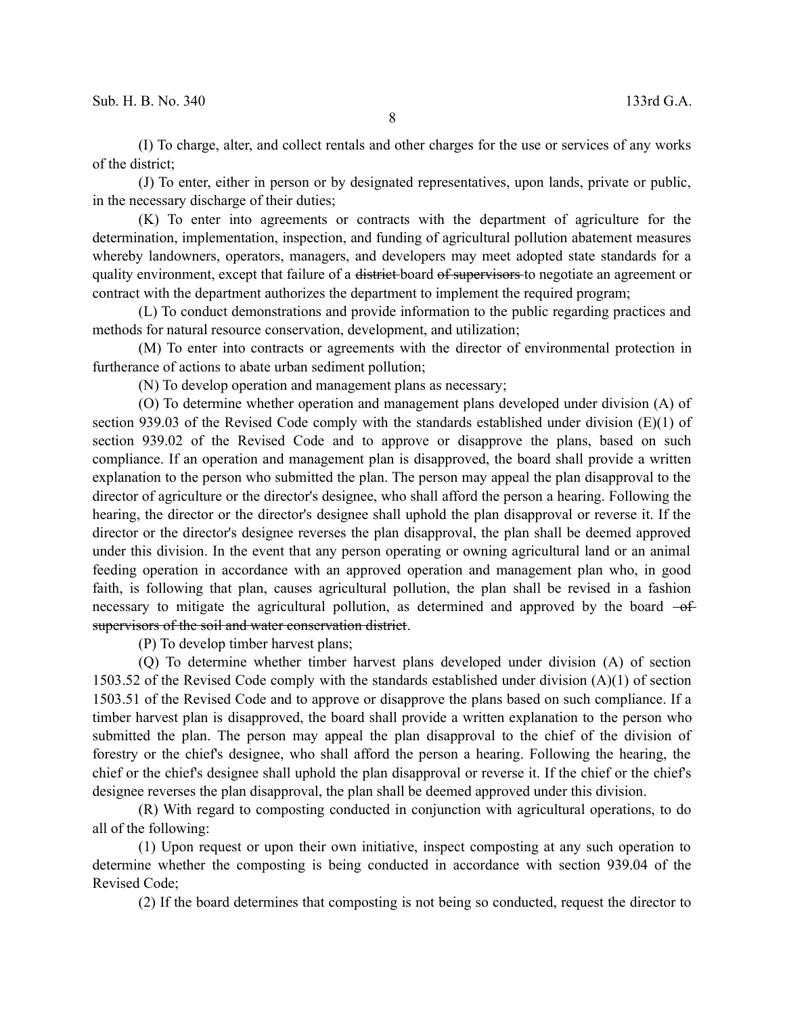(I) To charge, alter, and collect rentals and other charges for the use or services of any works of the district;

(J) To enter, either in person or by designated representatives, upon lands, private or public, in the necessary discharge of their duties;

(K) To enter into agreements or contracts with the department of agriculture for the determination, implementation, inspection, and funding of agricultural pollution abatement measures whereby landowners, operators, managers, and developers may meet adopted state standards for a quality environment, except that failure of a district board of supervisors to negotiate an agreement or contract with the department authorizes the department to implement the required program;

(L) To conduct demonstrations and provide information to the public regarding practices and methods for natural resource conservation, development, and utilization;

(M) To enter into contracts or agreements with the director of environmental protection in furtherance of actions to abate urban sediment pollution;

(N) To develop operation and management plans as necessary;

(O) To determine whether operation and management plans developed under division (A) of section 939.03 of the Revised Code comply with the standards established under division (E)(1) of section 939.02 of the Revised Code and to approve or disapprove the plans, based on such compliance. If an operation and management plan is disapproved, the board shall provide a written explanation to the person who submitted the plan. The person may appeal the plan disapproval to the director of agriculture or the director's designee, who shall afford the person a hearing. Following the hearing, the director or the director's designee shall uphold the plan disapproval or reverse it. If the director or the director's designee reverses the plan disapproval, the plan shall be deemed approved under this division. In the event that any person operating or owning agricultural land or an animal feeding operation in accordance with an approved operation and management plan who, in good faith, is following that plan, causes agricultural pollution, the plan shall be revised in a fashion necessary to mitigate the agricultural pollution, as determined and approved by the board  $-ef$ supervisors of the soil and water conservation district.

(P) To develop timber harvest plans;

(Q) To determine whether timber harvest plans developed under division (A) of section 1503.52 of the Revised Code comply with the standards established under division (A)(1) of section 1503.51 of the Revised Code and to approve or disapprove the plans based on such compliance. If a timber harvest plan is disapproved, the board shall provide a written explanation to the person who submitted the plan. The person may appeal the plan disapproval to the chief of the division of forestry or the chief's designee, who shall afford the person a hearing. Following the hearing, the chief or the chief's designee shall uphold the plan disapproval or reverse it. If the chief or the chief's designee reverses the plan disapproval, the plan shall be deemed approved under this division.

(R) With regard to composting conducted in conjunction with agricultural operations, to do all of the following:

(1) Upon request or upon their own initiative, inspect composting at any such operation to determine whether the composting is being conducted in accordance with section 939.04 of the Revised Code;

(2) If the board determines that composting is not being so conducted, request the director to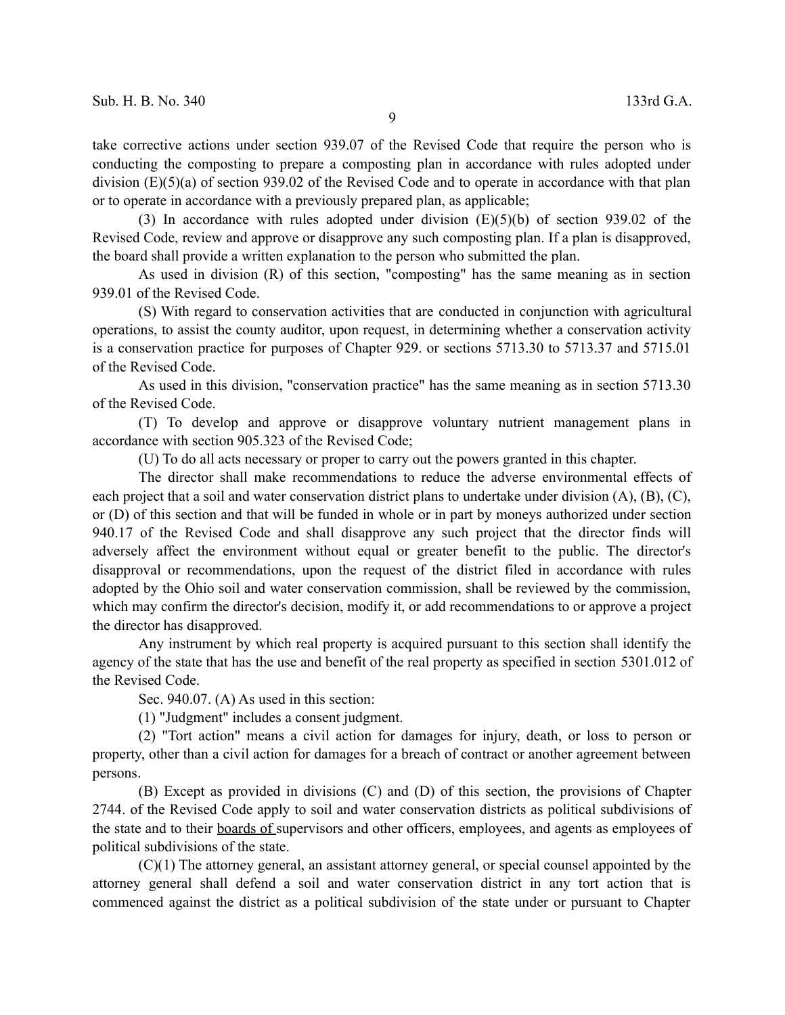take corrective actions under section 939.07 of the Revised Code that require the person who is conducting the composting to prepare a composting plan in accordance with rules adopted under division (E)(5)(a) of section 939.02 of the Revised Code and to operate in accordance with that plan or to operate in accordance with a previously prepared plan, as applicable;

(3) In accordance with rules adopted under division (E)(5)(b) of section 939.02 of the Revised Code, review and approve or disapprove any such composting plan. If a plan is disapproved, the board shall provide a written explanation to the person who submitted the plan.

As used in division (R) of this section, "composting" has the same meaning as in section 939.01 of the Revised Code.

(S) With regard to conservation activities that are conducted in conjunction with agricultural operations, to assist the county auditor, upon request, in determining whether a conservation activity is a conservation practice for purposes of Chapter 929. or sections 5713.30 to 5713.37 and 5715.01 of the Revised Code.

As used in this division, "conservation practice" has the same meaning as in section 5713.30 of the Revised Code.

(T) To develop and approve or disapprove voluntary nutrient management plans in accordance with section 905.323 of the Revised Code;

(U) To do all acts necessary or proper to carry out the powers granted in this chapter.

The director shall make recommendations to reduce the adverse environmental effects of each project that a soil and water conservation district plans to undertake under division (A), (B), (C), or (D) of this section and that will be funded in whole or in part by moneys authorized under section 940.17 of the Revised Code and shall disapprove any such project that the director finds will adversely affect the environment without equal or greater benefit to the public. The director's disapproval or recommendations, upon the request of the district filed in accordance with rules adopted by the Ohio soil and water conservation commission, shall be reviewed by the commission, which may confirm the director's decision, modify it, or add recommendations to or approve a project the director has disapproved.

Any instrument by which real property is acquired pursuant to this section shall identify the agency of the state that has the use and benefit of the real property as specified in section 5301.012 of the Revised Code.

Sec. 940.07. (A) As used in this section:

(1) "Judgment" includes a consent judgment.

(2) "Tort action" means a civil action for damages for injury, death, or loss to person or property, other than a civil action for damages for a breach of contract or another agreement between persons.

(B) Except as provided in divisions (C) and (D) of this section, the provisions of Chapter 2744. of the Revised Code apply to soil and water conservation districts as political subdivisions of the state and to their boards of supervisors and other officers, employees, and agents as employees of political subdivisions of the state.

(C)(1) The attorney general, an assistant attorney general, or special counsel appointed by the attorney general shall defend a soil and water conservation district in any tort action that is commenced against the district as a political subdivision of the state under or pursuant to Chapter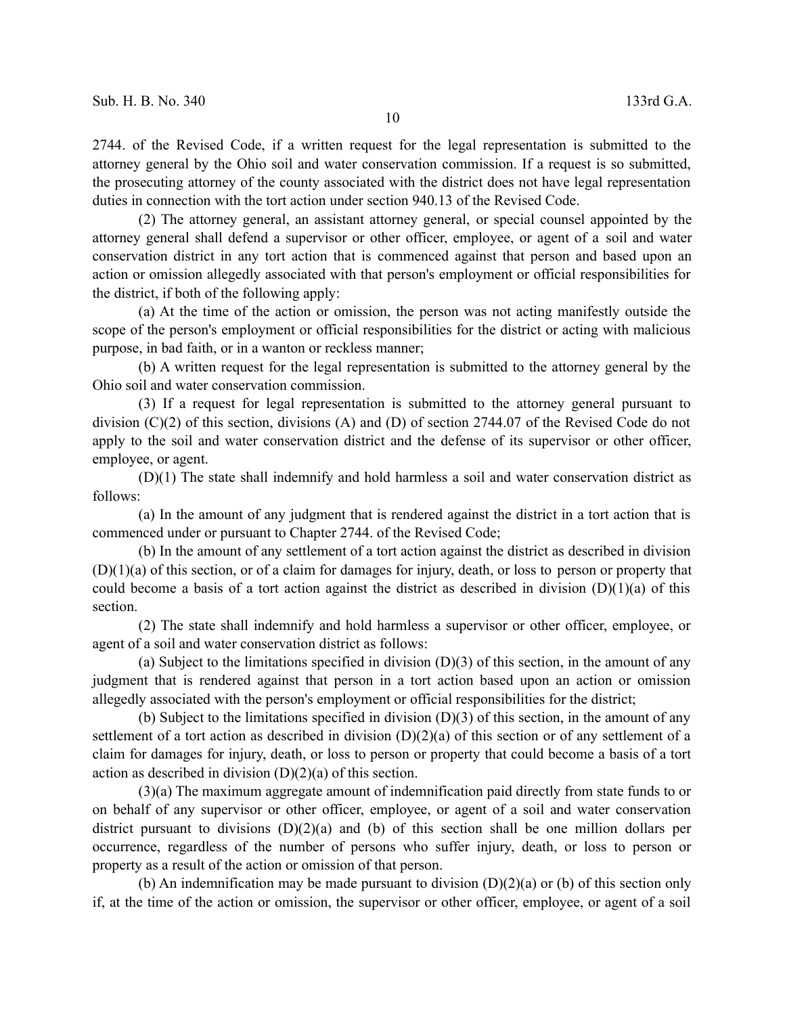2744. of the Revised Code, if a written request for the legal representation is submitted to the attorney general by the Ohio soil and water conservation commission. If a request is so submitted, the prosecuting attorney of the county associated with the district does not have legal representation duties in connection with the tort action under section 940.13 of the Revised Code.

(2) The attorney general, an assistant attorney general, or special counsel appointed by the attorney general shall defend a supervisor or other officer, employee, or agent of a soil and water conservation district in any tort action that is commenced against that person and based upon an action or omission allegedly associated with that person's employment or official responsibilities for the district, if both of the following apply:

(a) At the time of the action or omission, the person was not acting manifestly outside the scope of the person's employment or official responsibilities for the district or acting with malicious purpose, in bad faith, or in a wanton or reckless manner;

(b) A written request for the legal representation is submitted to the attorney general by the Ohio soil and water conservation commission.

(3) If a request for legal representation is submitted to the attorney general pursuant to division (C)(2) of this section, divisions (A) and (D) of section 2744.07 of the Revised Code do not apply to the soil and water conservation district and the defense of its supervisor or other officer, employee, or agent.

(D)(1) The state shall indemnify and hold harmless a soil and water conservation district as follows:

(a) In the amount of any judgment that is rendered against the district in a tort action that is commenced under or pursuant to Chapter 2744. of the Revised Code;

(b) In the amount of any settlement of a tort action against the district as described in division (D)(1)(a) of this section, or of a claim for damages for injury, death, or loss to person or property that could become a basis of a tort action against the district as described in division  $(D)(1)(a)$  of this section.

(2) The state shall indemnify and hold harmless a supervisor or other officer, employee, or agent of a soil and water conservation district as follows:

(a) Subject to the limitations specified in division (D)(3) of this section, in the amount of any judgment that is rendered against that person in a tort action based upon an action or omission allegedly associated with the person's employment or official responsibilities for the district;

(b) Subject to the limitations specified in division (D)(3) of this section, in the amount of any settlement of a tort action as described in division (D)(2)(a) of this section or of any settlement of a claim for damages for injury, death, or loss to person or property that could become a basis of a tort action as described in division  $(D)(2)(a)$  of this section.

(3)(a) The maximum aggregate amount of indemnification paid directly from state funds to or on behalf of any supervisor or other officer, employee, or agent of a soil and water conservation district pursuant to divisions (D)(2)(a) and (b) of this section shall be one million dollars per occurrence, regardless of the number of persons who suffer injury, death, or loss to person or property as a result of the action or omission of that person.

(b) An indemnification may be made pursuant to division  $(D)(2)(a)$  or (b) of this section only if, at the time of the action or omission, the supervisor or other officer, employee, or agent of a soil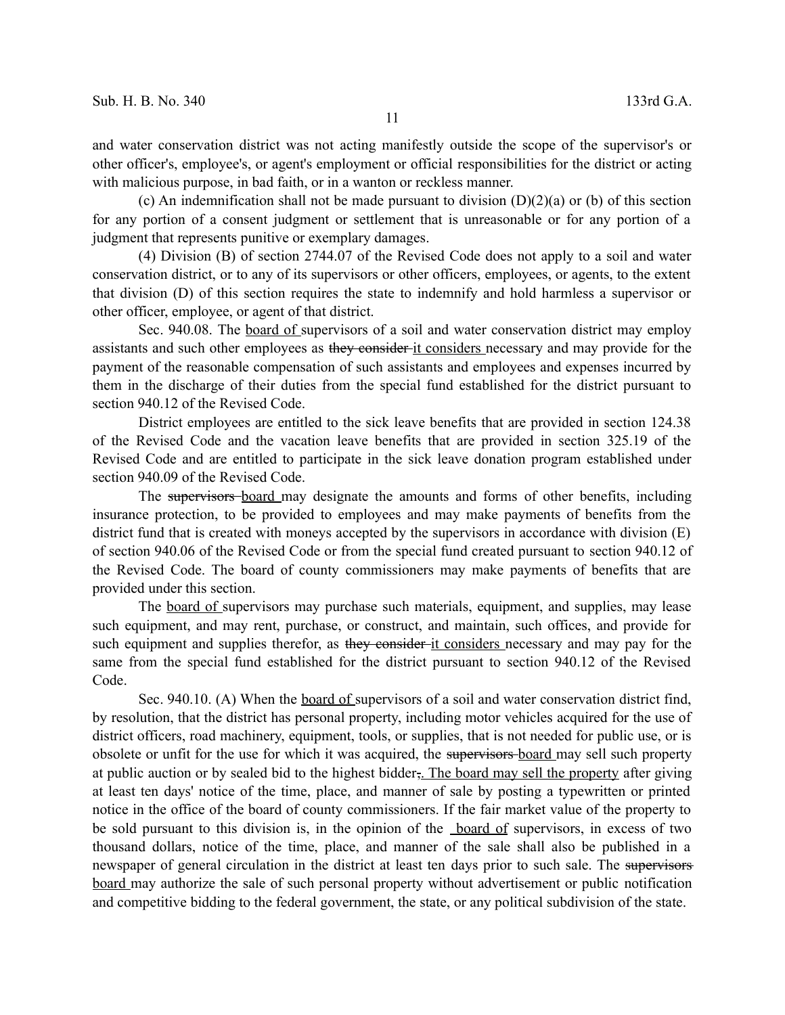and water conservation district was not acting manifestly outside the scope of the supervisor's or other officer's, employee's, or agent's employment or official responsibilities for the district or acting with malicious purpose, in bad faith, or in a wanton or reckless manner.

(c) An indemnification shall not be made pursuant to division  $(D)(2)(a)$  or (b) of this section for any portion of a consent judgment or settlement that is unreasonable or for any portion of a judgment that represents punitive or exemplary damages.

(4) Division (B) of section 2744.07 of the Revised Code does not apply to a soil and water conservation district, or to any of its supervisors or other officers, employees, or agents, to the extent that division (D) of this section requires the state to indemnify and hold harmless a supervisor or other officer, employee, or agent of that district.

Sec. 940.08. The board of supervisors of a soil and water conservation district may employ assistants and such other employees as they consider it considers necessary and may provide for the payment of the reasonable compensation of such assistants and employees and expenses incurred by them in the discharge of their duties from the special fund established for the district pursuant to section 940.12 of the Revised Code.

District employees are entitled to the sick leave benefits that are provided in section 124.38 of the Revised Code and the vacation leave benefits that are provided in section 325.19 of the Revised Code and are entitled to participate in the sick leave donation program established under section 940.09 of the Revised Code.

The supervisors board may designate the amounts and forms of other benefits, including insurance protection, to be provided to employees and may make payments of benefits from the district fund that is created with moneys accepted by the supervisors in accordance with division (E) of section 940.06 of the Revised Code or from the special fund created pursuant to section 940.12 of the Revised Code. The board of county commissioners may make payments of benefits that are provided under this section.

The board of supervisors may purchase such materials, equipment, and supplies, may lease such equipment, and may rent, purchase, or construct, and maintain, such offices, and provide for such equipment and supplies therefor, as they consider it considers necessary and may pay for the same from the special fund established for the district pursuant to section 940.12 of the Revised Code.

Sec. 940.10. (A) When the board of supervisors of a soil and water conservation district find, by resolution, that the district has personal property, including motor vehicles acquired for the use of district officers, road machinery, equipment, tools, or supplies, that is not needed for public use, or is obsolete or unfit for the use for which it was acquired, the supervisors board may sell such property at public auction or by sealed bid to the highest bidder, The board may sell the property after giving at least ten days' notice of the time, place, and manner of sale by posting a typewritten or printed notice in the office of the board of county commissioners. If the fair market value of the property to be sold pursuant to this division is, in the opinion of the board of supervisors, in excess of two thousand dollars, notice of the time, place, and manner of the sale shall also be published in a newspaper of general circulation in the district at least ten days prior to such sale. The supervisors board may authorize the sale of such personal property without advertisement or public notification and competitive bidding to the federal government, the state, or any political subdivision of the state.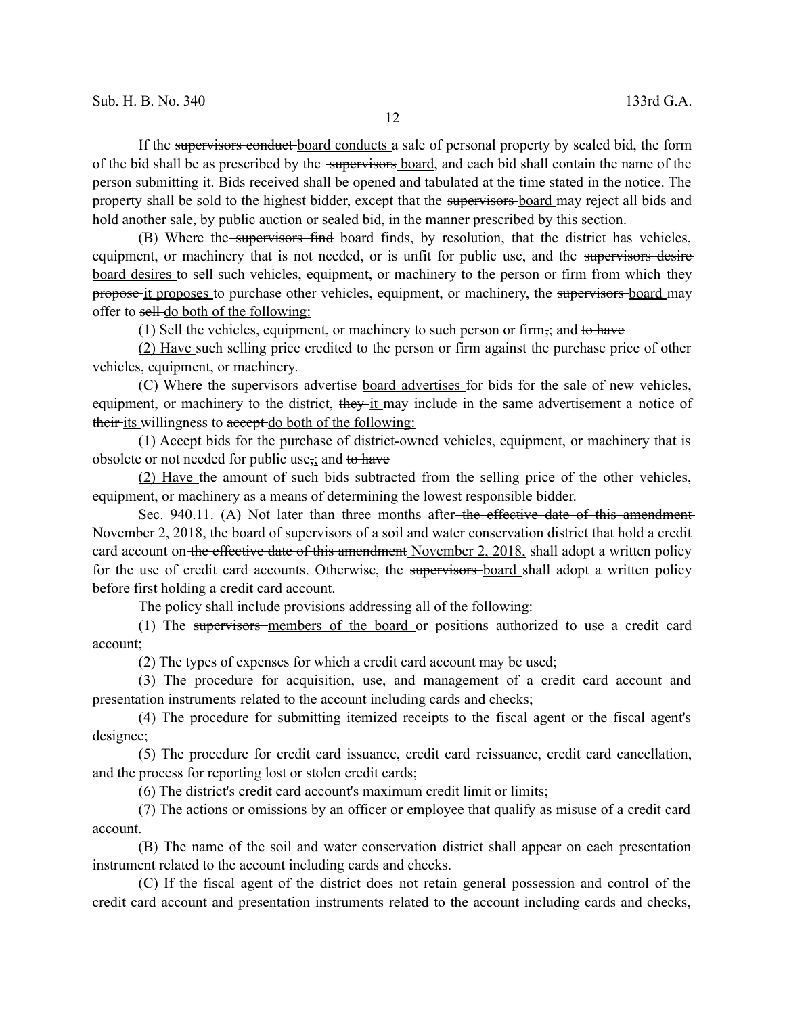If the supervisors conduct board conducts a sale of personal property by sealed bid, the form of the bid shall be as prescribed by the supervisors board, and each bid shall contain the name of the person submitting it. Bids received shall be opened and tabulated at the time stated in the notice. The property shall be sold to the highest bidder, except that the supervisors board may reject all bids and hold another sale, by public auction or sealed bid, in the manner prescribed by this section.

(B) Where the supervisors find board finds, by resolution, that the district has vehicles, equipment, or machinery that is not needed, or is unfit for public use, and the supervisors desire board desires to sell such vehicles, equipment, or machinery to the person or firm from which they propose it proposes to purchase other vehicles, equipment, or machinery, the supervisors board may offer to sell do both of the following:

(1) Sell the vehicles, equipment, or machinery to such person or firm $\frac{1}{2}$  and to have

(2) Have such selling price credited to the person or firm against the purchase price of other vehicles, equipment, or machinery.

(C) Where the supervisors advertise board advertises for bids for the sale of new vehicles, equipment, or machinery to the district, they it may include in the same advertisement a notice of their its willingness to accept do both of the following:

(1) Accept bids for the purchase of district-owned vehicles, equipment, or machinery that is obsolete or not needed for public use<sub> $\vec{i}$ </sub> and to have

(2) Have the amount of such bids subtracted from the selling price of the other vehicles, equipment, or machinery as a means of determining the lowest responsible bidder.

Sec. 940.11. (A) Not later than three months after the effective date of this amendment-November 2, 2018, the board of supervisors of a soil and water conservation district that hold a credit card account on the effective date of this amendment November 2, 2018, shall adopt a written policy for the use of credit card accounts. Otherwise, the supervisors-board shall adopt a written policy before first holding a credit card account.

The policy shall include provisions addressing all of the following:

(1) The supervisors members of the board or positions authorized to use a credit card account;

(2) The types of expenses for which a credit card account may be used;

(3) The procedure for acquisition, use, and management of a credit card account and presentation instruments related to the account including cards and checks;

(4) The procedure for submitting itemized receipts to the fiscal agent or the fiscal agent's designee;

(5) The procedure for credit card issuance, credit card reissuance, credit card cancellation, and the process for reporting lost or stolen credit cards;

(6) The district's credit card account's maximum credit limit or limits;

(7) The actions or omissions by an officer or employee that qualify as misuse of a credit card account.

(B) The name of the soil and water conservation district shall appear on each presentation instrument related to the account including cards and checks.

(C) If the fiscal agent of the district does not retain general possession and control of the credit card account and presentation instruments related to the account including cards and checks,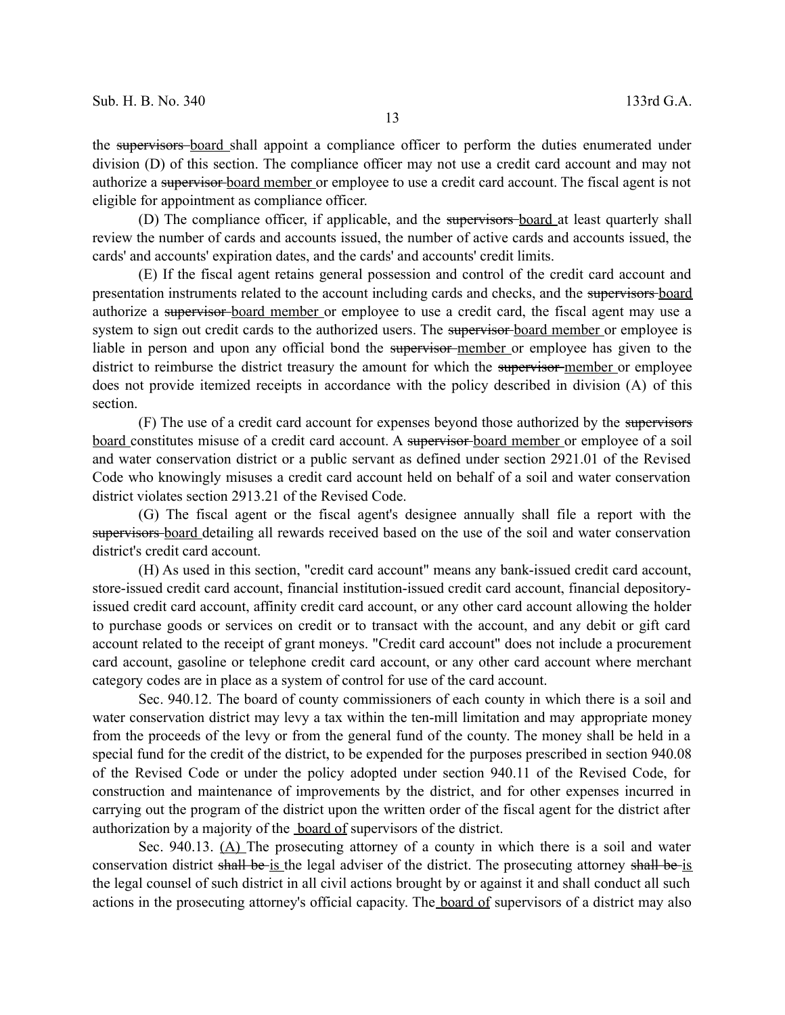the supervisors board shall appoint a compliance officer to perform the duties enumerated under division (D) of this section. The compliance officer may not use a credit card account and may not authorize a supervisor board member or employee to use a credit card account. The fiscal agent is not eligible for appointment as compliance officer.

(D) The compliance officer, if applicable, and the supervisors board at least quarterly shall review the number of cards and accounts issued, the number of active cards and accounts issued, the cards' and accounts' expiration dates, and the cards' and accounts' credit limits.

(E) If the fiscal agent retains general possession and control of the credit card account and presentation instruments related to the account including cards and checks, and the supervisors board authorize a supervisor board member or employee to use a credit card, the fiscal agent may use a system to sign out credit cards to the authorized users. The supervisor board member or employee is liable in person and upon any official bond the supervisor member or employee has given to the district to reimburse the district treasury the amount for which the supervisor-member or employee does not provide itemized receipts in accordance with the policy described in division (A) of this section.

(F) The use of a credit card account for expenses beyond those authorized by the supervisors board constitutes misuse of a credit card account. A supervisor board member or employee of a soil and water conservation district or a public servant as defined under section 2921.01 of the Revised Code who knowingly misuses a credit card account held on behalf of a soil and water conservation district violates section 2913.21 of the Revised Code.

(G) The fiscal agent or the fiscal agent's designee annually shall file a report with the supervisors-board detailing all rewards received based on the use of the soil and water conservation district's credit card account.

(H) As used in this section, "credit card account" means any bank-issued credit card account, store-issued credit card account, financial institution-issued credit card account, financial depositoryissued credit card account, affinity credit card account, or any other card account allowing the holder to purchase goods or services on credit or to transact with the account, and any debit or gift card account related to the receipt of grant moneys. "Credit card account" does not include a procurement card account, gasoline or telephone credit card account, or any other card account where merchant category codes are in place as a system of control for use of the card account.

Sec. 940.12. The board of county commissioners of each county in which there is a soil and water conservation district may levy a tax within the ten-mill limitation and may appropriate money from the proceeds of the levy or from the general fund of the county. The money shall be held in a special fund for the credit of the district, to be expended for the purposes prescribed in section 940.08 of the Revised Code or under the policy adopted under section 940.11 of the Revised Code, for construction and maintenance of improvements by the district, and for other expenses incurred in carrying out the program of the district upon the written order of the fiscal agent for the district after authorization by a majority of the board of supervisors of the district.

Sec. 940.13. (A) The prosecuting attorney of a county in which there is a soil and water conservation district shall be is the legal adviser of the district. The prosecuting attorney shall be is the legal counsel of such district in all civil actions brought by or against it and shall conduct all such actions in the prosecuting attorney's official capacity. The board of supervisors of a district may also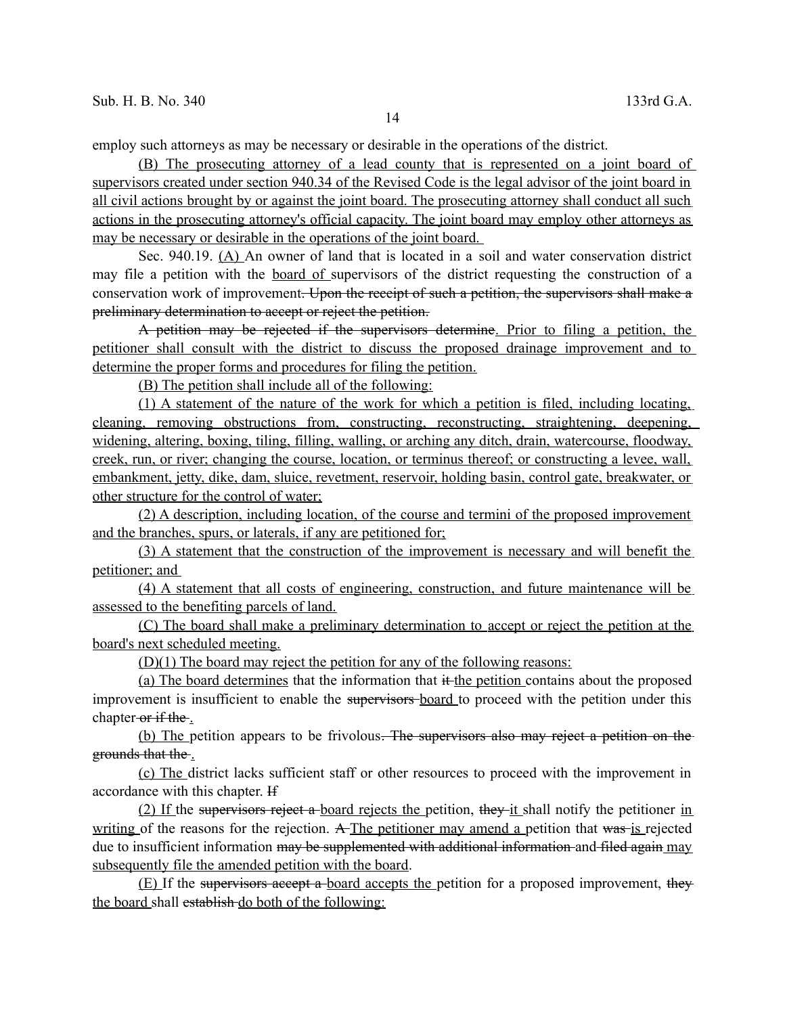employ such attorneys as may be necessary or desirable in the operations of the district.

(B) The prosecuting attorney of a lead county that is represented on a joint board of supervisors created under section 940.34 of the Revised Code is the legal advisor of the joint board in all civil actions brought by or against the joint board. The prosecuting attorney shall conduct all such actions in the prosecuting attorney's official capacity. The joint board may employ other attorneys as may be necessary or desirable in the operations of the joint board.

Sec. 940.19. (A) An owner of land that is located in a soil and water conservation district may file a petition with the board of supervisors of the district requesting the construction of a conservation work of improvement. Upon the receipt of such a petition, the supervisors shall make a preliminary determination to accept or reject the petition.

A petition may be rejected if the supervisors determine. Prior to filing a petition, the petitioner shall consult with the district to discuss the proposed drainage improvement and to determine the proper forms and procedures for filing the petition.

(B) The petition shall include all of the following:

(1) A statement of the nature of the work for which a petition is filed, including locating, cleaning, removing obstructions from, constructing, reconstructing, straightening, deepening, widening, altering, boxing, tiling, filling, walling, or arching any ditch, drain, watercourse, floodway, creek, run, or river; changing the course, location, or terminus thereof; or constructing a levee, wall, embankment, jetty, dike, dam, sluice, revetment, reservoir, holding basin, control gate, breakwater, or other structure for the control of water;

(2) A description, including location, of the course and termini of the proposed improvement and the branches, spurs, or laterals, if any are petitioned for;

(3) A statement that the construction of the improvement is necessary and will benefit the petitioner; and

(4) A statement that all costs of engineering, construction, and future maintenance will be assessed to the benefiting parcels of land.

 (C) The board shall make a preliminary determination to accept or reject the petition at the board's next scheduled meeting.

(D)(1) The board may reject the petition for any of the following reasons:

(a) The board determines that the information that it the petition contains about the proposed improvement is insufficient to enable the supervisors-board to proceed with the petition under this chapter or if the.

(b) The petition appears to be frivolous. The supervisors also may reject a petition on the grounds that the .

(c) The district lacks sufficient staff or other resources to proceed with the improvement in accordance with this chapter. If

(2) If the supervisors reject a board rejects the petition, they it shall notify the petitioner in writing of the reasons for the rejection. A The petitioner may amend a petition that was is rejected due to insufficient information may be supplemented with additional information and filed again may subsequently file the amended petition with the board.

 $(E)$  If the supervisors accept a board accepts the petition for a proposed improvement, they the board shall establish do both of the following: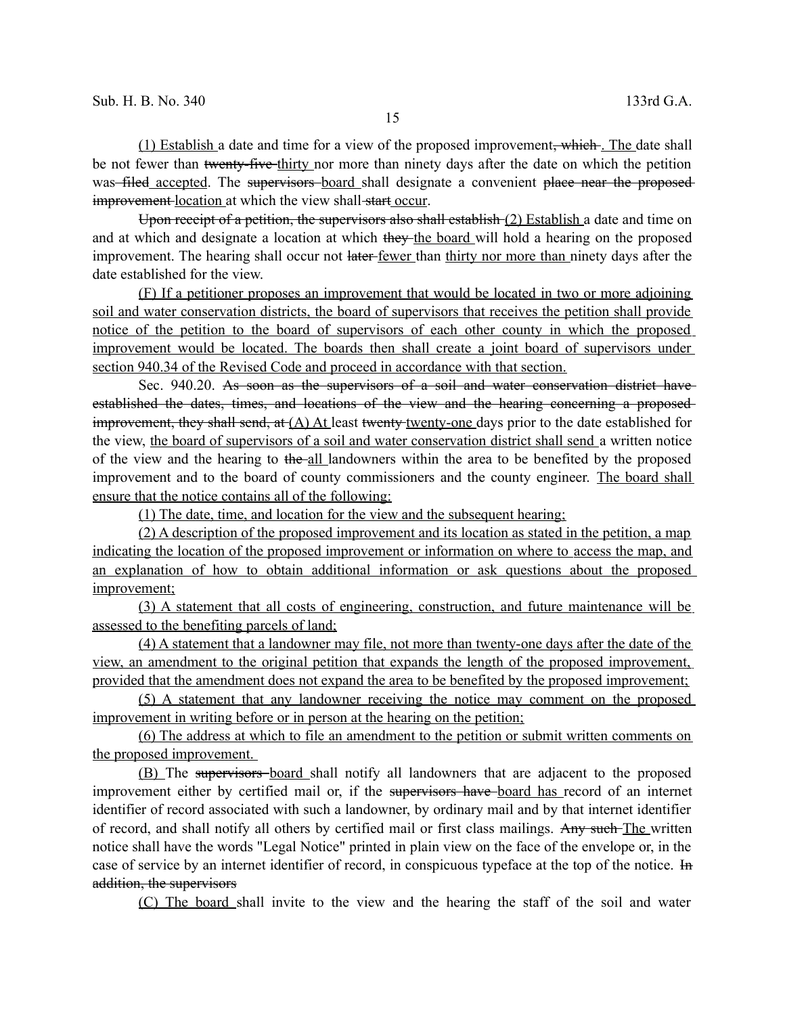$(1)$  Establish a date and time for a view of the proposed improvement, which. The date shall be not fewer than twenty-five-thirty nor more than ninety days after the date on which the petition was filed accepted. The supervisors board shall designate a convenient place near the proposed improvement location at which the view shall-start occur.

Upon receipt of a petition, the supervisors also shall establish (2) Establish a date and time on and at which and designate a location at which they the board will hold a hearing on the proposed improvement. The hearing shall occur not later-fewer than thirty nor more than ninety days after the date established for the view.

(F) If a petitioner proposes an improvement that would be located in two or more adjoining soil and water conservation districts, the board of supervisors that receives the petition shall provide notice of the petition to the board of supervisors of each other county in which the proposed improvement would be located. The boards then shall create a joint board of supervisors under section 940.34 of the Revised Code and proceed in accordance with that section.

Sec. 940.20. As soon as the supervisors of a soil and water conservation district haveestablished the dates, times, and locations of the view and the hearing concerning a proposed improvement, they shall send, at  $(A)$  At least twenty twenty-one days prior to the date established for the view, the board of supervisors of a soil and water conservation district shall send a written notice of the view and the hearing to the all landowners within the area to be benefited by the proposed improvement and to the board of county commissioners and the county engineer. The board shall ensure that the notice contains all of the following:

(1) The date, time, and location for the view and the subsequent hearing;

(2) A description of the proposed improvement and its location as stated in the petition, a map indicating the location of the proposed improvement or information on where to access the map, and an explanation of how to obtain additional information or ask questions about the proposed improvement;

(3) A statement that all costs of engineering, construction, and future maintenance will be assessed to the benefiting parcels of land;

(4) A statement that a landowner may file, not more than twenty-one days after the date of the view, an amendment to the original petition that expands the length of the proposed improvement, provided that the amendment does not expand the area to be benefited by the proposed improvement;

(5) A statement that any landowner receiving the notice may comment on the proposed improvement in writing before or in person at the hearing on the petition;

(6) The address at which to file an amendment to the petition or submit written comments on the proposed improvement.

(B) The supervisors board shall notify all landowners that are adjacent to the proposed improvement either by certified mail or, if the supervisors have board has record of an internet identifier of record associated with such a landowner, by ordinary mail and by that internet identifier of record, and shall notify all others by certified mail or first class mailings. Any such The written notice shall have the words "Legal Notice" printed in plain view on the face of the envelope or, in the case of service by an internet identifier of record, in conspicuous typeface at the top of the notice. In addition, the supervisors

(C) The board shall invite to the view and the hearing the staff of the soil and water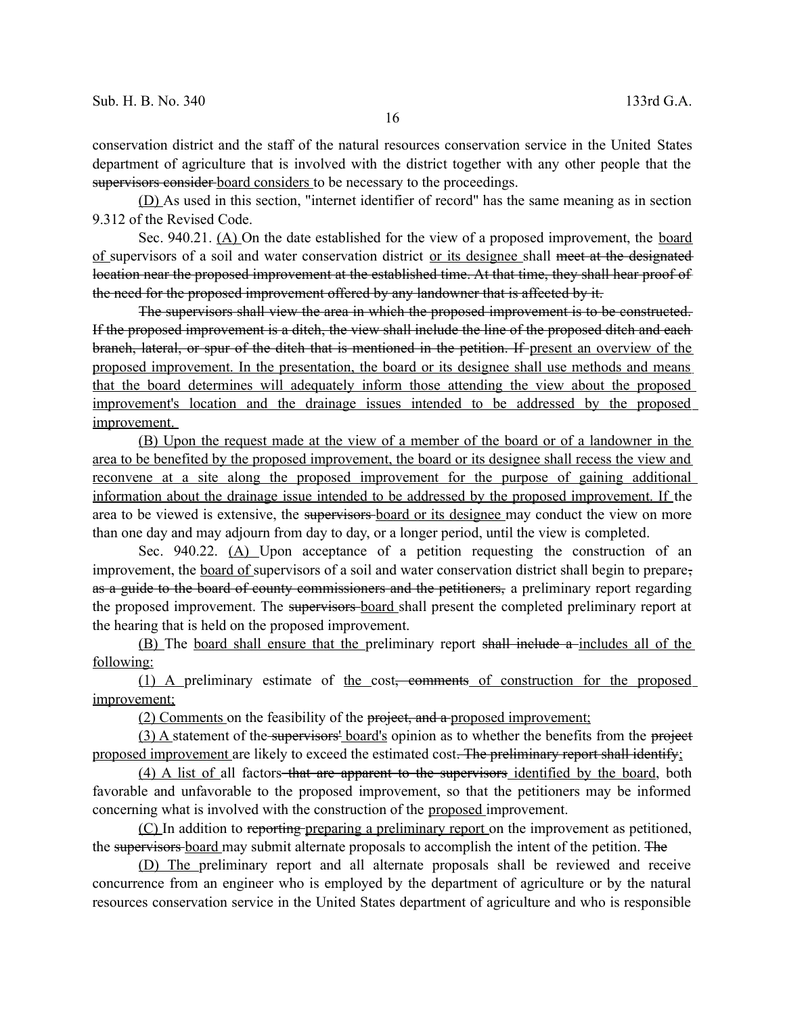conservation district and the staff of the natural resources conservation service in the United States department of agriculture that is involved with the district together with any other people that the supervisors consider board considers to be necessary to the proceedings.

(D) As used in this section, "internet identifier of record" has the same meaning as in section 9.312 of the Revised Code.

Sec. 940.21. (A) On the date established for the view of a proposed improvement, the board of supervisors of a soil and water conservation district or its designee shall meet at the designated location near the proposed improvement at the established time. At that time, they shall hear proof of the need for the proposed improvement offered by any landowner that is affected by it.

The supervisors shall view the area in which the proposed improvement is to be constructed. If the proposed improvement is a ditch, the view shall include the line of the proposed ditch and each branch, lateral, or spur of the ditch that is mentioned in the petition. If present an overview of the proposed improvement. In the presentation, the board or its designee shall use methods and means that the board determines will adequately inform those attending the view about the proposed improvement's location and the drainage issues intended to be addressed by the proposed improvement.

(B) Upon the request made at the view of a member of the board or of a landowner in the area to be benefited by the proposed improvement, the board or its designee shall recess the view and reconvene at a site along the proposed improvement for the purpose of gaining additional information about the drainage issue intended to be addressed by the proposed improvement. If the area to be viewed is extensive, the supervisors-board or its designee may conduct the view on more than one day and may adjourn from day to day, or a longer period, until the view is completed.

Sec. 940.22. (A) Upon acceptance of a petition requesting the construction of an improvement, the board of supervisors of a soil and water conservation district shall begin to prepare, as a guide to the board of county commissioners and the petitioners, a preliminary report regarding the proposed improvement. The supervisors board shall present the completed preliminary report at the hearing that is held on the proposed improvement.

(B) The board shall ensure that the preliminary report shall include a-includes all of the following:

(1) A preliminary estimate of the cost, comments of construction for the proposed improvement;

(2) Comments on the feasibility of the project, and a proposed improvement;

(3) A statement of the supervisors' board's opinion as to whether the benefits from the project proposed improvement are likely to exceed the estimated cost. The preliminary report shall identify;

(4) A list of all factors that are apparent to the supervisors identified by the board, both favorable and unfavorable to the proposed improvement, so that the petitioners may be informed concerning what is involved with the construction of the proposed improvement.

(C) In addition to reporting preparing a preliminary report on the improvement as petitioned, the supervisors board may submit alternate proposals to accomplish the intent of the petition. The

(D) The preliminary report and all alternate proposals shall be reviewed and receive concurrence from an engineer who is employed by the department of agriculture or by the natural resources conservation service in the United States department of agriculture and who is responsible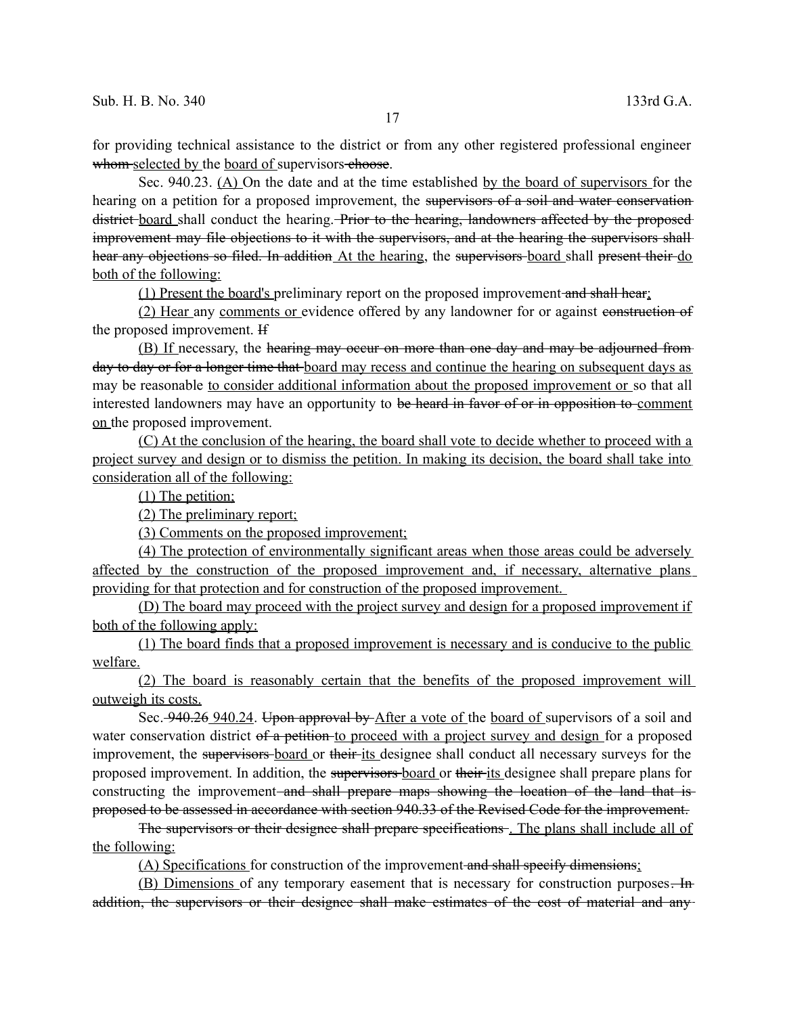for providing technical assistance to the district or from any other registered professional engineer whom selected by the board of supervisors choose.

Sec. 940.23. (A) On the date and at the time established by the board of supervisors for the hearing on a petition for a proposed improvement, the supervisors of a soil and water conservation district board shall conduct the hearing. Prior to the hearing, landowners affected by the proposed improvement may file objections to it with the supervisors, and at the hearing the supervisors shall hear any objections so filed. In addition At the hearing, the supervisors-board shall present their do both of the following:

(1) Present the board's preliminary report on the proposed improvement and shall hear;

(2) Hear any comments or evidence offered by any landowner for or against construction of the proposed improvement. If

(B) If necessary, the hearing may occur on more than one day and may be adjourned from day to day or for a longer time that board may recess and continue the hearing on subsequent days as may be reasonable to consider additional information about the proposed improvement or so that all interested landowners may have an opportunity to be heard in favor of or in opposition to comment on the proposed improvement.

 (C) At the conclusion of the hearing, the board shall vote to decide whether to proceed with a project survey and design or to dismiss the petition. In making its decision, the board shall take into consideration all of the following:

(1) The petition;

(2) The preliminary report;

(3) Comments on the proposed improvement;

(4) The protection of environmentally significant areas when those areas could be adversely affected by the construction of the proposed improvement and, if necessary, alternative plans providing for that protection and for construction of the proposed improvement.

(D) The board may proceed with the project survey and design for a proposed improvement if both of the following apply:

(1) The board finds that a proposed improvement is necessary and is conducive to the public welfare.

(2) The board is reasonably certain that the benefits of the proposed improvement will outweigh its costs.

Sec. 240.26 240.24. Upon approval by After a vote of the board of supervisors of a soil and water conservation district of a petition to proceed with a project survey and design for a proposed improvement, the supervisors-board or their-its designee shall conduct all necessary surveys for the proposed improvement. In addition, the supervisors board or their its designee shall prepare plans for constructing the improvement and shall prepare maps showing the location of the land that isproposed to be assessed in accordance with section 940.33 of the Revised Code for the improvement.

The supervisors or their designee shall prepare specifications . The plans shall include all of the following:

(A) Specifications for construction of the improvement and shall specify dimensions;

(B) Dimensions of any temporary easement that is necessary for construction purposes. In addition, the supervisors or their designee shall make estimates of the cost of material and any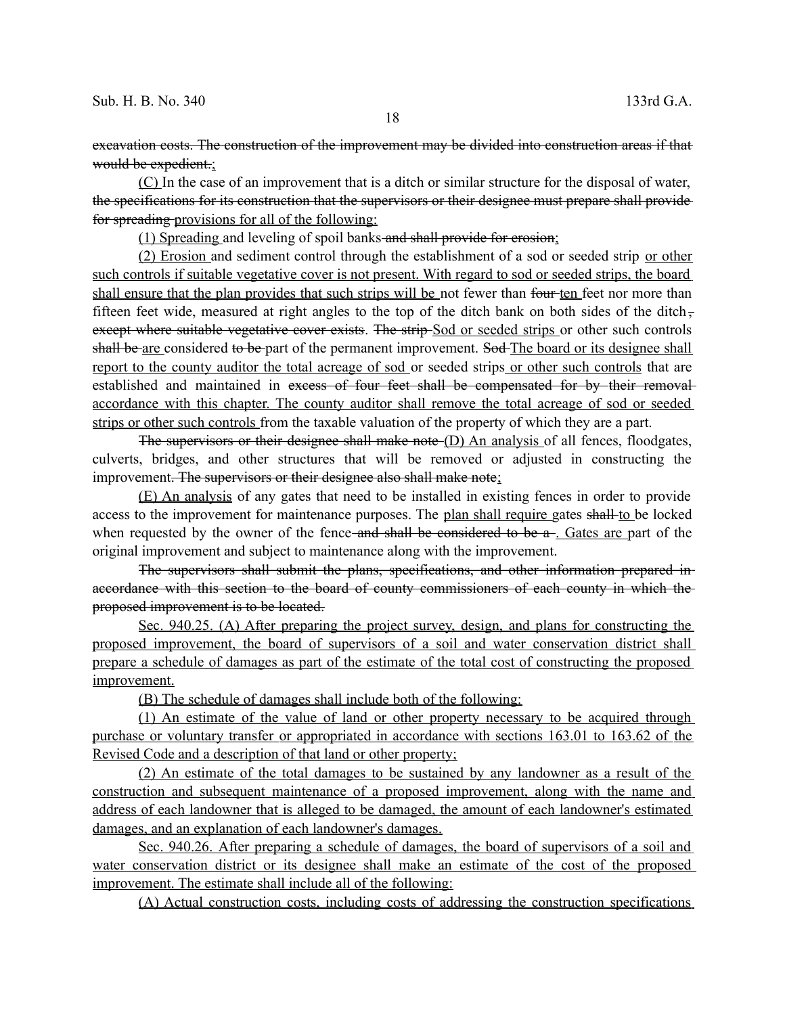excavation costs. The construction of the improvement may be divided into construction areas if that would be expedient.;

(C) In the case of an improvement that is a ditch or similar structure for the disposal of water, the specifications for its construction that the supervisors or their designee must prepare shall provide for spreading provisions for all of the following:

(1) Spreading and leveling of spoil banks and shall provide for erosion;

(2) Erosion and sediment control through the establishment of a sod or seeded strip or other such controls if suitable vegetative cover is not present. With regard to sod or seeded strips, the board shall ensure that the plan provides that such strips will be not fewer than four ten feet nor more than fifteen feet wide, measured at right angles to the top of the ditch bank on both sides of the ditchexcept where suitable vegetative cover exists. The strip-Sod or seeded strips or other such controls shall be are considered to be part of the permanent improvement. Sod-The board or its designee shall report to the county auditor the total acreage of sod or seeded strips or other such controls that are established and maintained in excess of four feet shall be compensated for by their removalaccordance with this chapter. The county auditor shall remove the total acreage of sod or seeded strips or other such controls from the taxable valuation of the property of which they are a part.

The supervisors or their designee shall make note (D) An analysis of all fences, floodgates, culverts, bridges, and other structures that will be removed or adjusted in constructing the improvement. The supervisors or their designee also shall make note;

(E) An analysis of any gates that need to be installed in existing fences in order to provide access to the improvement for maintenance purposes. The plan shall require gates shall to be locked when requested by the owner of the fence and shall be considered to be a. Gates are part of the original improvement and subject to maintenance along with the improvement.

The supervisors shall submit the plans, specifications, and other information prepared in accordance with this section to the board of county commissioners of each county in which the proposed improvement is to be located.

Sec. 940.25. (A) After preparing the project survey, design, and plans for constructing the proposed improvement, the board of supervisors of a soil and water conservation district shall prepare a schedule of damages as part of the estimate of the total cost of constructing the proposed improvement.

(B) The schedule of damages shall include both of the following:

(1) An estimate of the value of land or other property necessary to be acquired through purchase or voluntary transfer or appropriated in accordance with sections 163.01 to 163.62 of the Revised Code and a description of that land or other property;

(2) An estimate of the total damages to be sustained by any landowner as a result of the construction and subsequent maintenance of a proposed improvement, along with the name and address of each landowner that is alleged to be damaged, the amount of each landowner's estimated damages, and an explanation of each landowner's damages.

 Sec. 940.26. After preparing a schedule of damages, the board of supervisors of a soil and water conservation district or its designee shall make an estimate of the cost of the proposed improvement. The estimate shall include all of the following:

(A) Actual construction costs, including costs of addressing the construction specifications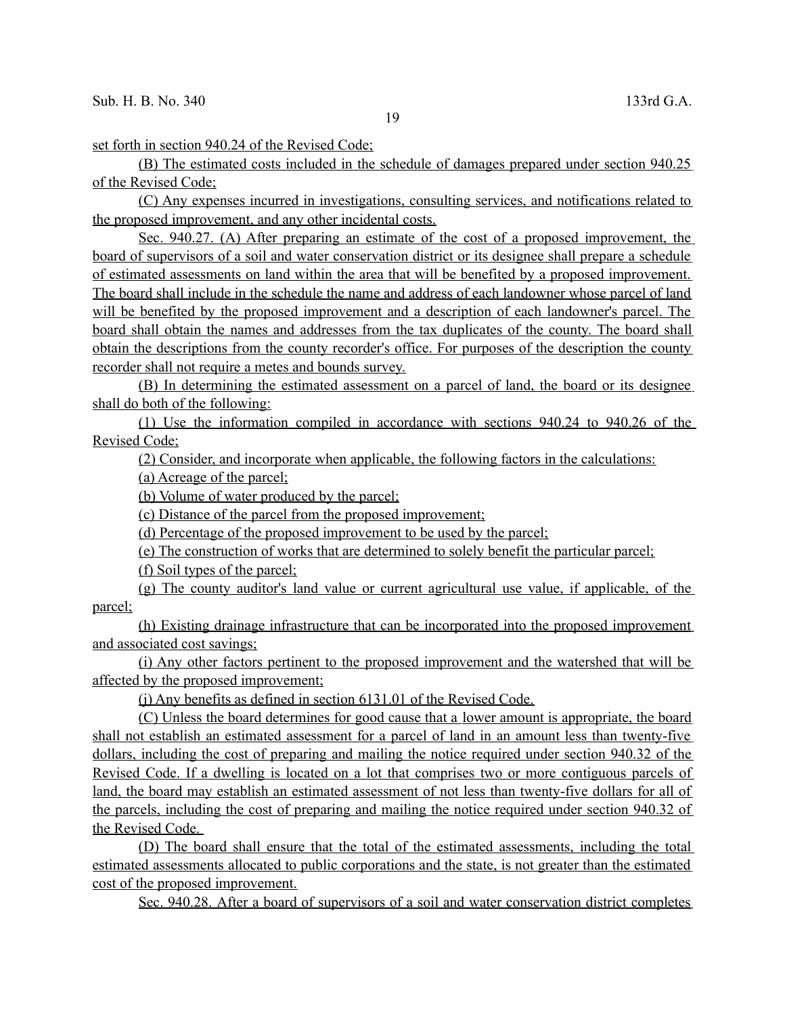set forth in section 940.24 of the Revised Code;

(B) The estimated costs included in the schedule of damages prepared under section 940.25 of the Revised Code;

(C) Any expenses incurred in investigations, consulting services, and notifications related to the proposed improvement, and any other incidental costs.

Sec. 940.27. (A) After preparing an estimate of the cost of a proposed improvement, the board of supervisors of a soil and water conservation district or its designee shall prepare a schedule of estimated assessments on land within the area that will be benefited by a proposed improvement. The board shall include in the schedule the name and address of each landowner whose parcel of land will be benefited by the proposed improvement and a description of each landowner's parcel. The board shall obtain the names and addresses from the tax duplicates of the county. The board shall obtain the descriptions from the county recorder's office. For purposes of the description the county recorder shall not require a metes and bounds survey.

(B) In determining the estimated assessment on a parcel of land, the board or its designee shall do both of the following:

(1) Use the information compiled in accordance with sections 940.24 to 940.26 of the Revised Code;

(2) Consider, and incorporate when applicable, the following factors in the calculations:

(a) Acreage of the parcel;

(b) Volume of water produced by the parcel;

(c) Distance of the parcel from the proposed improvement;

(d) Percentage of the proposed improvement to be used by the parcel;

(e) The construction of works that are determined to solely benefit the particular parcel;

(f) Soil types of the parcel;

(g) The county auditor's land value or current agricultural use value, if applicable, of the parcel;

(h) Existing drainage infrastructure that can be incorporated into the proposed improvement and associated cost savings;

(i) Any other factors pertinent to the proposed improvement and the watershed that will be affected by the proposed improvement;

(j) Any benefits as defined in section 6131.01 of the Revised Code.

 (C) Unless the board determines for good cause that a lower amount is appropriate, the board shall not establish an estimated assessment for a parcel of land in an amount less than twenty-five dollars, including the cost of preparing and mailing the notice required under section 940.32 of the Revised Code. If a dwelling is located on a lot that comprises two or more contiguous parcels of land, the board may establish an estimated assessment of not less than twenty-five dollars for all of the parcels, including the cost of preparing and mailing the notice required under section 940.32 of the Revised Code.

(D) The board shall ensure that the total of the estimated assessments, including the total estimated assessments allocated to public corporations and the state, is not greater than the estimated cost of the proposed improvement.

Sec. 940.28. After a board of supervisors of a soil and water conservation district completes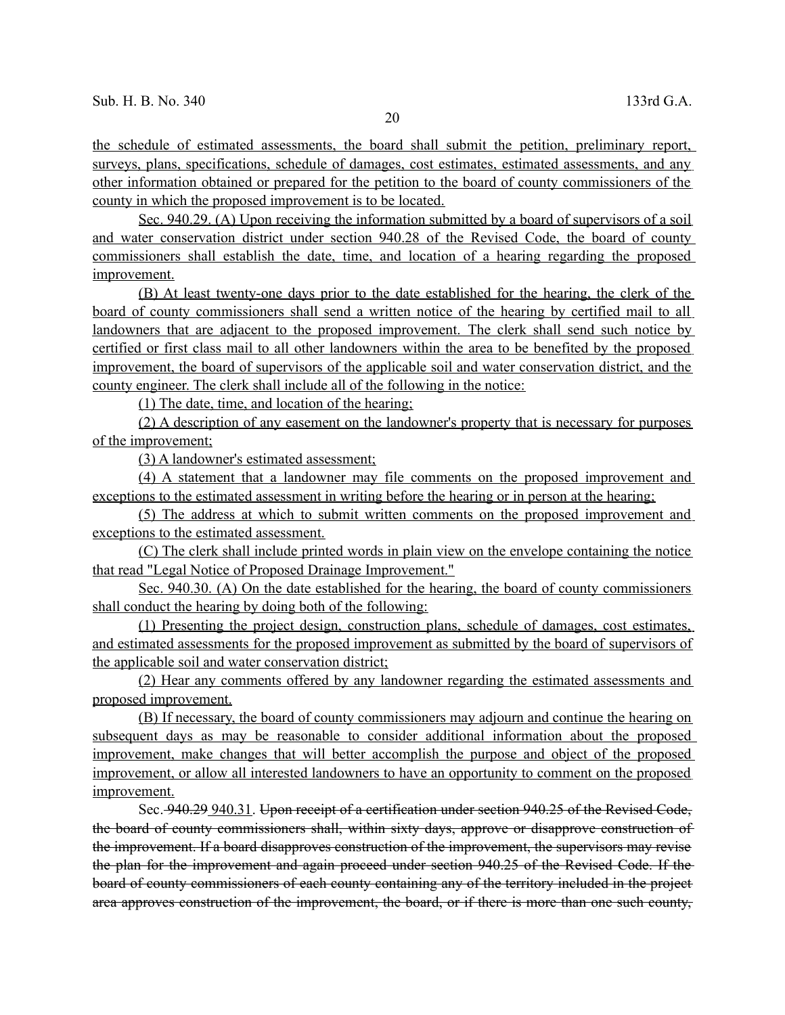the schedule of estimated assessments, the board shall submit the petition, preliminary report, surveys, plans, specifications, schedule of damages, cost estimates, estimated assessments, and any other information obtained or prepared for the petition to the board of county commissioners of the county in which the proposed improvement is to be located.

 Sec. 940.29. (A) Upon receiving the information submitted by a board of supervisors of a soil and water conservation district under section 940.28 of the Revised Code, the board of county commissioners shall establish the date, time, and location of a hearing regarding the proposed improvement.

(B) At least twenty-one days prior to the date established for the hearing, the clerk of the board of county commissioners shall send a written notice of the hearing by certified mail to all landowners that are adjacent to the proposed improvement. The clerk shall send such notice by certified or first class mail to all other landowners within the area to be benefited by the proposed improvement, the board of supervisors of the applicable soil and water conservation district, and the county engineer. The clerk shall include all of the following in the notice:

(1) The date, time, and location of the hearing;

(2) A description of any easement on the landowner's property that is necessary for purposes of the improvement;

(3) A landowner's estimated assessment;

(4) A statement that a landowner may file comments on the proposed improvement and exceptions to the estimated assessment in writing before the hearing or in person at the hearing;

(5) The address at which to submit written comments on the proposed improvement and exceptions to the estimated assessment.

(C) The clerk shall include printed words in plain view on the envelope containing the notice that read "Legal Notice of Proposed Drainage Improvement."

Sec. 940.30. (A) On the date established for the hearing, the board of county commissioners shall conduct the hearing by doing both of the following:

(1) Presenting the project design, construction plans, schedule of damages, cost estimates, and estimated assessments for the proposed improvement as submitted by the board of supervisors of the applicable soil and water conservation district;

(2) Hear any comments offered by any landowner regarding the estimated assessments and proposed improvement.

(B) If necessary, the board of county commissioners may adjourn and continue the hearing on subsequent days as may be reasonable to consider additional information about the proposed improvement, make changes that will better accomplish the purpose and object of the proposed improvement, or allow all interested landowners to have an opportunity to comment on the proposed improvement.

Sec. 940.29 940.31. Upon receipt of a certification under section 940.25 of the Revised Code, the board of county commissioners shall, within sixty days, approve or disapprove construction of the improvement. If a board disapproves construction of the improvement, the supervisors may revise the plan for the improvement and again proceed under section 940.25 of the Revised Code. If the board of county commissioners of each county containing any of the territory included in the project area approves construction of the improvement, the board, or if there is more than one such county,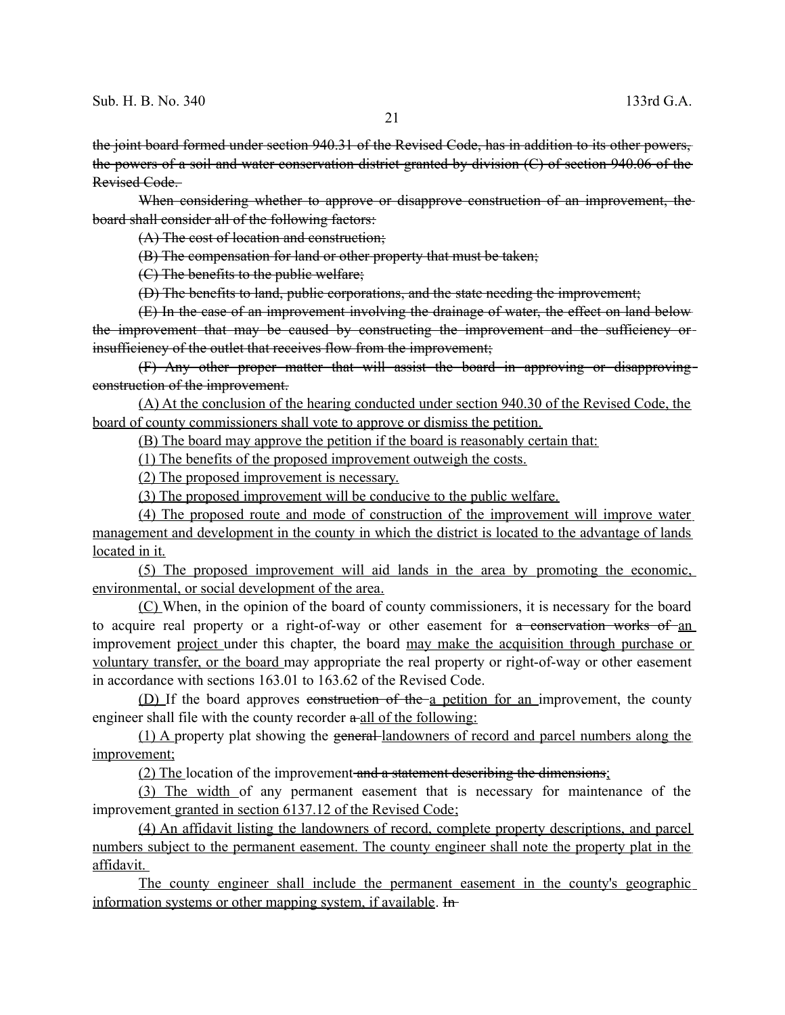the joint board formed under section 940.31 of the Revised Code, has in addition to its other powers, the powers of a soil and water conservation district granted by division (C) of section 940.06 of the Revised Code.

When considering whether to approve or disapprove construction of an improvement, the board shall consider all of the following factors:

(A) The cost of location and construction;

(B) The compensation for land or other property that must be taken;

(C) The benefits to the public welfare;

(D) The benefits to land, public corporations, and the state needing the improvement;

(E) In the case of an improvement involving the drainage of water, the effect on land below the improvement that may be caused by constructing the improvement and the sufficiency orinsufficiency of the outlet that receives flow from the improvement;

(F) Any other proper matter that will assist the board in approving or disapproving construction of the improvement.

(A) At the conclusion of the hearing conducted under section 940.30 of the Revised Code, the board of county commissioners shall vote to approve or dismiss the petition.

(B) The board may approve the petition if the board is reasonably certain that:

(1) The benefits of the proposed improvement outweigh the costs.

(2) The proposed improvement is necessary.

(3) The proposed improvement will be conducive to the public welfare.

(4) The proposed route and mode of construction of the improvement will improve water management and development in the county in which the district is located to the advantage of lands located in it.

 (5) The proposed improvement will aid lands in the area by promoting the economic, environmental, or social development of the area.

(C) When, in the opinion of the board of county commissioners, it is necessary for the board to acquire real property or a right-of-way or other easement for a conservation works of an improvement project under this chapter, the board may make the acquisition through purchase or voluntary transfer, or the board may appropriate the real property or right-of-way or other easement in accordance with sections 163.01 to 163.62 of the Revised Code.

(D) If the board approves construction of the a petition for an improvement, the county engineer shall file with the county recorder  $\alpha$ -all of the following:

(1) A property plat showing the general landowners of record and parcel numbers along the improvement;

(2) The location of the improvement and a statement describing the dimensions;

 (3) The width of any permanent easement that is necessary for maintenance of the improvement granted in section 6137.12 of the Revised Code;

(4) An affidavit listing the landowners of record, complete property descriptions, and parcel numbers subject to the permanent easement. The county engineer shall note the property plat in the affidavit.

The county engineer shall include the permanent easement in the county's geographic information systems or other mapping system, if available. In-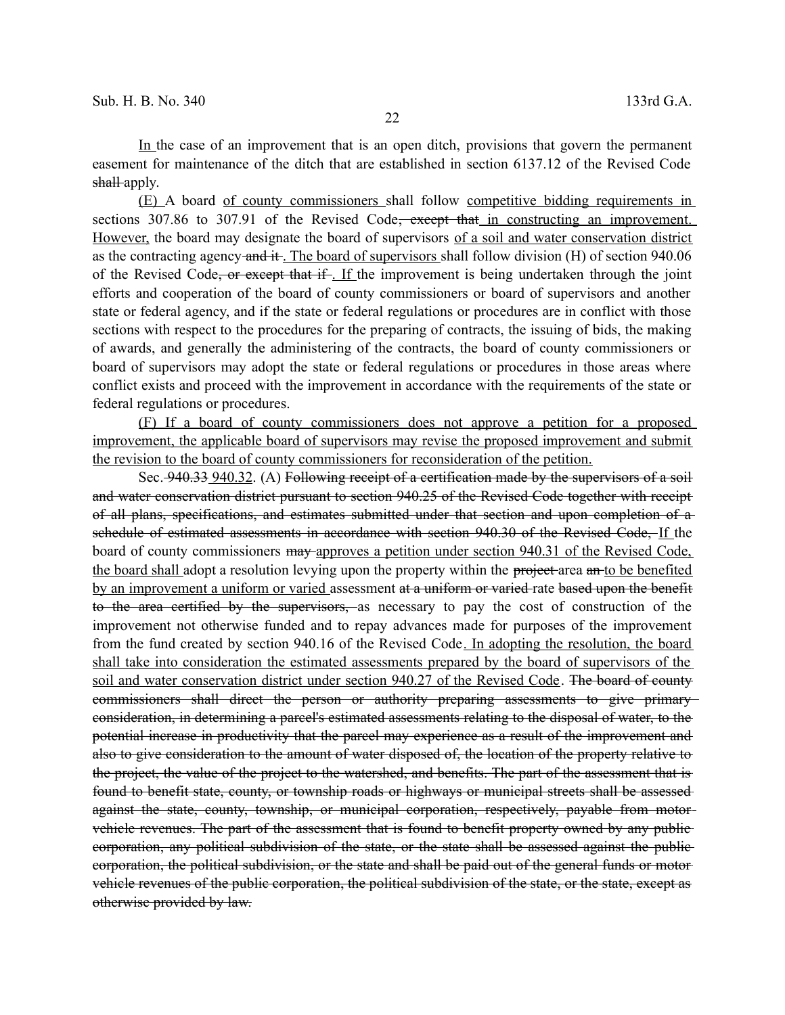In the case of an improvement that is an open ditch, provisions that govern the permanent easement for maintenance of the ditch that are established in section 6137.12 of the Revised Code shall-apply.

(E) A board of county commissioners shall follow competitive bidding requirements in sections 307.86 to 307.91 of the Revised Code<del>, except that</del> in constructing an improvement. However, the board may designate the board of supervisors of a soil and water conservation district as the contracting agency and it. The board of supervisors shall follow division (H) of section 940.06 of the Revised Code, or except that if. If the improvement is being undertaken through the joint efforts and cooperation of the board of county commissioners or board of supervisors and another state or federal agency, and if the state or federal regulations or procedures are in conflict with those sections with respect to the procedures for the preparing of contracts, the issuing of bids, the making of awards, and generally the administering of the contracts, the board of county commissioners or board of supervisors may adopt the state or federal regulations or procedures in those areas where conflict exists and proceed with the improvement in accordance with the requirements of the state or federal regulations or procedures.

(F) If a board of county commissioners does not approve a petition for a proposed improvement, the applicable board of supervisors may revise the proposed improvement and submit the revision to the board of county commissioners for reconsideration of the petition.

Sec. 940.33 940.32. (A) Following receipt of a certification made by the supervisors of a soil and water conservation district pursuant to section 940.25 of the Revised Code together with receipt of all plans, specifications, and estimates submitted under that section and upon completion of a schedule of estimated assessments in accordance with section 940.30 of the Revised Code, If the board of county commissioners may approves a petition under section 940.31 of the Revised Code, the board shall adopt a resolution levying upon the property within the project-area an-to be benefited by an improvement a uniform or varied assessment at a uniform or varied rate based upon the benefit to the area certified by the supervisors, as necessary to pay the cost of construction of the improvement not otherwise funded and to repay advances made for purposes of the improvement from the fund created by section 940.16 of the Revised Code. In adopting the resolution, the board shall take into consideration the estimated assessments prepared by the board of supervisors of the soil and water conservation district under section 940.27 of the Revised Code. The board of county commissioners shall direct the person or authority preparing assessments to give primary consideration, in determining a parcel's estimated assessments relating to the disposal of water, to the potential increase in productivity that the parcel may experience as a result of the improvement and also to give consideration to the amount of water disposed of, the location of the property relative to the project, the value of the project to the watershed, and benefits. The part of the assessment that is found to benefit state, county, or township roads or highways or municipal streets shall be assessed against the state, county, township, or municipal corporation, respectively, payable from motorvehicle revenues. The part of the assessment that is found to benefit property owned by any public corporation, any political subdivision of the state, or the state shall be assessed against the public corporation, the political subdivision, or the state and shall be paid out of the general funds or motor vehicle revenues of the public corporation, the political subdivision of the state, or the state, except as otherwise provided by law.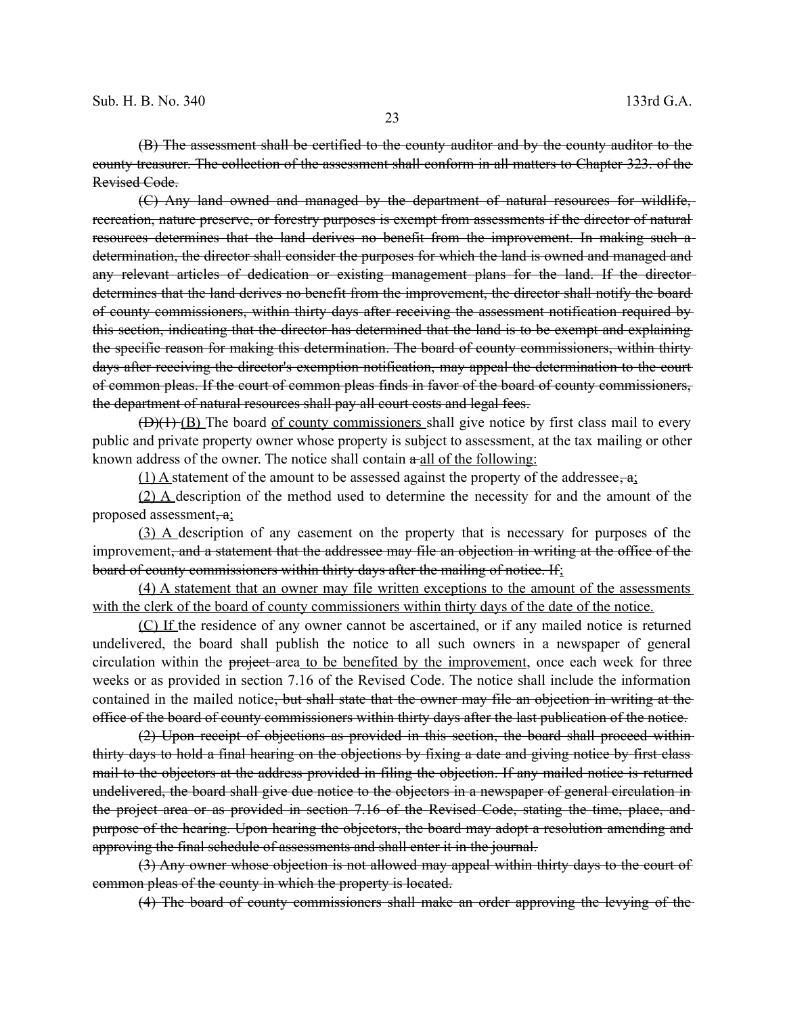(B) The assessment shall be certified to the county auditor and by the county auditor to the county treasurer. The collection of the assessment shall conform in all matters to Chapter 323. of the Revised Code.

(C) Any land owned and managed by the department of natural resources for wildlife, recreation, nature preserve, or forestry purposes is exempt from assessments if the director of natural resources determines that the land derives no benefit from the improvement. In making such a determination, the director shall consider the purposes for which the land is owned and managed and any relevant articles of dedication or existing management plans for the land. If the director determines that the land derives no benefit from the improvement, the director shall notify the board of county commissioners, within thirty days after receiving the assessment notification required by this section, indicating that the director has determined that the land is to be exempt and explaining the specific reason for making this determination. The board of county commissioners, within thirty days after receiving the director's exemption notification, may appeal the determination to the courtof common pleas. If the court of common pleas finds in favor of the board of county commissioners, the department of natural resources shall pay all court costs and legal fees.

(D)(1) (B) The board of county commissioners shall give notice by first class mail to every public and private property owner whose property is subject to assessment, at the tax mailing or other known address of the owner. The notice shall contain  $a$ -all of the following:

(1) A statement of the amount to be assessed against the property of the addressee,  $a$ ;

(2) A description of the method used to determine the necessity for and the amount of the proposed assessment,  $a$ ;

(3) A description of any easement on the property that is necessary for purposes of the improvement<del>, and a statement that the addressee may file an objection in writing at the office of the</del> board of county commissioners within thirty days after the mailing of notice. If:

(4) A statement that an owner may file written exceptions to the amount of the assessments with the clerk of the board of county commissioners within thirty days of the date of the notice.

(C) If the residence of any owner cannot be ascertained, or if any mailed notice is returned undelivered, the board shall publish the notice to all such owners in a newspaper of general circulation within the project-area to be benefited by the improvement, once each week for three weeks or as provided in section 7.16 of the Revised Code. The notice shall include the information contained in the mailed notice<del>, but shall state that the owner may file an objection in writing at the</del> office of the board of county commissioners within thirty days after the last publication of the notice.

(2) Upon receipt of objections as provided in this section, the board shall proceed within thirty days to hold a final hearing on the objections by fixing a date and giving notice by first class mail to the objectors at the address provided in filing the objection. If any mailed notice is returned undelivered, the board shall give due notice to the objectors in a newspaper of general circulation in the project area or as provided in section 7.16 of the Revised Code, stating the time, place, and purpose of the hearing. Upon hearing the objectors, the board may adopt a resolution amending and approving the final schedule of assessments and shall enter it in the journal.

(3) Any owner whose objection is not allowed may appeal within thirty days to the court of common pleas of the county in which the property is located.

(4) The board of county commissioners shall make an order approving the levying of the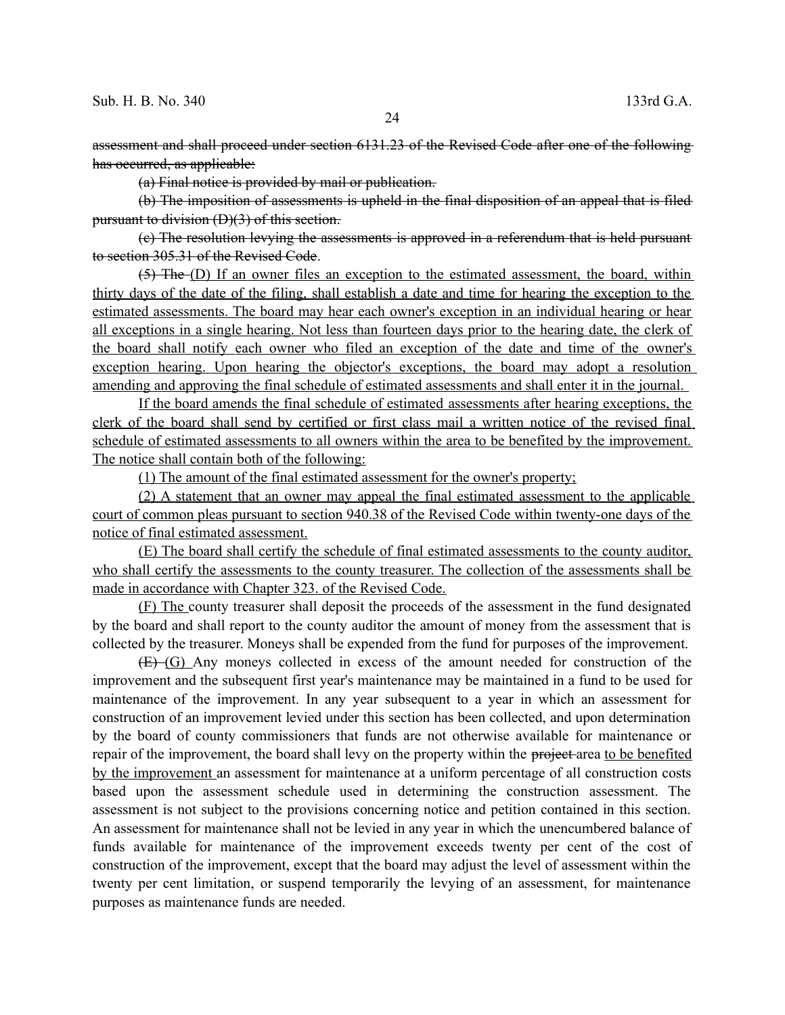(a) Final notice is provided by mail or publication.

(b) The imposition of assessments is upheld in the final disposition of an appeal that is filed pursuant to division (D)(3) of this section.

(c) The resolution levying the assessments is approved in a referendum that is held pursuant to section 305.31 of the Revised Code.

(5) The (D) If an owner files an exception to the estimated assessment, the board, within thirty days of the date of the filing, shall establish a date and time for hearing the exception to the estimated assessments. The board may hear each owner's exception in an individual hearing or hear all exceptions in a single hearing. Not less than fourteen days prior to the hearing date, the clerk of the board shall notify each owner who filed an exception of the date and time of the owner's exception hearing. Upon hearing the objector's exceptions, the board may adopt a resolution amending and approving the final schedule of estimated assessments and shall enter it in the journal.

 If the board amends the final schedule of estimated assessments after hearing exceptions, the clerk of the board shall send by certified or first class mail a written notice of the revised final schedule of estimated assessments to all owners within the area to be benefited by the improvement. The notice shall contain both of the following:

(1) The amount of the final estimated assessment for the owner's property;

(2) A statement that an owner may appeal the final estimated assessment to the applicable court of common pleas pursuant to section 940.38 of the Revised Code within twenty-one days of the notice of final estimated assessment.

(E) The board shall certify the schedule of final estimated assessments to the county auditor, who shall certify the assessments to the county treasurer. The collection of the assessments shall be made in accordance with Chapter 323. of the Revised Code.

(F) The county treasurer shall deposit the proceeds of the assessment in the fund designated by the board and shall report to the county auditor the amount of money from the assessment that is collected by the treasurer. Moneys shall be expended from the fund for purposes of the improvement.

(E) (G) Any moneys collected in excess of the amount needed for construction of the improvement and the subsequent first year's maintenance may be maintained in a fund to be used for maintenance of the improvement. In any year subsequent to a year in which an assessment for construction of an improvement levied under this section has been collected, and upon determination by the board of county commissioners that funds are not otherwise available for maintenance or repair of the improvement, the board shall levy on the property within the project area to be benefited by the improvement an assessment for maintenance at a uniform percentage of all construction costs based upon the assessment schedule used in determining the construction assessment. The assessment is not subject to the provisions concerning notice and petition contained in this section. An assessment for maintenance shall not be levied in any year in which the unencumbered balance of funds available for maintenance of the improvement exceeds twenty per cent of the cost of construction of the improvement, except that the board may adjust the level of assessment within the twenty per cent limitation, or suspend temporarily the levying of an assessment, for maintenance purposes as maintenance funds are needed.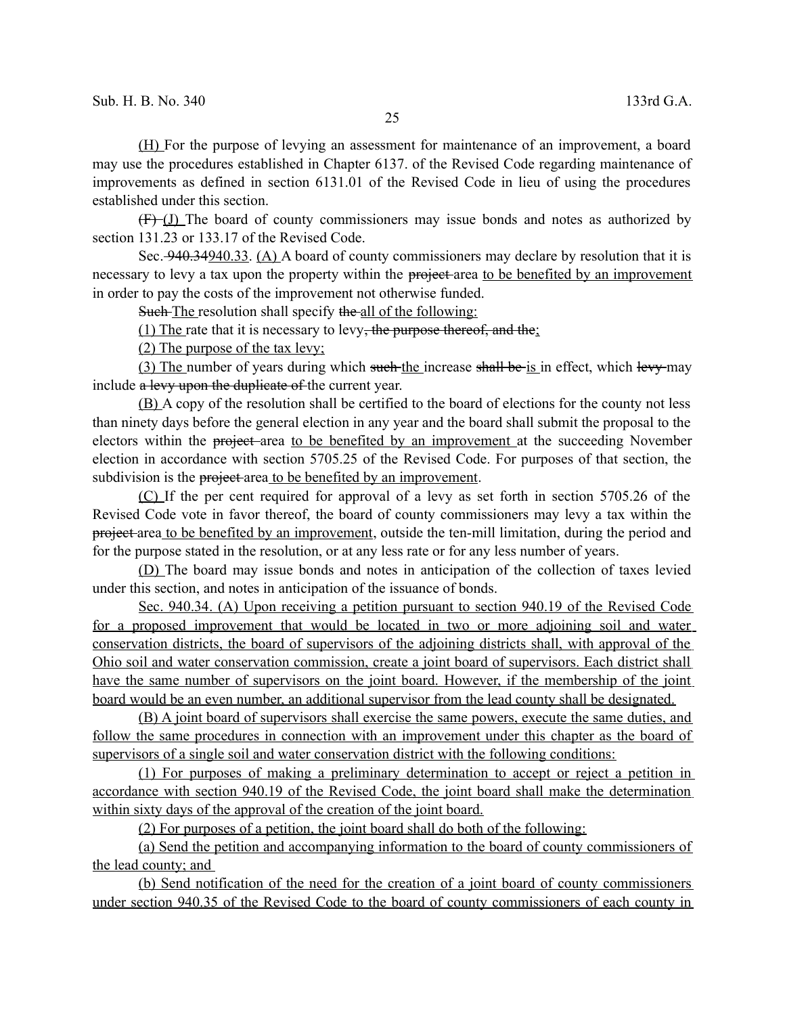(H) For the purpose of levying an assessment for maintenance of an improvement, a board may use the procedures established in Chapter 6137. of the Revised Code regarding maintenance of improvements as defined in section 6131.01 of the Revised Code in lieu of using the procedures established under this section.

(F) (J) The board of county commissioners may issue bonds and notes as authorized by section 131.23 or 133.17 of the Revised Code.

Sec. 940.34940.33. (A) A board of county commissioners may declare by resolution that it is necessary to levy a tax upon the property within the project-area to be benefited by an improvement in order to pay the costs of the improvement not otherwise funded.

Such The resolution shall specify the all of the following:

(1) The rate that it is necessary to levy, the purpose thereof, and the;

(2) The purpose of the tax levy;

(3) The number of years during which such the increase shall be is in effect, which levy may include a levy upon the duplicate of the current year.

(B) A copy of the resolution shall be certified to the board of elections for the county not less than ninety days before the general election in any year and the board shall submit the proposal to the electors within the project area to be benefited by an improvement at the succeeding November election in accordance with section 5705.25 of the Revised Code. For purposes of that section, the subdivision is the project-area to be benefited by an improvement.

(C) If the per cent required for approval of a levy as set forth in section 5705.26 of the Revised Code vote in favor thereof, the board of county commissioners may levy a tax within the project area to be benefited by an improvement, outside the ten-mill limitation, during the period and for the purpose stated in the resolution, or at any less rate or for any less number of years.

(D) The board may issue bonds and notes in anticipation of the collection of taxes levied under this section, and notes in anticipation of the issuance of bonds.

 Sec. 940.34. (A) Upon receiving a petition pursuant to section 940.19 of the Revised Code for a proposed improvement that would be located in two or more adjoining soil and water conservation districts, the board of supervisors of the adjoining districts shall, with approval of the Ohio soil and water conservation commission, create a joint board of supervisors. Each district shall have the same number of supervisors on the joint board. However, if the membership of the joint board would be an even number, an additional supervisor from the lead county shall be designated.

(B) A joint board of supervisors shall exercise the same powers, execute the same duties, and follow the same procedures in connection with an improvement under this chapter as the board of supervisors of a single soil and water conservation district with the following conditions:

(1) For purposes of making a preliminary determination to accept or reject a petition in accordance with section 940.19 of the Revised Code, the joint board shall make the determination within sixty days of the approval of the creation of the joint board.

(2) For purposes of a petition, the joint board shall do both of the following:

(a) Send the petition and accompanying information to the board of county commissioners of the lead county; and

(b) Send notification of the need for the creation of a joint board of county commissioners under section 940.35 of the Revised Code to the board of county commissioners of each county in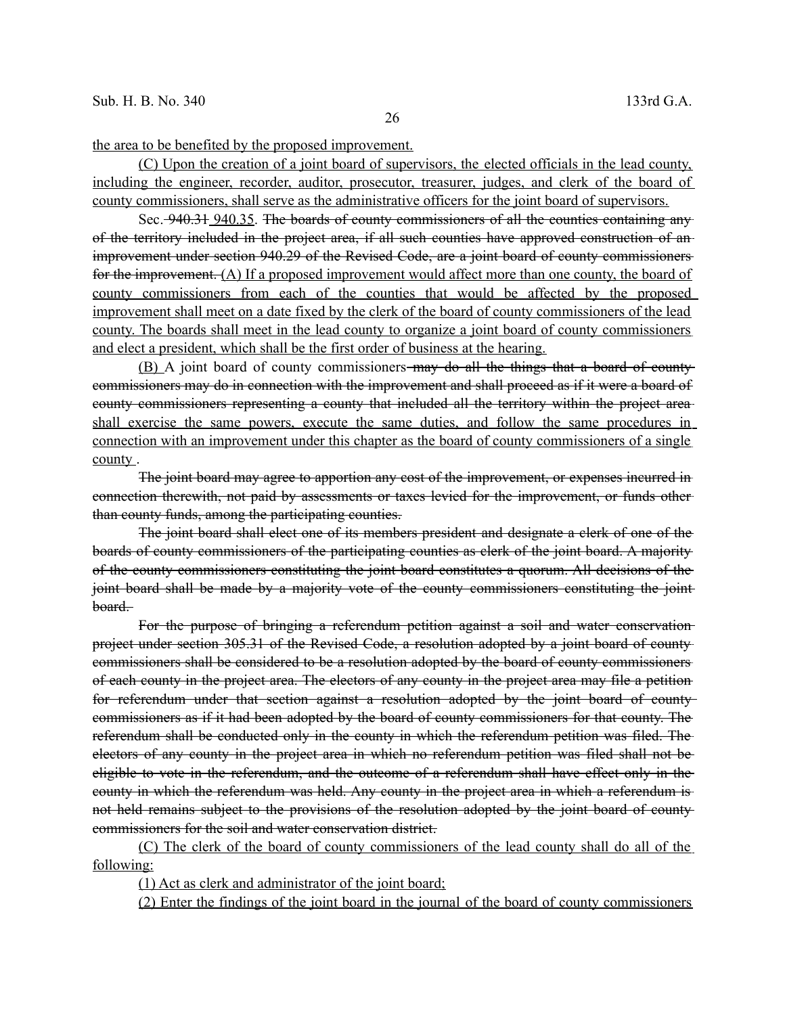the area to be benefited by the proposed improvement.

 (C) Upon the creation of a joint board of supervisors, the elected officials in the lead county, including the engineer, recorder, auditor, prosecutor, treasurer, judges, and clerk of the board of county commissioners, shall serve as the administrative officers for the joint board of supervisors.

Sec. 940.31 940.35. The boards of county commissioners of all the counties containing any of the territory included in the project area, if all such counties have approved construction of an improvement under section 940.29 of the Revised Code, are a joint board of county commissioners for the improvement.  $(A)$  If a proposed improvement would affect more than one county, the board of county commissioners from each of the counties that would be affected by the proposed improvement shall meet on a date fixed by the clerk of the board of county commissioners of the lead county. The boards shall meet in the lead county to organize a joint board of county commissioners and elect a president, which shall be the first order of business at the hearing.

(B) A joint board of county commissioners-may do all the things that a board of countycommissioners may do in connection with the improvement and shall proceed as if it were a board of county commissioners representing a county that included all the territory within the project area shall exercise the same powers, execute the same duties, and follow the same procedures in connection with an improvement under this chapter as the board of county commissioners of a single county.

The joint board may agree to apportion any cost of the improvement, or expenses incurred in connection therewith, not paid by assessments or taxes levied for the improvement, or funds other than county funds, among the participating counties.

The joint board shall elect one of its members president and designate a clerk of one of the boards of county commissioners of the participating counties as clerk of the joint board. A majority of the county commissioners constituting the joint board constitutes a quorum. All decisions of the joint board shall be made by a majority vote of the county commissioners constituting the jointboard.

For the purpose of bringing a referendum petition against a soil and water conservation project under section 305.31 of the Revised Code, a resolution adopted by a joint board of county commissioners shall be considered to be a resolution adopted by the board of county commissioners of each county in the project area. The electors of any county in the project area may file a petition for referendum under that section against a resolution adopted by the joint board of county commissioners as if it had been adopted by the board of county commissioners for that county. The referendum shall be conducted only in the county in which the referendum petition was filed. The electors of any county in the project area in which no referendum petition was filed shall not be eligible to vote in the referendum, and the outcome of a referendum shall have effect only in the county in which the referendum was held. Any county in the project area in which a referendum is not held remains subject to the provisions of the resolution adopted by the joint board of county commissioners for the soil and water conservation district.

(C) The clerk of the board of county commissioners of the lead county shall do all of the following:

(1) Act as clerk and administrator of the joint board;

(2) Enter the findings of the joint board in the journal of the board of county commissioners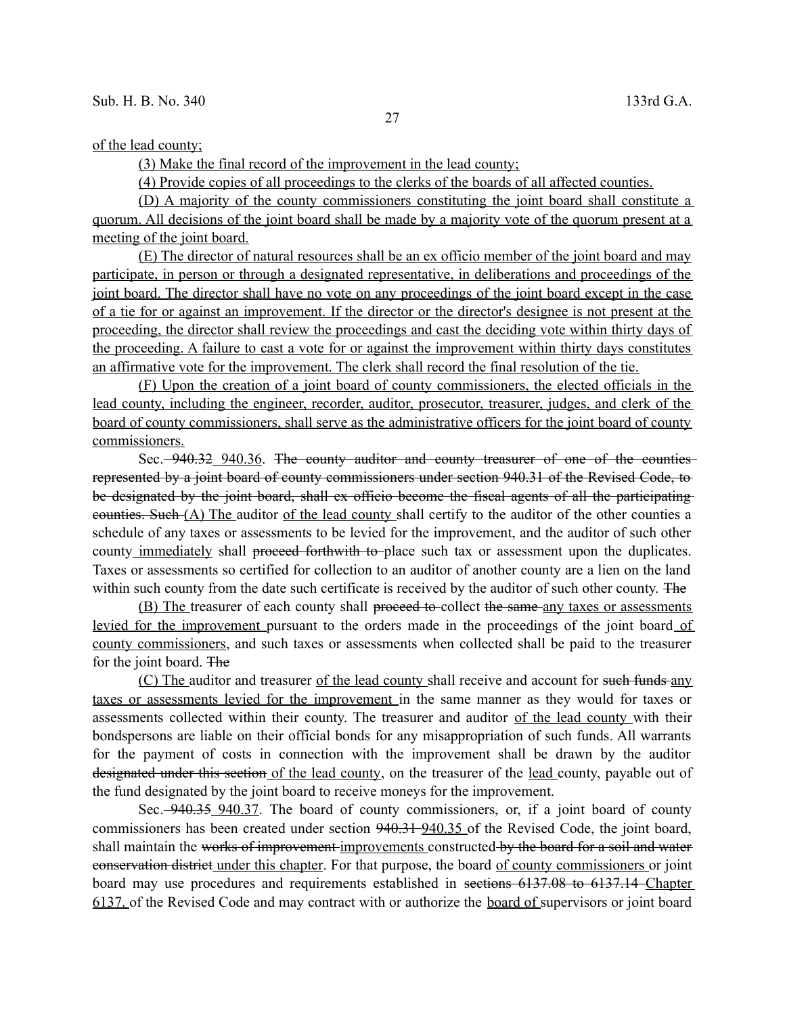(3) Make the final record of the improvement in the lead county;

(4) Provide copies of all proceedings to the clerks of the boards of all affected counties.

(D) A majority of the county commissioners constituting the joint board shall constitute a quorum. All decisions of the joint board shall be made by a majority vote of the quorum present at a meeting of the joint board.

 (E) The director of natural resources shall be an ex officio member of the joint board and may participate, in person or through a designated representative, in deliberations and proceedings of the joint board. The director shall have no vote on any proceedings of the joint board except in the case of a tie for or against an improvement. If the director or the director's designee is not present at the proceeding, the director shall review the proceedings and cast the deciding vote within thirty days of the proceeding. A failure to cast a vote for or against the improvement within thirty days constitutes an affirmative vote for the improvement. The clerk shall record the final resolution of the tie.

(F) Upon the creation of a joint board of county commissioners, the elected officials in the lead county, including the engineer, recorder, auditor, prosecutor, treasurer, judges, and clerk of the board of county commissioners, shall serve as the administrative officers for the joint board of county commissioners.

Sec. -940.32 940.36. The county auditor and county treasurer of one of the counties represented by a joint board of county commissioners under section 940.31 of the Revised Code, to be designated by the joint board, shall ex officio become the fiscal agents of all the participating counties. Such (A) The auditor of the lead county shall certify to the auditor of the other counties a schedule of any taxes or assessments to be levied for the improvement, and the auditor of such other county immediately shall proceed forthwith to place such tax or assessment upon the duplicates. Taxes or assessments so certified for collection to an auditor of another county are a lien on the land within such county from the date such certificate is received by the auditor of such other county. The

(B) The treasurer of each county shall proceed to-collect the same-any taxes or assessments levied for the improvement pursuant to the orders made in the proceedings of the joint board of county commissioners, and such taxes or assessments when collected shall be paid to the treasurer for the joint board. The

(C) The auditor and treasurer of the lead county shall receive and account for such funds any taxes or assessments levied for the improvement in the same manner as they would for taxes or assessments collected within their county. The treasurer and auditor of the lead county with their bondspersons are liable on their official bonds for any misappropriation of such funds. All warrants for the payment of costs in connection with the improvement shall be drawn by the auditor designated under this section of the lead county, on the treasurer of the lead county, payable out of the fund designated by the joint board to receive moneys for the improvement.

Sec.  $\frac{940.35}{940.37}$ . The board of county commissioners, or, if a joint board of county commissioners has been created under section 940.31 940.35 of the Revised Code, the joint board, shall maintain the works of improvement improvements constructed by the board for a soil and water conservation district under this chapter. For that purpose, the board of county commissioners or joint board may use procedures and requirements established in sections 6137.08 to 6137.14 Chapter 6137. of the Revised Code and may contract with or authorize the board of supervisors or joint board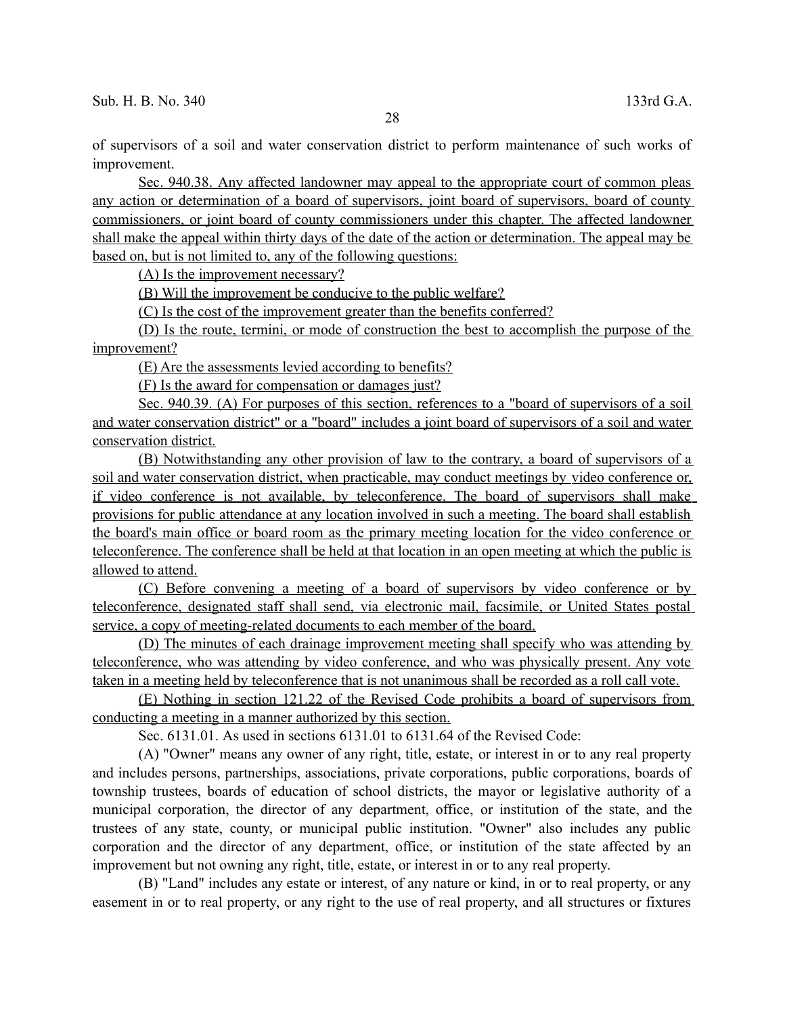of supervisors of a soil and water conservation district to perform maintenance of such works of improvement.

Sec. 940.38. Any affected landowner may appeal to the appropriate court of common pleas any action or determination of a board of supervisors, joint board of supervisors, board of county commissioners, or joint board of county commissioners under this chapter. The affected landowner shall make the appeal within thirty days of the date of the action or determination. The appeal may be based on, but is not limited to, any of the following questions:

(A) Is the improvement necessary?

(B) Will the improvement be conducive to the public welfare?

(C) Is the cost of the improvement greater than the benefits conferred?

(D) Is the route, termini, or mode of construction the best to accomplish the purpose of the improvement?

(E) Are the assessments levied according to benefits?

(F) Is the award for compensation or damages just?

 Sec. 940.39. (A) For purposes of this section, references to a "board of supervisors of a soil and water conservation district" or a "board" includes a joint board of supervisors of a soil and water conservation district.

(B) Notwithstanding any other provision of law to the contrary, a board of supervisors of a soil and water conservation district, when practicable, may conduct meetings by video conference or, if video conference is not available, by teleconference. The board of supervisors shall make provisions for public attendance at any location involved in such a meeting. The board shall establish the board's main office or board room as the primary meeting location for the video conference or teleconference. The conference shall be held at that location in an open meeting at which the public is allowed to attend.

(C) Before convening a meeting of a board of supervisors by video conference or by teleconference, designated staff shall send, via electronic mail, facsimile, or United States postal service, a copy of meeting-related documents to each member of the board.

(D) The minutes of each drainage improvement meeting shall specify who was attending by teleconference, who was attending by video conference, and who was physically present. Any vote taken in a meeting held by teleconference that is not unanimous shall be recorded as a roll call vote.

(E) Nothing in section 121.22 of the Revised Code prohibits a board of supervisors from conducting a meeting in a manner authorized by this section.

Sec. 6131.01. As used in sections 6131.01 to 6131.64 of the Revised Code:

(A) "Owner" means any owner of any right, title, estate, or interest in or to any real property and includes persons, partnerships, associations, private corporations, public corporations, boards of township trustees, boards of education of school districts, the mayor or legislative authority of a municipal corporation, the director of any department, office, or institution of the state, and the trustees of any state, county, or municipal public institution. "Owner" also includes any public corporation and the director of any department, office, or institution of the state affected by an improvement but not owning any right, title, estate, or interest in or to any real property.

(B) "Land" includes any estate or interest, of any nature or kind, in or to real property, or any easement in or to real property, or any right to the use of real property, and all structures or fixtures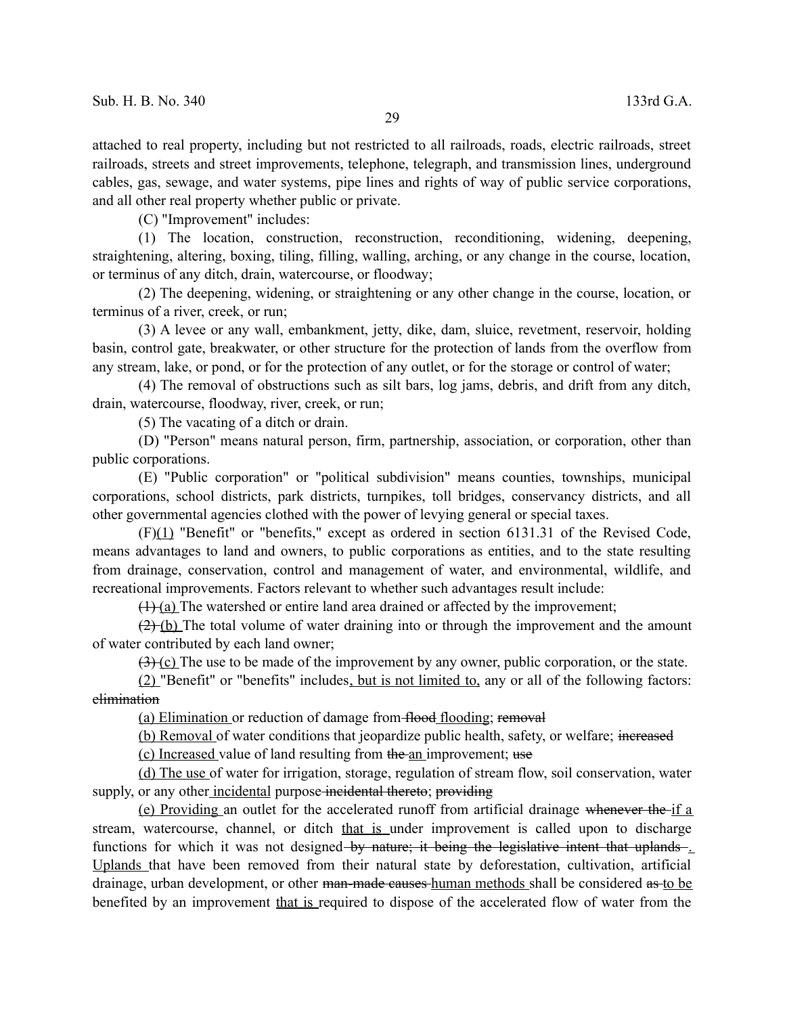attached to real property, including but not restricted to all railroads, roads, electric railroads, street railroads, streets and street improvements, telephone, telegraph, and transmission lines, underground cables, gas, sewage, and water systems, pipe lines and rights of way of public service corporations, and all other real property whether public or private.

(C) "Improvement" includes:

(1) The location, construction, reconstruction, reconditioning, widening, deepening, straightening, altering, boxing, tiling, filling, walling, arching, or any change in the course, location, or terminus of any ditch, drain, watercourse, or floodway;

(2) The deepening, widening, or straightening or any other change in the course, location, or terminus of a river, creek, or run;

(3) A levee or any wall, embankment, jetty, dike, dam, sluice, revetment, reservoir, holding basin, control gate, breakwater, or other structure for the protection of lands from the overflow from any stream, lake, or pond, or for the protection of any outlet, or for the storage or control of water;

(4) The removal of obstructions such as silt bars, log jams, debris, and drift from any ditch, drain, watercourse, floodway, river, creek, or run;

(5) The vacating of a ditch or drain.

(D) "Person" means natural person, firm, partnership, association, or corporation, other than public corporations.

(E) "Public corporation" or "political subdivision" means counties, townships, municipal corporations, school districts, park districts, turnpikes, toll bridges, conservancy districts, and all other governmental agencies clothed with the power of levying general or special taxes.

(F)(1) "Benefit" or "benefits," except as ordered in section 6131.31 of the Revised Code, means advantages to land and owners, to public corporations as entities, and to the state resulting from drainage, conservation, control and management of water, and environmental, wildlife, and recreational improvements. Factors relevant to whether such advantages result include:

 $(1)$  (a) The watershed or entire land area drained or affected by the improvement;

 $(2)$  (b) The total volume of water draining into or through the improvement and the amount of water contributed by each land owner;

 $(3)$  (c) The use to be made of the improvement by any owner, public corporation, or the state.

(2) "Benefit" or "benefits" includes , but is not limited to, any or all of the following factors: elimination

(a) Elimination or reduction of damage from flood flooding; removal

(b) Removal of water conditions that jeopardize public health, safety, or welfare; increased (c) Increased value of land resulting from the an improvement; use

(d) The use of water for irrigation, storage, regulation of stream flow, soil conservation, water supply, or any other incidental purpose-incidental thereto; providing

(e) Providing an outlet for the accelerated runoff from artificial drainage whenever the if a stream, watercourse, channel, or ditch that is under improvement is called upon to discharge functions for which it was not designed by nature; it being the legislative intent that uplands Uplands that have been removed from their natural state by deforestation, cultivation, artificial drainage, urban development, or other man-made causes-human methods shall be considered as to be benefited by an improvement that is required to dispose of the accelerated flow of water from the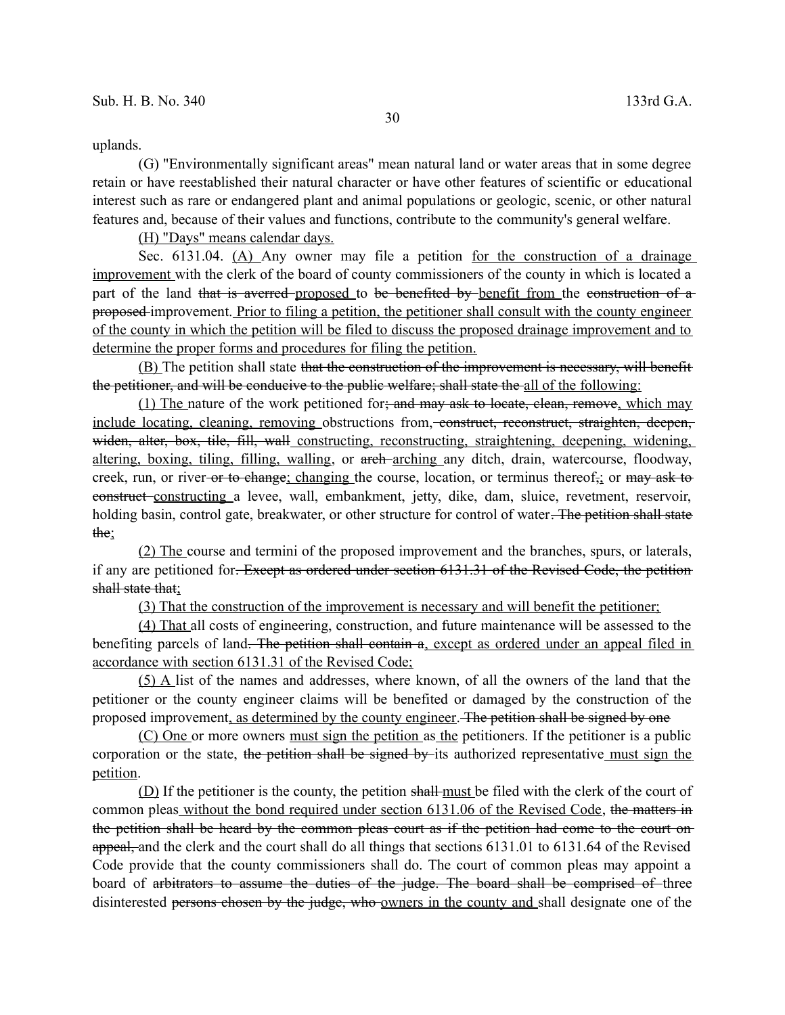uplands.

(G) "Environmentally significant areas" mean natural land or water areas that in some degree retain or have reestablished their natural character or have other features of scientific or educational interest such as rare or endangered plant and animal populations or geologic, scenic, or other natural features and, because of their values and functions, contribute to the community's general welfare.

(H) "Days" means calendar days.

Sec.  $6131.04$ .  $(A)$  Any owner may file a petition for the construction of a drainage improvement with the clerk of the board of county commissioners of the county in which is located a part of the land that is averred proposed to be benefited by benefit from the construction of a proposed improvement. Prior to filing a petition, the petitioner shall consult with the county engineer of the county in which the petition will be filed to discuss the proposed drainage improvement and to determine the proper forms and procedures for filing the petition.

(B) The petition shall state that the construction of the improvement is necessary, will benefit the petitioner, and will be conducive to the public welfare; shall state the all of the following:

(1) The nature of the work petitioned for; and may ask to locate, clean, remove, which may include locating, cleaning, removing obstructions from, construct, reconstruct, straighten, deepen, widen, alter, box, tile, fill, wall constructing, reconstructing, straightening, deepening, widening, altering, boxing, tiling, filling, walling, or arch arching any ditch, drain, watercourse, floodway, creek, run, or river or to change; changing the course, location, or terminus thereof,; or may ask to construct constructing a levee, wall, embankment, jetty, dike, dam, sluice, revetment, reservoir, holding basin, control gate, breakwater, or other structure for control of water. The petition shall state the;

(2) The course and termini of the proposed improvement and the branches, spurs, or laterals, if any are petitioned for. Except as ordered under section 6131.31 of the Revised Code, the petition shall state that:

(3) That the construction of the improvement is necessary and will benefit the petitioner;

(4) That all costs of engineering, construction, and future maintenance will be assessed to the benefiting parcels of land. The petition shall contain a, except as ordered under an appeal filed in accordance with section 6131.31 of the Revised Code;

(5) A list of the names and addresses, where known, of all the owners of the land that the petitioner or the county engineer claims will be benefited or damaged by the construction of the proposed improvement, as determined by the county engineer. The petition shall be signed by one

(C) One or more owners must sign the petition as the petitioners. If the petitioner is a public corporation or the state, the petition shall be signed by its authorized representative must sign the petition.

(D) If the petitioner is the county, the petition shall must be filed with the clerk of the court of common pleas without the bond required under section 6131.06 of the Revised Code, the matters in the petition shall be heard by the common pleas court as if the petition had come to the court on appeal, and the clerk and the court shall do all things that sections 6131.01 to 6131.64 of the Revised Code provide that the county commissioners shall do. The court of common pleas may appoint a board of arbitrators to assume the duties of the judge. The board shall be comprised of three disinterested persons chosen by the judge, who owners in the county and shall designate one of the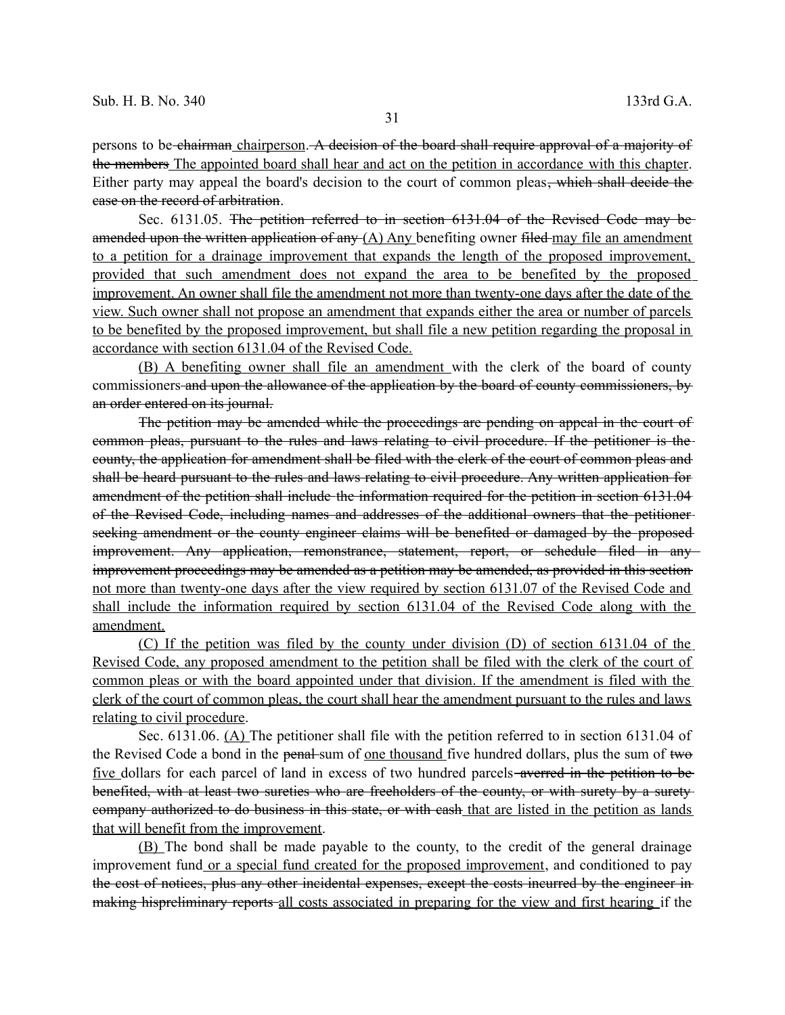persons to be chairman chairperson. A decision of the board shall require approval of a majority of the members The appointed board shall hear and act on the petition in accordance with this chapter. Either party may appeal the board's decision to the court of common pleas, which shall decide the case on the record of arbitration.

Sec. 6131.05. The petition referred to in section 6131.04 of the Revised Code may be amended upon the written application of any  $(A)$  Any benefiting owner filed may file an amendment to a petition for a drainage improvement that expands the length of the proposed improvement, provided that such amendment does not expand the area to be benefited by the proposed improvement. An owner shall file the amendment not more than twenty-one days after the date of the view. Such owner shall not propose an amendment that expands either the area or number of parcels to be benefited by the proposed improvement, but shall file a new petition regarding the proposal in accordance with section 6131.04 of the Revised Code.

(B) A benefiting owner shall file an amendment with the clerk of the board of county commissioners and upon the allowance of the application by the board of county commissioners, by an order entered on its journal.

The petition may be amended while the proceedings are pending on appeal in the court of common pleas, pursuant to the rules and laws relating to civil procedure. If the petitioner is the county, the application for amendment shall be filed with the clerk of the court of common pleas and shall be heard pursuant to the rules and laws relating to civil procedure. Any written application for amendment of the petition shall include the information required for the petition in section 6131.04 of the Revised Code, including names and addresses of the additional owners that the petitioner seeking amendment or the county engineer claims will be benefited or damaged by the proposed improvement. Any application, remonstrance, statement, report, or schedule filed in any improvement proceedings may be amended as a petition may be amended, as provided in this section not more than twenty-one days after the view required by section 6131.07 of the Revised Code and shall include the information required by section 6131.04 of the Revised Code along with the amendment.

(C) If the petition was filed by the county under division (D) of section 6131.04 of the Revised Code, any proposed amendment to the petition shall be filed with the clerk of the court of common pleas or with the board appointed under that division. If the amendment is filed with the clerk of the court of common pleas, the court shall hear the amendment pursuant to the rules and laws relating to civil procedure.

Sec. 6131.06. (A) The petitioner shall file with the petition referred to in section 6131.04 of the Revised Code a bond in the penal sum of <u>one thousand</u> five hundred dollars, plus the sum of two five dollars for each parcel of land in excess of two hundred parcels-averred in the petition to be benefited, with at least two sureties who are freeholders of the county, or with surety by a surety company authorized to do business in this state, or with cash that are listed in the petition as lands that will benefit from the improvement.

(B) The bond shall be made payable to the county, to the credit of the general drainage improvement fund or a special fund created for the proposed improvement, and conditioned to pay the cost of notices, plus any other incidental expenses, except the costs incurred by the engineer in making hispreliminary reports all costs associated in preparing for the view and first hearing if the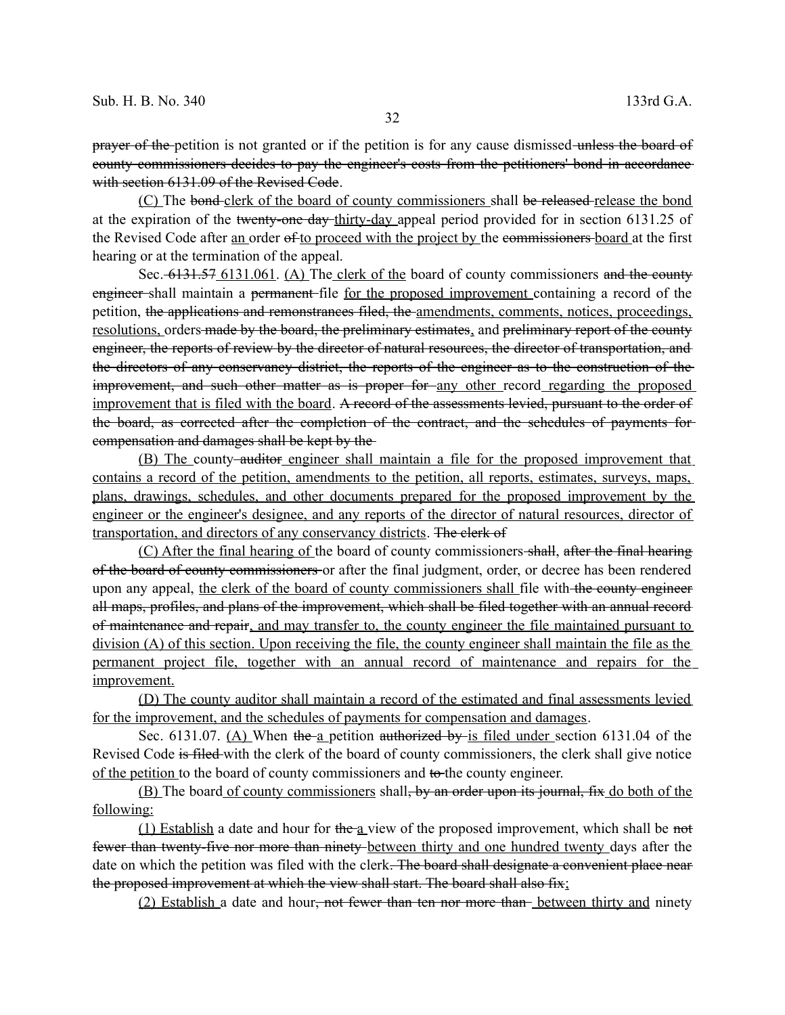prayer of the petition is not granted or if the petition is for any cause dismissed unless the board of county commissioners decides to pay the engineer's costs from the petitioners' bond in accordance with section 6131.09 of the Revised Code.

(C) The bond clerk of the board of county commissioners shall be released release the bond at the expiration of the twenty-one day thirty-day appeal period provided for in section 6131.25 of the Revised Code after <u>an</u> order of to proceed with the project by the commissioners board at the first hearing or at the termination of the appeal.

Sec. 6131.57 6131.061. (A) The clerk of the board of county commissioners and the county engineer shall maintain a permanent file for the proposed improvement containing a record of the petition, the applications and remonstrances filed, the amendments, comments, notices, proceedings, resolutions, orders made by the board, the preliminary estimates, and preliminary report of the county engineer, the reports of review by the director of natural resources, the director of transportation, and the directors of any conservancy district, the reports of the engineer as to the construction of the improvement, and such other matter as is proper for any other record regarding the proposed improvement that is filed with the board. A record of the assessments levied, pursuant to the order of the board, as corrected after the completion of the contract, and the schedules of payments for compensation and damages shall be kept by the

(B) The county auditor engineer shall maintain a file for the proposed improvement that contains a record of the petition, amendments to the petition, all reports, estimates, surveys, maps, plans, drawings, schedules, and other documents prepared for the proposed improvement by the engineer or the engineer's designee, and any reports of the director of natural resources, director of transportation, and directors of any conservancy districts. The clerk of

(C) After the final hearing of the board of county commissioners shall, after the final hearing of the board of county commissioners or after the final judgment, order, or decree has been rendered upon any appeal, the clerk of the board of county commissioners shall file with the county engineer all maps, profiles, and plans of the improvement, which shall be filed together with an annual record of maintenance and repair, and may transfer to, the county engineer the file maintained pursuant to division (A) of this section. Upon receiving the file, the county engineer shall maintain the file as the permanent project file, together with an annual record of maintenance and repairs for the improvement.

(D) The county auditor shall maintain a record of the estimated and final assessments levied for the improvement, and the schedules of payments for compensation and damages.

Sec. 6131.07. (A) When the a petition authorized by is filed under section 6131.04 of the Revised Code is filed with the clerk of the board of county commissioners, the clerk shall give notice of the petition to the board of county commissioners and to the county engineer.

(B) The board of county commissioners shall, by an order upon its journal, fix do both of the following:

(1) Establish a date and hour for the a view of the proposed improvement, which shall be not fewer than twenty-five nor more than ninety between thirty and one hundred twenty days after the date on which the petition was filed with the clerk. The board shall designate a convenient place near the proposed improvement at which the view shall start. The board shall also fix;

(2) Establish a date and hour<del>, not fewer than ten nor more than</del> between thirty and ninety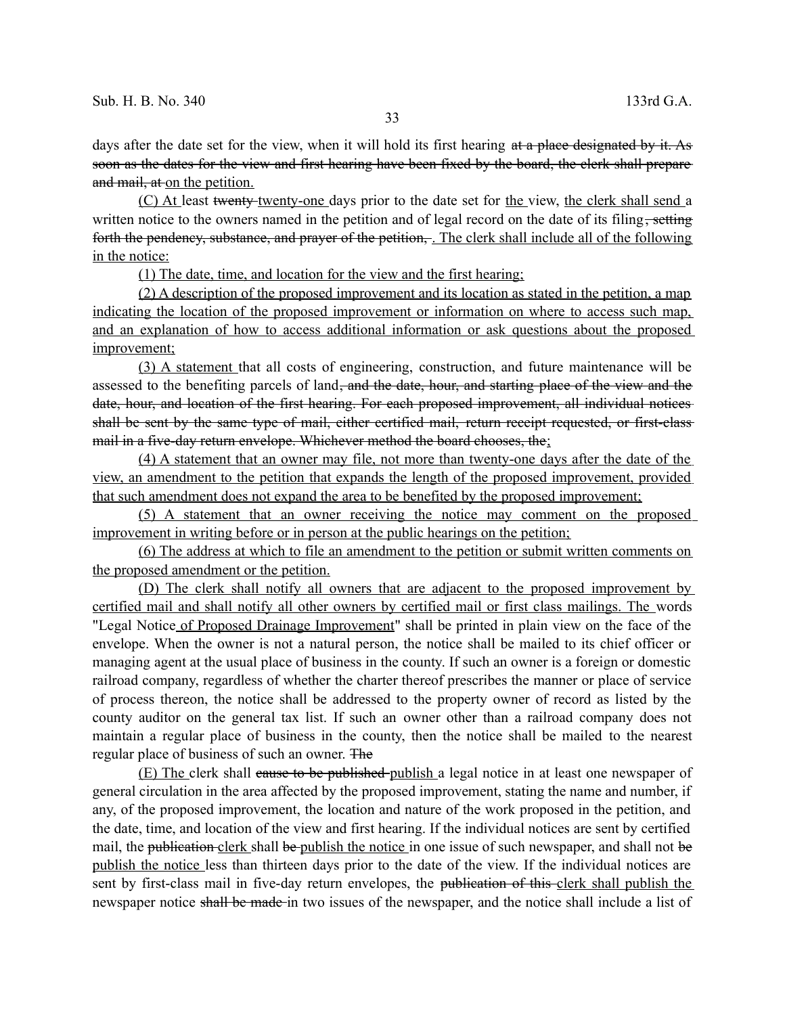days after the date set for the view, when it will hold its first hearing at a place designated by it. As soon as the dates for the view and first hearing have been fixed by the board, the clerk shall prepare and mail, at on the petition.

(C) At least twenty-twenty-one days prior to the date set for the view, the clerk shall send a written notice to the owners named in the petition and of legal record on the date of its filing, setting forth the pendency, substance, and prayer of the petition,. The clerk shall include all of the following in the notice:

(1) The date, time, and location for the view and the first hearing;

(2) A description of the proposed improvement and its location as stated in the petition, a map indicating the location of the proposed improvement or information on where to access such map, and an explanation of how to access additional information or ask questions about the proposed improvement;

(3) A statement that all costs of engineering, construction, and future maintenance will be assessed to the benefiting parcels of land, and the date, hour, and starting place of the view and the date, hour, and location of the first hearing. For each proposed improvement, all individual notices shall be sent by the same type of mail, either certified mail, return receipt requested, or first-class mail in a five-day return envelope. Whichever method the board chooses, the;

(4) A statement that an owner may file, not more than twenty-one days after the date of the view, an amendment to the petition that expands the length of the proposed improvement, provided that such amendment does not expand the area to be benefited by the proposed improvement;

(5) A statement that an owner receiving the notice may comment on the proposed improvement in writing before or in person at the public hearings on the petition;

(6) The address at which to file an amendment to the petition or submit written comments on the proposed amendment or the petition.

(D) The clerk shall notify all owners that are adjacent to the proposed improvement by certified mail and shall notify all other owners by certified mail or first class mailings. The words "Legal Notice of Proposed Drainage Improvement" shall be printed in plain view on the face of the envelope. When the owner is not a natural person, the notice shall be mailed to its chief officer or managing agent at the usual place of business in the county. If such an owner is a foreign or domestic railroad company, regardless of whether the charter thereof prescribes the manner or place of service of process thereon, the notice shall be addressed to the property owner of record as listed by the county auditor on the general tax list. If such an owner other than a railroad company does not maintain a regular place of business in the county, then the notice shall be mailed to the nearest regular place of business of such an owner. The

(E) The clerk shall cause to be published publish a legal notice in at least one newspaper of general circulation in the area affected by the proposed improvement, stating the name and number, if any, of the proposed improvement, the location and nature of the work proposed in the petition, and the date, time, and location of the view and first hearing. If the individual notices are sent by certified mail, the publication clerk shall be publish the notice in one issue of such newspaper, and shall not be publish the notice less than thirteen days prior to the date of the view. If the individual notices are sent by first-class mail in five-day return envelopes, the publication of this-clerk shall publish the newspaper notice shall be made in two issues of the newspaper, and the notice shall include a list of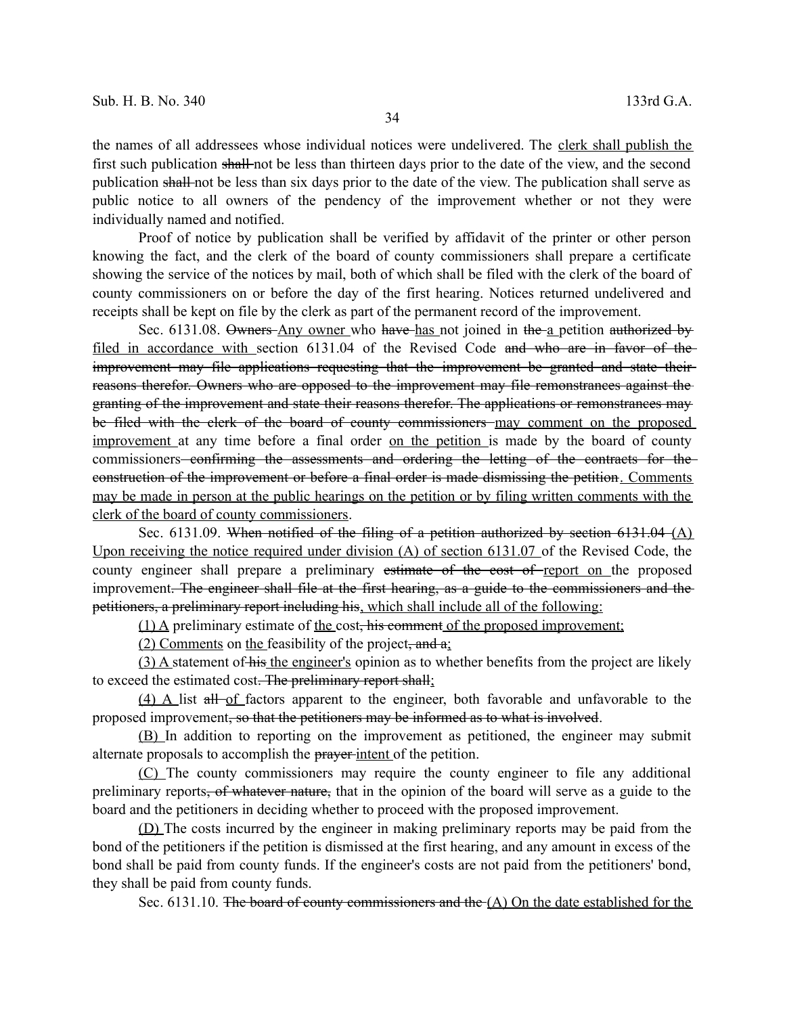the names of all addressees whose individual notices were undelivered. The clerk shall publish the first such publication shall not be less than thirteen days prior to the date of the view, and the second publication shall not be less than six days prior to the date of the view. The publication shall serve as public notice to all owners of the pendency of the improvement whether or not they were individually named and notified.

Proof of notice by publication shall be verified by affidavit of the printer or other person knowing the fact, and the clerk of the board of county commissioners shall prepare a certificate showing the service of the notices by mail, both of which shall be filed with the clerk of the board of county commissioners on or before the day of the first hearing. Notices returned undelivered and receipts shall be kept on file by the clerk as part of the permanent record of the improvement.

Sec. 6131.08. Owners Any owner who have has not joined in the a petition authorized by filed in accordance with section 6131.04 of the Revised Code and who are in favor of the improvement may file applications requesting that the improvement be granted and state their reasons therefor. Owners who are opposed to the improvement may file remonstrances against the granting of the improvement and state their reasons therefor. The applications or remonstrances may be filed with the clerk of the board of county commissioners may comment on the proposed improvement at any time before a final order on the petition is made by the board of county commissioners<del> confirming the assessments and ordering the letting of the contracts for the</del> construction of the improvement or before a final order is made dismissing the petition. Comments may be made in person at the public hearings on the petition or by filing written comments with the clerk of the board of county commissioners.

Sec. 6131.09. When notified of the filing of a petition authorized by section 6131.04 (A) Upon receiving the notice required under division (A) of section 6131.07 of the Revised Code, the county engineer shall prepare a preliminary estimate of the cost of report on the proposed improvement. The engineer shall file at the first hearing, as a guide to the commissioners and the petitioners, a preliminary report including his, which shall include all of the following:

(1) A preliminary estimate of the cost, his comment of the proposed improvement;

(2) Comments on the feasibility of the project, and  $a_i$ 

(3) A statement of his the engineer's opinion as to whether benefits from the project are likely to exceed the estimated cost. The preliminary report shall;

(4) A list all of factors apparent to the engineer, both favorable and unfavorable to the proposed improvement, so that the petitioners may be informed as to what is involved.

(B) In addition to reporting on the improvement as petitioned, the engineer may submit alternate proposals to accomplish the prayer intent of the petition.

(C) The county commissioners may require the county engineer to file any additional preliminary reports, of whatever nature, that in the opinion of the board will serve as a guide to the board and the petitioners in deciding whether to proceed with the proposed improvement.

(D) The costs incurred by the engineer in making preliminary reports may be paid from the bond of the petitioners if the petition is dismissed at the first hearing, and any amount in excess of the bond shall be paid from county funds. If the engineer's costs are not paid from the petitioners' bond, they shall be paid from county funds.

Sec. 6131.10. The board of county commissioners and the  $(A)$  On the date established for the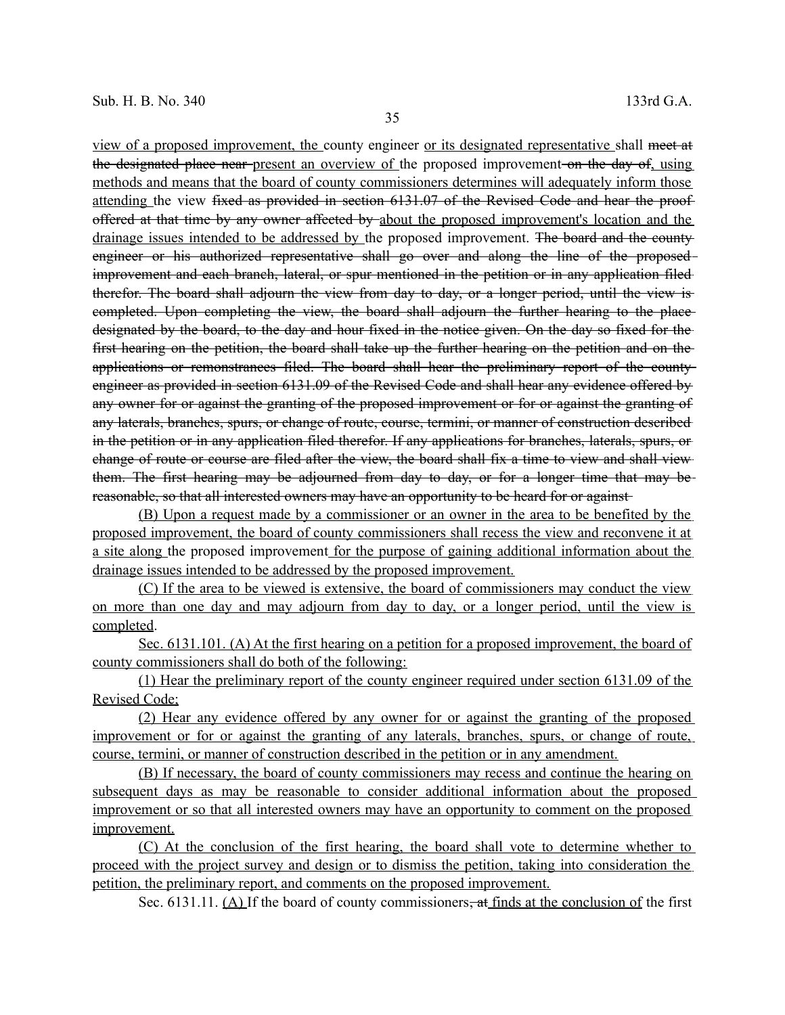view of a proposed improvement, the county engineer or its designated representative shall meet at the designated place near present an overview of the proposed improvement on the day of, using methods and means that the board of county commissioners determines will adequately inform those attending the view fixed as provided in section 6131.07 of the Revised Code and hear the proof offered at that time by any owner affected by about the proposed improvement's location and the drainage issues intended to be addressed by the proposed improvement. The board and the county engineer or his authorized representative shall go over and along the line of the proposedimprovement and each branch, lateral, or spur mentioned in the petition or in any application filed therefor. The board shall adjourn the view from day to day, or a longer period, until the view is completed. Upon completing the view, the board shall adjourn the further hearing to the place designated by the board, to the day and hour fixed in the notice given. On the day so fixed for the first hearing on the petition, the board shall take up the further hearing on the petition and on the applications or remonstrances filed. The board shall hear the preliminary report of the county engineer as provided in section 6131.09 of the Revised Code and shall hear any evidence offered by any owner for or against the granting of the proposed improvement or for or against the granting of any laterals, branches, spurs, or change of route, course, termini, or manner of construction described in the petition or in any application filed therefor. If any applications for branches, laterals, spurs, or change of route or course are filed after the view, the board shall fix a time to view and shall view them. The first hearing may be adjourned from day to day, or for a longer time that may be reasonable, so that all interested owners may have an opportunity to be heard for or against

(B) Upon a request made by a commissioner or an owner in the area to be benefited by the proposed improvement, the board of county commissioners shall recess the view and reconvene it at a site along the proposed improvement for the purpose of gaining additional information about the drainage issues intended to be addressed by the proposed improvement.

(C) If the area to be viewed is extensive, the board of commissioners may conduct the view on more than one day and may adjourn from day to day, or a longer period, until the view is completed.

Sec. 6131.101. (A) At the first hearing on a petition for a proposed improvement, the board of county commissioners shall do both of the following:

(1) Hear the preliminary report of the county engineer required under section 6131.09 of the Revised Code;

(2) Hear any evidence offered by any owner for or against the granting of the proposed improvement or for or against the granting of any laterals, branches, spurs, or change of route, course, termini, or manner of construction described in the petition or in any amendment.

(B) If necessary, the board of county commissioners may recess and continue the hearing on subsequent days as may be reasonable to consider additional information about the proposed improvement or so that all interested owners may have an opportunity to comment on the proposed improvement.

(C) At the conclusion of the first hearing, the board shall vote to determine whether to proceed with the project survey and design or to dismiss the petition, taking into consideration the petition, the preliminary report, and comments on the proposed improvement.

Sec. 6131.11.  $(A)$  If the board of county commissioners<del>, at finds at the conclusion of</del> the first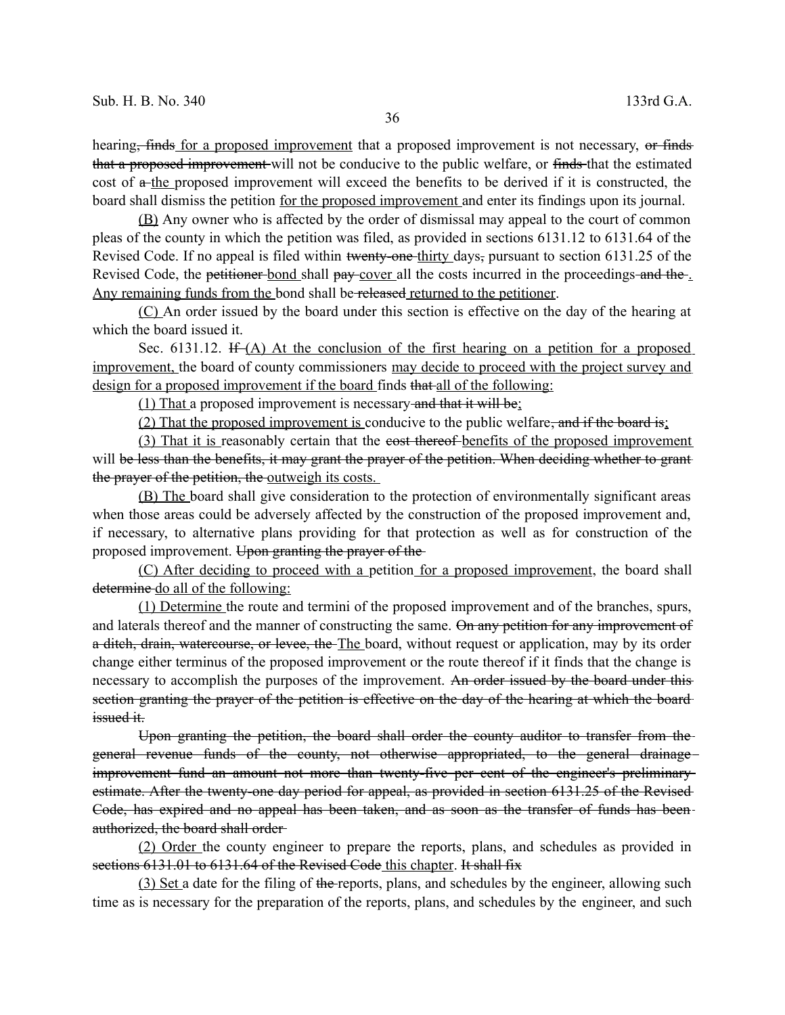hearing, finds for a proposed improvement that a proposed improvement is not necessary, or finds that a proposed improvement will not be conducive to the public welfare, or finds that the estimated cost of  $a$ -the proposed improvement will exceed the benefits to be derived if it is constructed, the board shall dismiss the petition for the proposed improvement and enter its findings upon its journal.

(B) Any owner who is affected by the order of dismissal may appeal to the court of common pleas of the county in which the petition was filed, as provided in sections 6131.12 to 6131.64 of the Revised Code. If no appeal is filed within twenty-one-thirty days, pursuant to section 6131.25 of the Revised Code, the petitioner-bond shall pay-cover all the costs incurred in the proceedings and the Any remaining funds from the bond shall be released returned to the petitioner.

(C) An order issued by the board under this section is effective on the day of the hearing at which the board issued it.

Sec. 6131.12. If  $(A)$  At the conclusion of the first hearing on a petition for a proposed improvement, the board of county commissioners may decide to proceed with the project survey and design for a proposed improvement if the board finds that all of the following:

(1) That a proposed improvement is necessary and that it will be;

(2) That the proposed improvement is conducive to the public welfare, and if the board is;

(3) That it is reasonably certain that the eost thereof-benefits of the proposed improvement will be less than the benefits, it may grant the prayer of the petition. When deciding whether to grant the prayer of the petition, the outweigh its costs.

(B) The board shall give consideration to the protection of environmentally significant areas when those areas could be adversely affected by the construction of the proposed improvement and, if necessary, to alternative plans providing for that protection as well as for construction of the proposed improvement. Upon granting the prayer of the

(C) After deciding to proceed with a petition for a proposed improvement, the board shall determine do all of the following:

(1) Determine the route and termini of the proposed improvement and of the branches, spurs, and laterals thereof and the manner of constructing the same. On any petition for any improvement of a ditch, drain, watercourse, or levee, the The board, without request or application, may by its order change either terminus of the proposed improvement or the route thereof if it finds that the change is necessary to accomplish the purposes of the improvement. An order issued by the board under this section granting the prayer of the petition is effective on the day of the hearing at which the board issued it.

Upon granting the petition, the board shall order the county auditor to transfer from the general revenue funds of the county, not otherwise appropriated, to the general drainage improvement fund an amount not more than twenty-five per cent of the engineer's preliminary estimate. After the twenty-one day period for appeal, as provided in section 6131.25 of the Revised Code, has expired and no appeal has been taken, and as soon as the transfer of funds has been authorized, the board shall order

(2) Order the county engineer to prepare the reports, plans, and schedules as provided in sections 6131.01 to 6131.64 of the Revised Code this chapter. It shall fix

(3) Set a date for the filing of the reports, plans, and schedules by the engineer, allowing such time as is necessary for the preparation of the reports, plans, and schedules by the engineer, and such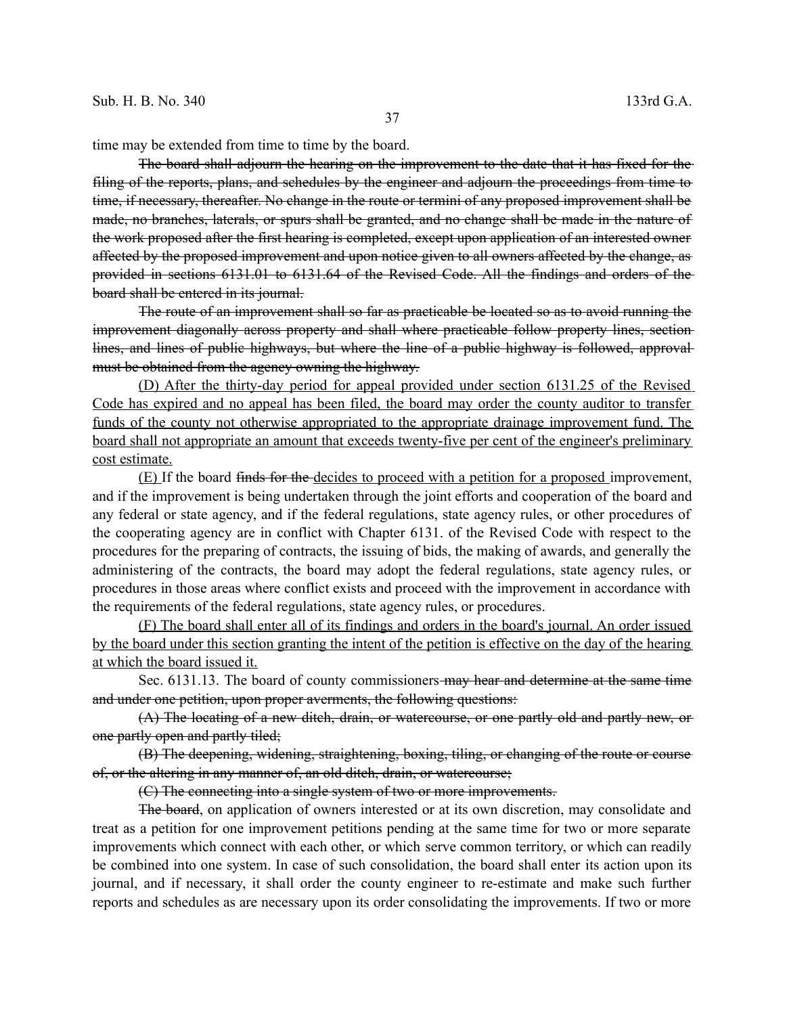time may be extended from time to time by the board.

The board shall adjourn the hearing on the improvement to the date that it has fixed for the filing of the reports, plans, and schedules by the engineer and adjourn the proceedings from time to time, if necessary, thereafter. No change in the route or termini of any proposed improvement shall be made, no branches, laterals, or spurs shall be granted, and no change shall be made in the nature of the work proposed after the first hearing is completed, except upon application of an interested owner affected by the proposed improvement and upon notice given to all owners affected by the change, as provided in sections 6131.01 to 6131.64 of the Revised Code. All the findings and orders of the board shall be entered in its journal.

The route of an improvement shall so far as practicable be located so as to avoid running the improvement diagonally across property and shall where practicable follow property lines, section lines, and lines of public highways, but where the line of a public highway is followed, approval must be obtained from the agency owning the highway.

(D) After the thirty-day period for appeal provided under section 6131.25 of the Revised Code has expired and no appeal has been filed, the board may order the county auditor to transfer funds of the county not otherwise appropriated to the appropriate drainage improvement fund. The board shall not appropriate an amount that exceeds twenty-five per cent of the engineer's preliminary cost estimate.

(E) If the board finds for the decides to proceed with a petition for a proposed improvement, and if the improvement is being undertaken through the joint efforts and cooperation of the board and any federal or state agency, and if the federal regulations, state agency rules, or other procedures of the cooperating agency are in conflict with Chapter 6131. of the Revised Code with respect to the procedures for the preparing of contracts, the issuing of bids, the making of awards, and generally the administering of the contracts, the board may adopt the federal regulations, state agency rules, or procedures in those areas where conflict exists and proceed with the improvement in accordance with the requirements of the federal regulations, state agency rules, or procedures.

(F) The board shall enter all of its findings and orders in the board's journal. An order issued by the board under this section granting the intent of the petition is effective on the day of the hearing at which the board issued it.

Sec. 6131.13. The board of county commissioners may hear and determine at the same time and under one petition, upon proper averments, the following questions:

(A) The locating of a new ditch, drain, or watercourse, or one partly old and partly new, or one partly open and partly tiled;

(B) The deepening, widening, straightening, boxing, tiling, or changing of the route or course of, or the altering in any manner of, an old ditch, drain, or watercourse;

(C) The connecting into a single system of two or more improvements.

The board, on application of owners interested or at its own discretion, may consolidate and treat as a petition for one improvement petitions pending at the same time for two or more separate improvements which connect with each other, or which serve common territory, or which can readily be combined into one system. In case of such consolidation, the board shall enter its action upon its journal, and if necessary, it shall order the county engineer to re-estimate and make such further reports and schedules as are necessary upon its order consolidating the improvements. If two or more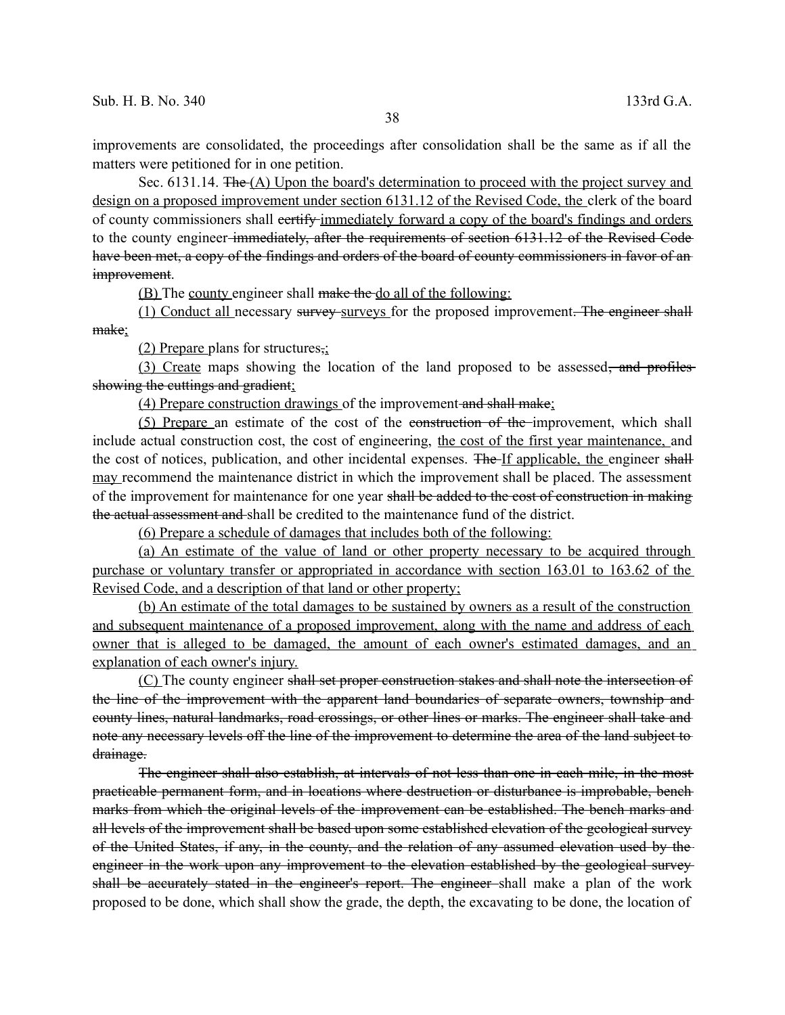improvements are consolidated, the proceedings after consolidation shall be the same as if all the matters were petitioned for in one petition.

Sec. 6131.14. The (A) Upon the board's determination to proceed with the project survey and design on a proposed improvement under section 6131.12 of the Revised Code, the clerk of the board of county commissioners shall eertify immediately forward a copy of the board's findings and orders to the county engineer immediately, after the requirements of section 6131.12 of the Revised Code have been met, a copy of the findings and orders of the board of county commissioners in favor of an improvement.

(B) The county engineer shall make the do all of the following:

(1) Conduct all necessary survey surveys for the proposed improvement. The engineer shall make:

(2) Prepare plans for structures,;

(3) Create maps showing the location of the land proposed to be assessed, and profiles showing the cuttings and gradient;

(4) Prepare construction drawings of the improvement and shall make;

(5) Prepare an estimate of the cost of the construction of the improvement, which shall include actual construction cost, the cost of engineering, the cost of the first year maintenance, and the cost of notices, publication, and other incidental expenses. The If applicable, the engineer shall may recommend the maintenance district in which the improvement shall be placed. The assessment of the improvement for maintenance for one year shall be added to the cost of construction in making the actual assessment and shall be credited to the maintenance fund of the district.

(6) Prepare a schedule of damages that includes both of the following:

(a) An estimate of the value of land or other property necessary to be acquired through purchase or voluntary transfer or appropriated in accordance with section 163.01 to 163.62 of the Revised Code, and a description of that land or other property;

(b) An estimate of the total damages to be sustained by owners as a result of the construction and subsequent maintenance of a proposed improvement, along with the name and address of each owner that is alleged to be damaged, the amount of each owner's estimated damages, and an explanation of each owner's injury.

(C) The county engineer shall set proper construction stakes and shall note the intersection of the line of the improvement with the apparent land boundaries of separate owners, township and county lines, natural landmarks, road crossings, or other lines or marks. The engineer shall take and note any necessary levels off the line of the improvement to determine the area of the land subject to drainage.

The engineer shall also establish, at intervals of not less than one in each mile, in the most practicable permanent form, and in locations where destruction or disturbance is improbable, bench marks from which the original levels of the improvement can be established. The bench marks and all levels of the improvement shall be based upon some established elevation of the geological survey of the United States, if any, in the county, and the relation of any assumed elevation used by the engineer in the work upon any improvement to the elevation established by the geological survey shall be accurately stated in the engineer's report. The engineer shall make a plan of the work proposed to be done, which shall show the grade, the depth, the excavating to be done, the location of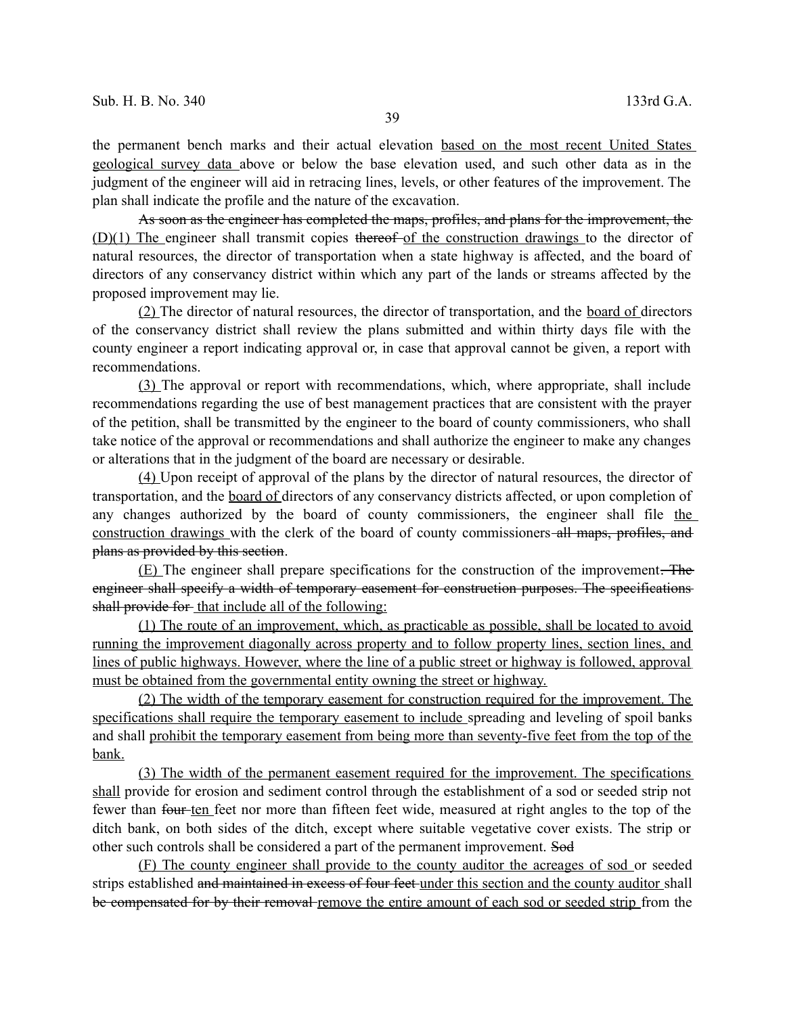the permanent bench marks and their actual elevation based on the most recent United States geological survey data above or below the base elevation used, and such other data as in the judgment of the engineer will aid in retracing lines, levels, or other features of the improvement. The plan shall indicate the profile and the nature of the excavation.

As soon as the engineer has completed the maps, profiles, and plans for the improvement, the (D)(1) The engineer shall transmit copies thereof of the construction drawings to the director of natural resources, the director of transportation when a state highway is affected, and the board of directors of any conservancy district within which any part of the lands or streams affected by the proposed improvement may lie.

(2) The director of natural resources, the director of transportation, and the board of directors of the conservancy district shall review the plans submitted and within thirty days file with the county engineer a report indicating approval or, in case that approval cannot be given, a report with recommendations.

(3) The approval or report with recommendations, which, where appropriate, shall include recommendations regarding the use of best management practices that are consistent with the prayer of the petition, shall be transmitted by the engineer to the board of county commissioners, who shall take notice of the approval or recommendations and shall authorize the engineer to make any changes or alterations that in the judgment of the board are necessary or desirable.

(4) Upon receipt of approval of the plans by the director of natural resources, the director of transportation, and the board of directors of any conservancy districts affected, or upon completion of any changes authorized by the board of county commissioners, the engineer shall file the construction drawings with the clerk of the board of county commissioners all maps, profiles, and plans as provided by this section.

(E) The engineer shall prepare specifications for the construction of the improvement. The engineer shall specify a width of temporary easement for construction purposes. The specifications shall provide for that include all of the following:

(1) The route of an improvement, which, as practicable as possible, shall be located to avoid running the improvement diagonally across property and to follow property lines, section lines, and lines of public highways. However, where the line of a public street or highway is followed, approval must be obtained from the governmental entity owning the street or highway.

(2) The width of the temporary easement for construction required for the improvement. The specifications shall require the temporary easement to include spreading and leveling of spoil banks and shall prohibit the temporary easement from being more than seventy-five feet from the top of the bank.

(3) The width of the permanent easement required for the improvement. The specifications shall provide for erosion and sediment control through the establishment of a sod or seeded strip not fewer than four ten feet nor more than fifteen feet wide, measured at right angles to the top of the ditch bank, on both sides of the ditch, except where suitable vegetative cover exists. The strip or other such controls shall be considered a part of the permanent improvement. Sod

(F) The county engineer shall provide to the county auditor the acreages of sod or seeded strips established and maintained in excess of four feet under this section and the county auditor shall be compensated for by their removal remove the entire amount of each sod or seeded strip from the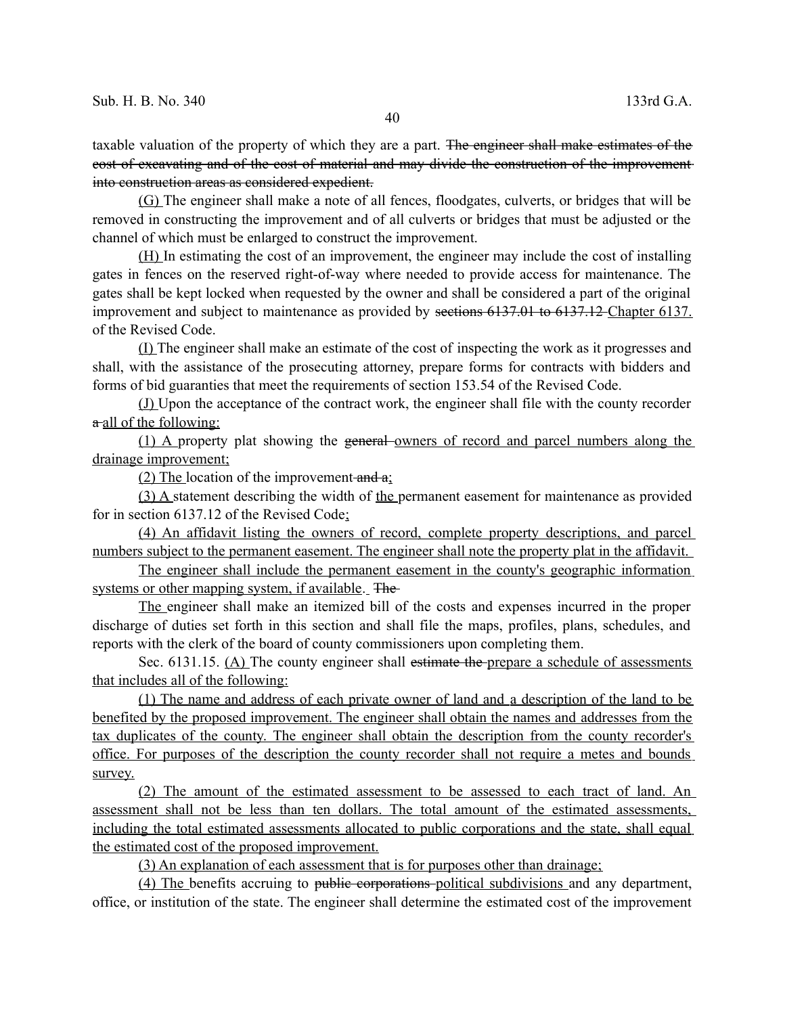taxable valuation of the property of which they are a part. The engineer shall make estimates of the cost of excavating and of the cost of material and may divide the construction of the improvement into construction areas as considered expedient.

(G) The engineer shall make a note of all fences, floodgates, culverts, or bridges that will be removed in constructing the improvement and of all culverts or bridges that must be adjusted or the channel of which must be enlarged to construct the improvement.

(H) In estimating the cost of an improvement, the engineer may include the cost of installing gates in fences on the reserved right-of-way where needed to provide access for maintenance. The gates shall be kept locked when requested by the owner and shall be considered a part of the original improvement and subject to maintenance as provided by sections 6137.01 to 6137.12 Chapter 6137. of the Revised Code.

(I) The engineer shall make an estimate of the cost of inspecting the work as it progresses and shall, with the assistance of the prosecuting attorney, prepare forms for contracts with bidders and forms of bid guaranties that meet the requirements of section 153.54 of the Revised Code.

(J) Upon the acceptance of the contract work, the engineer shall file with the county recorder  $\alpha$  all of the following:

(1) A property plat showing the general owners of record and parcel numbers along the drainage improvement;

(2) The location of the improvement-and  $a$ ;

(3) A statement describing the width of the permanent easement for maintenance as provided for in section 6137.12 of the Revised Code;

(4) An affidavit listing the owners of record, complete property descriptions, and parcel numbers subject to the permanent easement. The engineer shall note the property plat in the affidavit.

The engineer shall include the permanent easement in the county's geographic information systems or other mapping system, if available. The

The engineer shall make an itemized bill of the costs and expenses incurred in the proper discharge of duties set forth in this section and shall file the maps, profiles, plans, schedules, and reports with the clerk of the board of county commissioners upon completing them.

Sec. 6131.15. (A) The county engineer shall estimate the prepare a schedule of assessments that includes all of the following:

 (1) The name and address of each private owner of land and a description of the land to be benefited by the proposed improvement. The engineer shall obtain the names and addresses from the tax duplicates of the county. The engineer shall obtain the description from the county recorder's office. For purposes of the description the county recorder shall not require a metes and bounds survey.

(2) The amount of the estimated assessment to be assessed to each tract of land. An assessment shall not be less than ten dollars. The total amount of the estimated assessments, including the total estimated assessments allocated to public corporations and the state, shall equal the estimated cost of the proposed improvement.

(3) An explanation of each assessment that is for purposes other than drainage;

(4) The benefits accruing to public corporations political subdivisions and any department, office, or institution of the state. The engineer shall determine the estimated cost of the improvement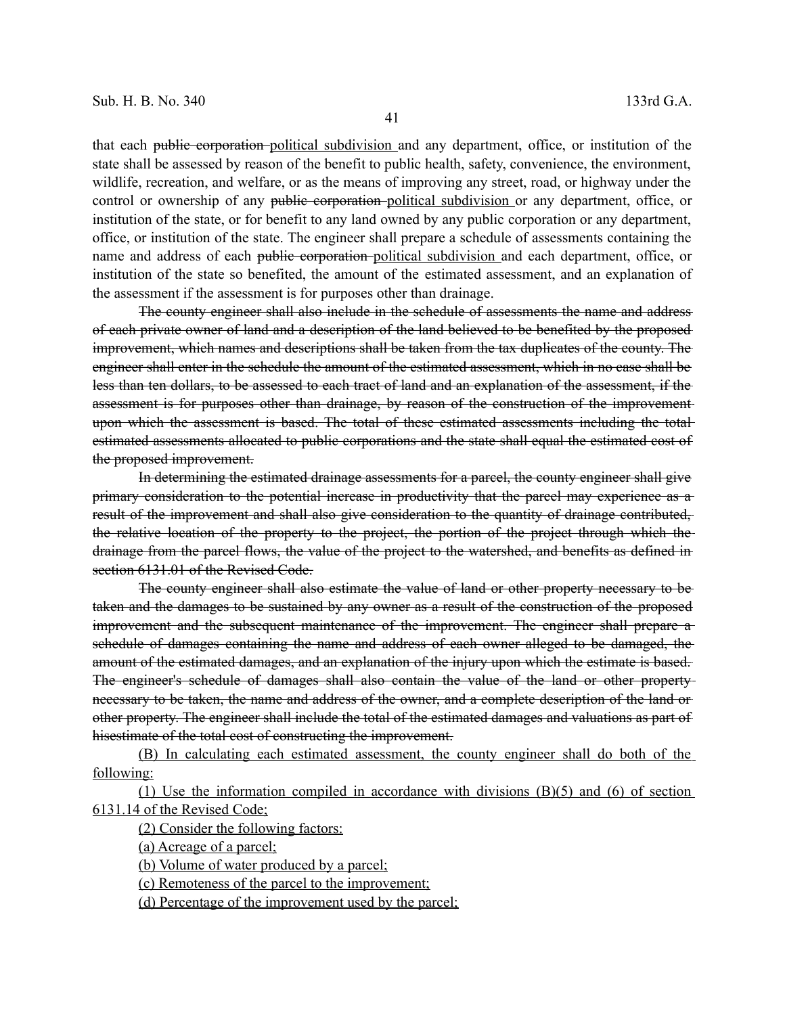that each public corporation political subdivision and any department, office, or institution of the state shall be assessed by reason of the benefit to public health, safety, convenience, the environment, wildlife, recreation, and welfare, or as the means of improving any street, road, or highway under the control or ownership of any public corporation political subdivision or any department, office, or institution of the state, or for benefit to any land owned by any public corporation or any department, office, or institution of the state. The engineer shall prepare a schedule of assessments containing the name and address of each public corporation political subdivision and each department, office, or institution of the state so benefited, the amount of the estimated assessment, and an explanation of the assessment if the assessment is for purposes other than drainage.

The county engineer shall also include in the schedule of assessments the name and address of each private owner of land and a description of the land believed to be benefited by the proposed improvement, which names and descriptions shall be taken from the tax duplicates of the county. The engineer shall enter in the schedule the amount of the estimated assessment, which in no case shall be less than ten dollars, to be assessed to each tract of land and an explanation of the assessment, if the assessment is for purposes other than drainage, by reason of the construction of the improvement upon which the assessment is based. The total of these estimated assessments including the total estimated assessments allocated to public corporations and the state shall equal the estimated cost of the proposed improvement.

In determining the estimated drainage assessments for a parcel, the county engineer shall give primary consideration to the potential increase in productivity that the parcel may experience as a result of the improvement and shall also give consideration to the quantity of drainage contributed, the relative location of the property to the project, the portion of the project through which the drainage from the parcel flows, the value of the project to the watershed, and benefits as defined in section 6131.01 of the Revised Code.

The county engineer shall also estimate the value of land or other property necessary to be taken and the damages to be sustained by any owner as a result of the construction of the proposed improvement and the subsequent maintenance of the improvement. The engineer shall prepare aschedule of damages containing the name and address of each owner alleged to be damaged, the amount of the estimated damages, and an explanation of the injury upon which the estimate is based. The engineer's schedule of damages shall also contain the value of the land or other property necessary to be taken, the name and address of the owner, and a complete description of the land or other property. The engineer shall include the total of the estimated damages and valuations as part of hisestimate of the total cost of constructing the improvement.

(B) In calculating each estimated assessment, the county engineer shall do both of the following:

(1) Use the information compiled in accordance with divisions (B)(5) and (6) of section 6131.14 of the Revised Code;

(2) Consider the following factors:

(a) Acreage of a parcel;

(b) Volume of water produced by a parcel;

(c) Remoteness of the parcel to the improvement;

(d) Percentage of the improvement used by the parcel;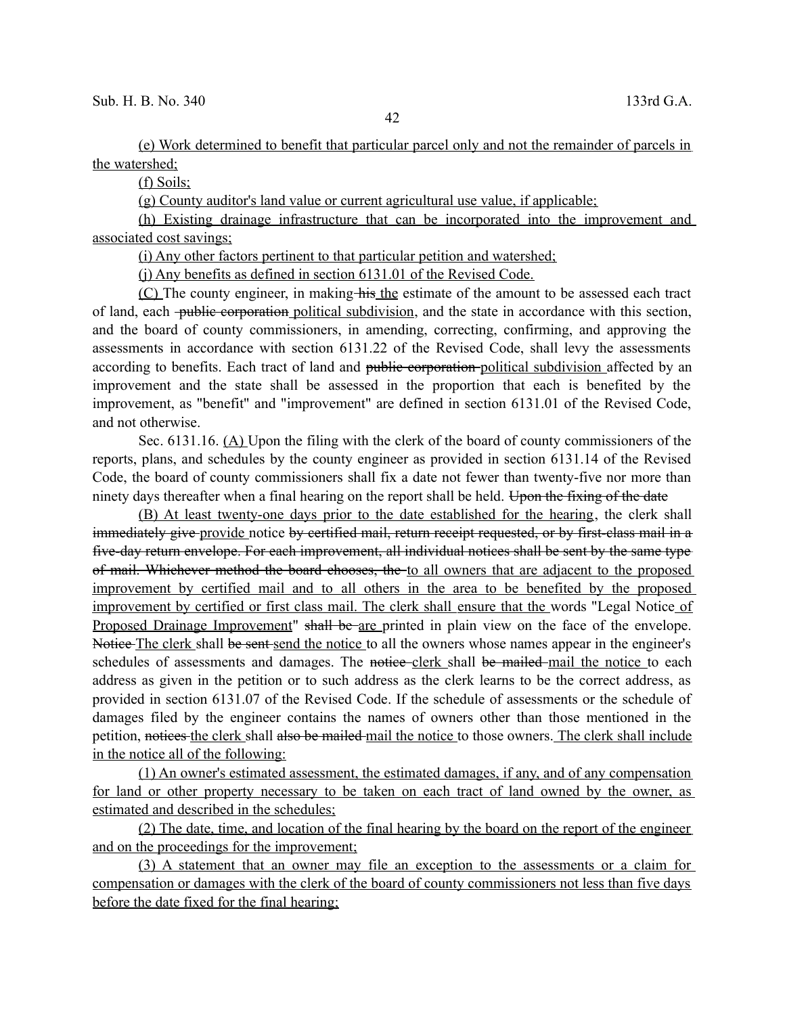(e) Work determined to benefit that particular parcel only and not the remainder of parcels in the watershed;

(f) Soils;

(g) County auditor's land value or current agricultural use value, if applicable;

(h) Existing drainage infrastructure that can be incorporated into the improvement and associated cost savings;

(i) Any other factors pertinent to that particular petition and watershed;

(j) Any benefits as defined in section 6131.01 of the Revised Code.

(C) The county engineer, in making his the estimate of the amount to be assessed each tract of land, each <del>public corporation</del> political subdivision, and the state in accordance with this section, and the board of county commissioners, in amending, correcting, confirming, and approving the assessments in accordance with section 6131.22 of the Revised Code, shall levy the assessments according to benefits. Each tract of land and public corporation political subdivision affected by an improvement and the state shall be assessed in the proportion that each is benefited by the improvement, as "benefit" and "improvement" are defined in section 6131.01 of the Revised Code, and not otherwise.

Sec. 6131.16. (A) Upon the filing with the clerk of the board of county commissioners of the reports, plans, and schedules by the county engineer as provided in section 6131.14 of the Revised Code, the board of county commissioners shall fix a date not fewer than twenty-five nor more than ninety days thereafter when a final hearing on the report shall be held. Upon the fixing of the date

(B) At least twenty-one days prior to the date established for the hearing, the clerk shall immediately give provide notice by certified mail, return receipt requested, or by first-class mail in a five-day return envelope. For each improvement, all individual notices shall be sent by the same type of mail. Whichever method the board chooses, the to all owners that are adjacent to the proposed improvement by certified mail and to all others in the area to be benefited by the proposed improvement by certified or first class mail. The clerk shall ensure that the words "Legal Notice of Proposed Drainage Improvement" shall be are printed in plain view on the face of the envelope. Notice The clerk shall be sent send the notice to all the owners whose names appear in the engineer's schedules of assessments and damages. The notice-clerk shall be mailed mail the notice to each address as given in the petition or to such address as the clerk learns to be the correct address, as provided in section 6131.07 of the Revised Code. If the schedule of assessments or the schedule of damages filed by the engineer contains the names of owners other than those mentioned in the petition, notices the clerk shall also be mailed mail the notice to those owners. The clerk shall include in the notice all of the following:

(1) An owner's estimated assessment, the estimated damages, if any, and of any compensation for land or other property necessary to be taken on each tract of land owned by the owner, as estimated and described in the schedules;

(2) The date, time, and location of the final hearing by the board on the report of the engineer and on the proceedings for the improvement;

(3) A statement that an owner may file an exception to the assessments or a claim for compensation or damages with the clerk of the board of county commissioners not less than five days before the date fixed for the final hearing;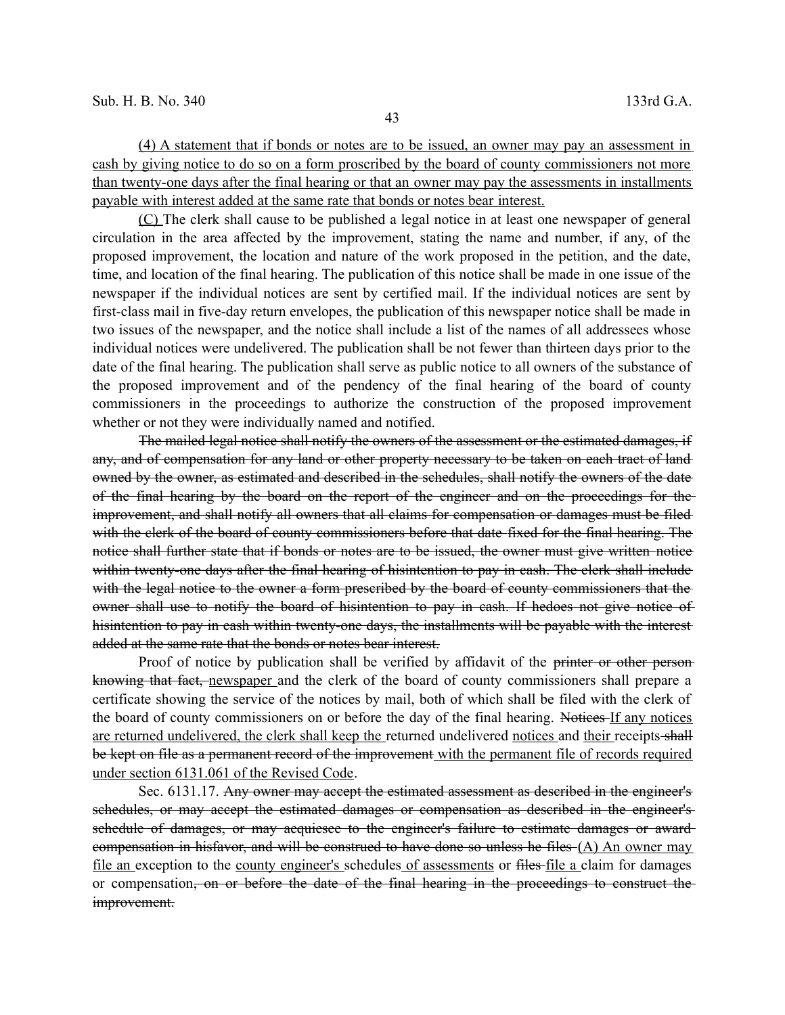(4) A statement that if bonds or notes are to be issued, an owner may pay an assessment in cash by giving notice to do so on a form proscribed by the board of county commissioners not more than twenty-one days after the final hearing or that an owner may pay the assessments in installments payable with interest added at the same rate that bonds or notes bear interest.

(C) The clerk shall cause to be published a legal notice in at least one newspaper of general circulation in the area affected by the improvement, stating the name and number, if any, of the proposed improvement, the location and nature of the work proposed in the petition, and the date, time, and location of the final hearing. The publication of this notice shall be made in one issue of the newspaper if the individual notices are sent by certified mail. If the individual notices are sent by first-class mail in five-day return envelopes, the publication of this newspaper notice shall be made in two issues of the newspaper, and the notice shall include a list of the names of all addressees whose individual notices were undelivered. The publication shall be not fewer than thirteen days prior to the date of the final hearing. The publication shall serve as public notice to all owners of the substance of the proposed improvement and of the pendency of the final hearing of the board of county commissioners in the proceedings to authorize the construction of the proposed improvement whether or not they were individually named and notified.

The mailed legal notice shall notify the owners of the assessment or the estimated damages, if any, and of compensation for any land or other property necessary to be taken on each tract of land owned by the owner, as estimated and described in the schedules, shall notify the owners of the date of the final hearing by the board on the report of the engineer and on the proceedings for the improvement, and shall notify all owners that all claims for compensation or damages must be filed with the clerk of the board of county commissioners before that date fixed for the final hearing. The notice shall further state that if bonds or notes are to be issued, the owner must give written notice within twenty-one days after the final hearing of hisintention to pay in eash. The elerk shall include with the legal notice to the owner a form prescribed by the board of county commissioners that the owner shall use to notify the board of hisintention to pay in cash. If hedoes not give notice of hisintention to pay in cash within twenty-one days, the installments will be payable with the interest added at the same rate that the bonds or notes bear interest.

Proof of notice by publication shall be verified by affidavit of the printer or other personknowing that fact, newspaper and the clerk of the board of county commissioners shall prepare a certificate showing the service of the notices by mail, both of which shall be filed with the clerk of the board of county commissioners on or before the day of the final hearing. Notices If any notices are returned undelivered, the clerk shall keep the returned undelivered notices and their receipts shall be kept on file as a permanent record of the improvement with the permanent file of records required under section 6131.061 of the Revised Code.

Sec. 6131.17. Any owner may accept the estimated assessment as described in the engineer's schedules, or may accept the estimated damages or compensation as described in the engineer's schedule of damages, or may acquiesce to the engineer's failure to estimate damages or award compensation in hisfavor, and will be construed to have done so unless he files (A) An owner may file an exception to the county engineer's schedules of assessments or files-file a claim for damages or compensation, on or before the date of the final hearing in the proceedings to construct the improvement.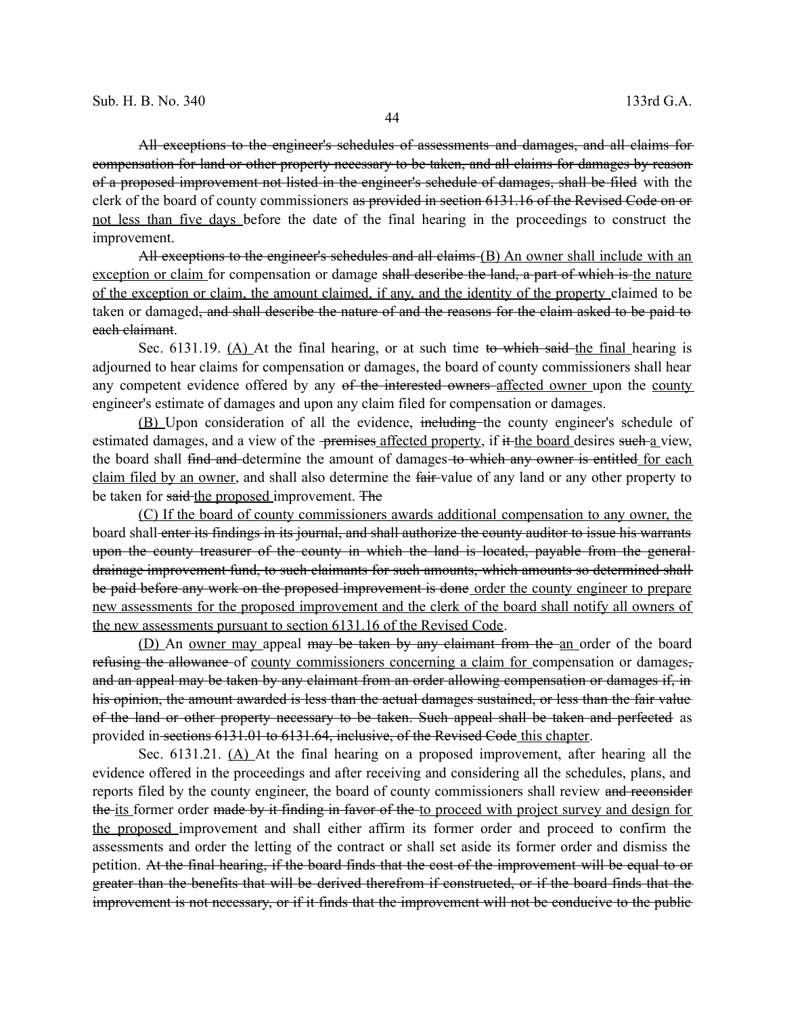All exceptions to the engineer's schedules of assessments and damages, and all claims for compensation for land or other property necessary to be taken, and all claims for damages by reason of a proposed improvement not listed in the engineer's schedule of damages, shall be filed with the clerk of the board of county commissioners as provided in section 6131.16 of the Revised Code on or not less than five days before the date of the final hearing in the proceedings to construct the improvement.

All exceptions to the engineer's schedules and all claims (B) An owner shall include with an exception or claim for compensation or damage shall describe the land, a part of which is the nature of the exception or claim, the amount claimed, if any, and the identity of the property claimed to be taken or damaged, and shall describe the nature of and the reasons for the claim asked to be paid to each claimant.

Sec. 6131.19. (A) At the final hearing, or at such time to which said the final hearing is adjourned to hear claims for compensation or damages, the board of county commissioners shall hear any competent evidence offered by any of the interested owners affected owner upon the county engineer's estimate of damages and upon any claim filed for compensation or damages.

(B) Upon consideration of all the evidence, including the county engineer's schedule of estimated damages, and a view of the <del>premises affected property</del>, if it the board desires such a view, the board shall find and determine the amount of damages to which any owner is entitled for each claim filed by an owner, and shall also determine the fair-value of any land or any other property to be taken for said the proposed improvement. The

 (C) If the board of county commissioners awards additional compensation to any owner, the board shall enter its findings in its journal, and shall authorize the county auditor to issue his warrants upon the county treasurer of the county in which the land is located, payable from the generaldrainage improvement fund, to such claimants for such amounts, which amounts so determined shall be paid before any work on the proposed improvement is done order the county engineer to prepare new assessments for the proposed improvement and the clerk of the board shall notify all owners of the new assessments pursuant to section 6131.16 of the Revised Code.

(D) An owner may appeal <del>may be taken by any claimant from the an</del> order of the board refusing the allowance of county commissioners concerning a claim for compensation or damages, and an appeal may be taken by any claimant from an order allowing compensation or damages if, in his opinion, the amount awarded is less than the actual damages sustained, or less than the fair value of the land or other property necessary to be taken. Such appeal shall be taken and perfected as provided in sections 6131.01 to 6131.64, inclusive, of the Revised Code this chapter.

Sec. 6131.21. (A) At the final hearing on a proposed improvement, after hearing all the evidence offered in the proceedings and after receiving and considering all the schedules, plans, and reports filed by the county engineer, the board of county commissioners shall review and reconsider the its former order made by it finding in favor of the to proceed with project survey and design for the proposed improvement and shall either affirm its former order and proceed to confirm the assessments and order the letting of the contract or shall set aside its former order and dismiss the petition. At the final hearing, if the board finds that the cost of the improvement will be equal to or greater than the benefits that will be derived therefrom if constructed, or if the board finds that the improvement is not necessary, or if it finds that the improvement will not be conducive to the public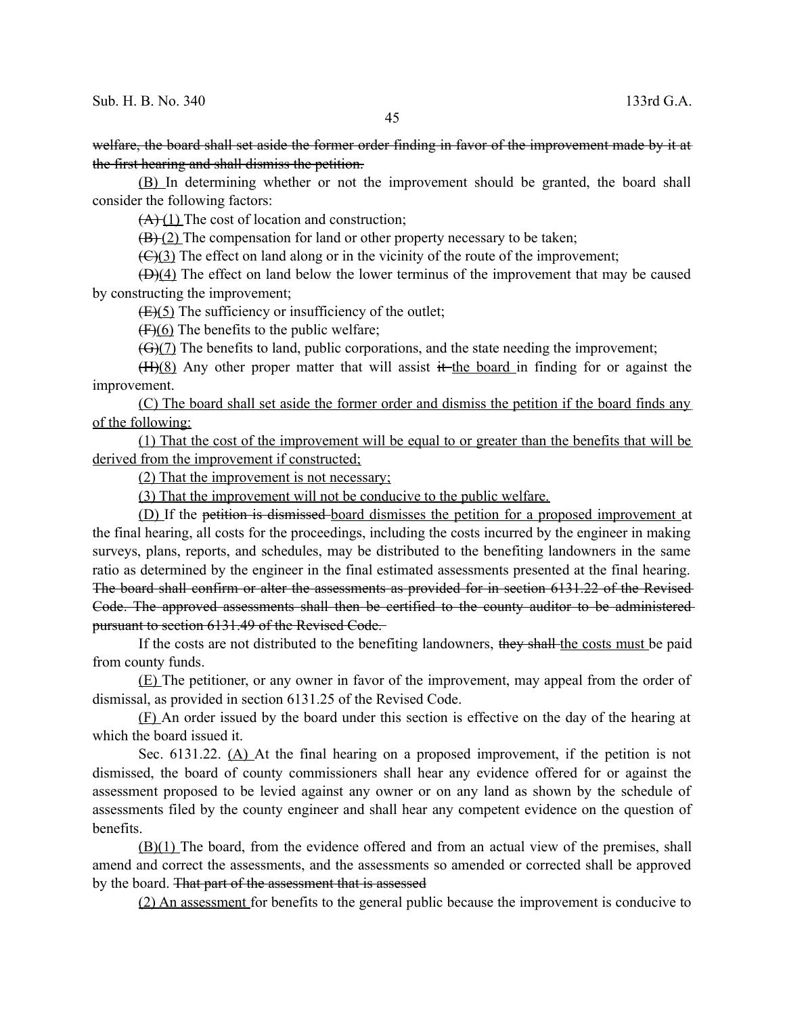welfare, the board shall set aside the former order finding in favor of the improvement made by it at the first hearing and shall dismiss the petition.

(B) In determining whether or not the improvement should be granted, the board shall consider the following factors:

 $(A)(1)$  The cost of location and construction;

 $(B)(2)$  The compensation for land or other property necessary to be taken;

 $f(\theta)$ (3) The effect on land along or in the vicinity of the route of the improvement;

(D)(4) The effect on land below the lower terminus of the improvement that may be caused by constructing the improvement;

 $(E)(5)$  The sufficiency or insufficiency of the outlet;

 $(F)(6)$  The benefits to the public welfare;

(G)(7) The benefits to land, public corporations, and the state needing the improvement;

 $(H)(8)$  Any other proper matter that will assist it the board in finding for or against the improvement.

(C) The board shall set aside the former order and dismiss the petition if the board finds any of the following:

(1) That the cost of the improvement will be equal to or greater than the benefits that will be derived from the improvement if constructed;

(2) That the improvement is not necessary;

(3) That the improvement will not be conducive to the public welfare.

(D) If the petition is dismissed board dismisses the petition for a proposed improvement at the final hearing, all costs for the proceedings, including the costs incurred by the engineer in making surveys, plans, reports, and schedules, may be distributed to the benefiting landowners in the same ratio as determined by the engineer in the final estimated assessments presented at the final hearing. The board shall confirm or alter the assessments as provided for in section 6131.22 of the Revised Code. The approved assessments shall then be certified to the county auditor to be administered pursuant to section 6131.49 of the Revised Code.

If the costs are not distributed to the benefiting landowners, they shall the costs must be paid from county funds.

(E) The petitioner, or any owner in favor of the improvement, may appeal from the order of dismissal, as provided in section 6131.25 of the Revised Code.

(F) An order issued by the board under this section is effective on the day of the hearing at which the board issued it.

Sec. 6131.22. (A) At the final hearing on a proposed improvement, if the petition is not dismissed, the board of county commissioners shall hear any evidence offered for or against the assessment proposed to be levied against any owner or on any land as shown by the schedule of assessments filed by the county engineer and shall hear any competent evidence on the question of benefits.

(B)(1) The board, from the evidence offered and from an actual view of the premises, shall amend and correct the assessments, and the assessments so amended or corrected shall be approved by the board. That part of the assessment that is assessed

(2) An assessment for benefits to the general public because the improvement is conducive to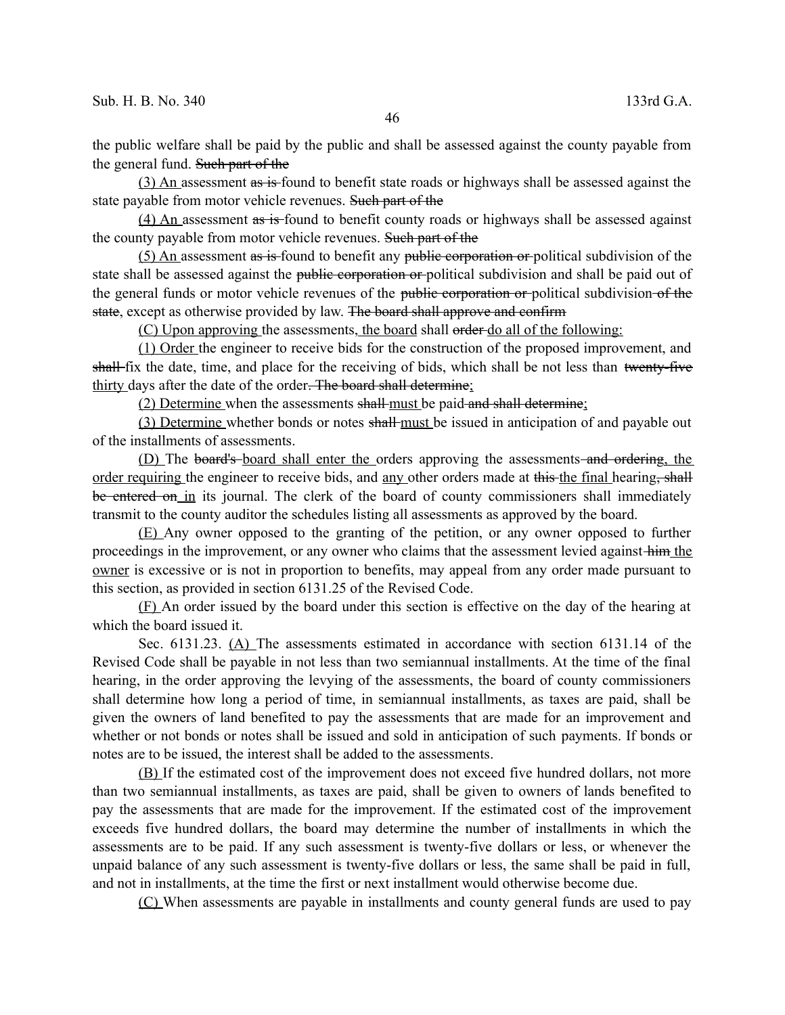the public welfare shall be paid by the public and shall be assessed against the county payable from the general fund. Such part of the

(3) An assessment as is found to benefit state roads or highways shall be assessed against the state payable from motor vehicle revenues. Such part of the

(4) An assessment as is found to benefit county roads or highways shall be assessed against the county payable from motor vehicle revenues. Such part of the

(5) An assessment as is found to benefit any public corporation or political subdivision of the state shall be assessed against the public corporation or political subdivision and shall be paid out of the general funds or motor vehicle revenues of the public corporation or political subdivision of the state, except as otherwise provided by law. The board shall approve and confirm

(C) Upon approving the assessments, the board shall order do all of the following:

(1) Order the engineer to receive bids for the construction of the proposed improvement, and shall-fix the date, time, and place for the receiving of bids, which shall be not less than twenty-five thirty days after the date of the order. The board shall determine;

(2) Determine when the assessments shall must be paid and shall determine;

(3) Determine whether bonds or notes shall must be issued in anticipation of and payable out of the installments of assessments.

(D) The board's board shall enter the orders approving the assessments and ordering, the order requiring the engineer to receive bids, and any other orders made at this the final hearing, shall be entered on in its journal. The clerk of the board of county commissioners shall immediately transmit to the county auditor the schedules listing all assessments as approved by the board.

(E) Any owner opposed to the granting of the petition, or any owner opposed to further proceedings in the improvement, or any owner who claims that the assessment levied against him the owner is excessive or is not in proportion to benefits, may appeal from any order made pursuant to this section, as provided in section 6131.25 of the Revised Code.

(F) An order issued by the board under this section is effective on the day of the hearing at which the board issued it.

Sec. 6131.23. (A) The assessments estimated in accordance with section 6131.14 of the Revised Code shall be payable in not less than two semiannual installments. At the time of the final hearing, in the order approving the levying of the assessments, the board of county commissioners shall determine how long a period of time, in semiannual installments, as taxes are paid, shall be given the owners of land benefited to pay the assessments that are made for an improvement and whether or not bonds or notes shall be issued and sold in anticipation of such payments. If bonds or notes are to be issued, the interest shall be added to the assessments.

(B) If the estimated cost of the improvement does not exceed five hundred dollars, not more than two semiannual installments, as taxes are paid, shall be given to owners of lands benefited to pay the assessments that are made for the improvement. If the estimated cost of the improvement exceeds five hundred dollars, the board may determine the number of installments in which the assessments are to be paid. If any such assessment is twenty-five dollars or less, or whenever the unpaid balance of any such assessment is twenty-five dollars or less, the same shall be paid in full, and not in installments, at the time the first or next installment would otherwise become due.

(C) When assessments are payable in installments and county general funds are used to pay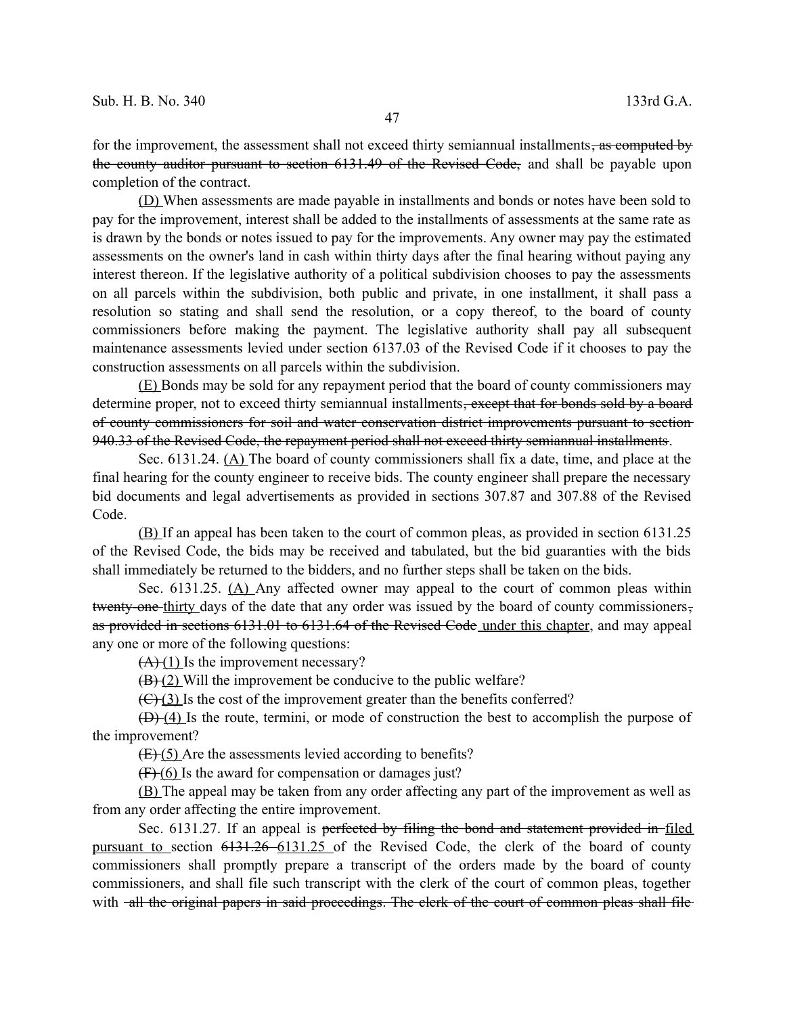for the improvement, the assessment shall not exceed thirty semiannual installments, as computed by the county auditor pursuant to section 6131.49 of the Revised Code, and shall be payable upon completion of the contract.

(D) When assessments are made payable in installments and bonds or notes have been sold to pay for the improvement, interest shall be added to the installments of assessments at the same rate as is drawn by the bonds or notes issued to pay for the improvements. Any owner may pay the estimated assessments on the owner's land in cash within thirty days after the final hearing without paying any interest thereon. If the legislative authority of a political subdivision chooses to pay the assessments on all parcels within the subdivision, both public and private, in one installment, it shall pass a resolution so stating and shall send the resolution, or a copy thereof, to the board of county commissioners before making the payment. The legislative authority shall pay all subsequent maintenance assessments levied under section 6137.03 of the Revised Code if it chooses to pay the construction assessments on all parcels within the subdivision.

(E) Bonds may be sold for any repayment period that the board of county commissioners may determine proper, not to exceed thirty semiannual installments, except that for bonds sold by a board of county commissioners for soil and water conservation district improvements pursuant to section 940.33 of the Revised Code, the repayment period shall not exceed thirty semiannual installments.

Sec. 6131.24. (A) The board of county commissioners shall fix a date, time, and place at the final hearing for the county engineer to receive bids. The county engineer shall prepare the necessary bid documents and legal advertisements as provided in sections 307.87 and 307.88 of the Revised Code.

(B) If an appeal has been taken to the court of common pleas, as provided in section 6131.25 of the Revised Code, the bids may be received and tabulated, but the bid guaranties with the bids shall immediately be returned to the bidders, and no further steps shall be taken on the bids.

Sec. 6131.25. (A) Any affected owner may appeal to the court of common pleas within twenty-one thirty days of the date that any order was issued by the board of county commissioners, as provided in sections 6131.01 to 6131.64 of the Revised Code under this chapter, and may appeal any one or more of the following questions:

 $(A)$  (1) Is the improvement necessary?

 $(B)(2)$  Will the improvement be conducive to the public welfare?

 $(\text{C})$  (3) Is the cost of the improvement greater than the benefits conferred?

(D) (4) Is the route, termini, or mode of construction the best to accomplish the purpose of the improvement?

(E) (5) Are the assessments levied according to benefits?

 $(F)(6)$  Is the award for compensation or damages just?

(B) The appeal may be taken from any order affecting any part of the improvement as well as from any order affecting the entire improvement.

Sec. 6131.27. If an appeal is perfected by filing the bond and statement provided in filed pursuant to section 6131.26 6131.25 of the Revised Code, the clerk of the board of county commissioners shall promptly prepare a transcript of the orders made by the board of county commissioners, and shall file such transcript with the clerk of the court of common pleas, together with -all the original papers in said proceedings. The clerk of the court of common pleas shall file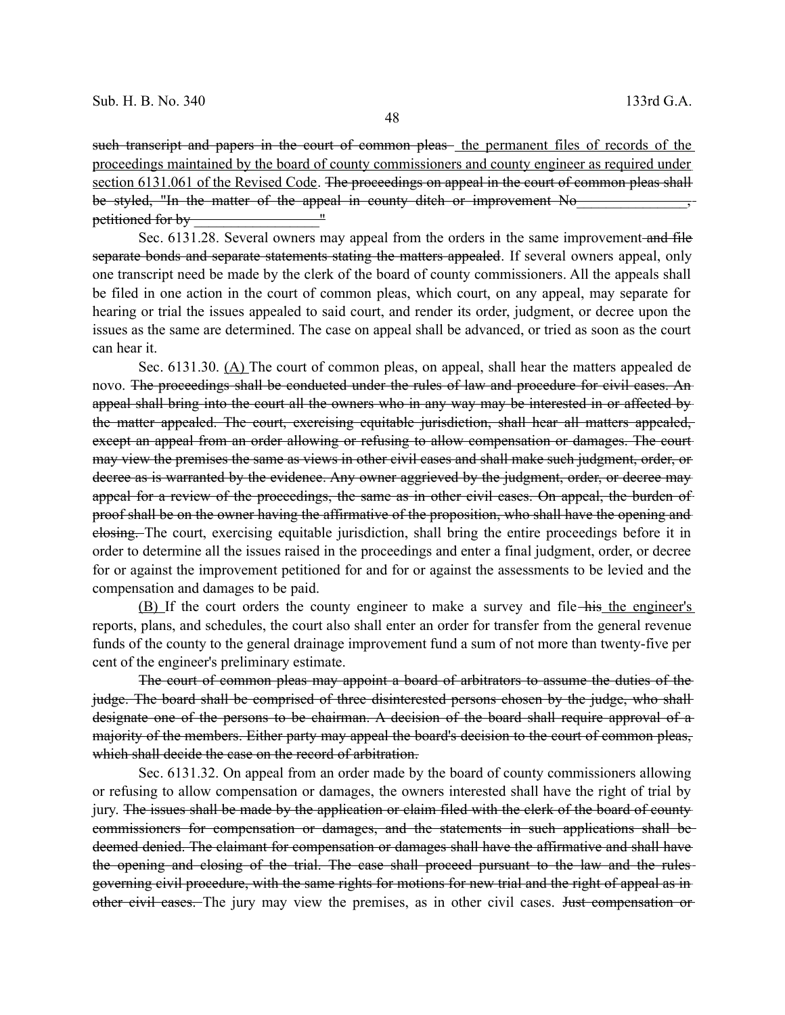such transcript and papers in the court of common pleas the permanent files of records of the proceedings maintained by the board of county commissioners and county engineer as required under section 6131.061 of the Revised Code. The proceedings on appeal in the court of common pleas shall be styled, "In the matter of the appeal in county ditch or improvement No petitioned for by vertices and the set of  $\sim$   $\sim$   $\sim$   $\sim$   $\sim$   $\sim$ 

Sec. 6131.28. Several owners may appeal from the orders in the same improvement and file separate bonds and separate statements stating the matters appealed. If several owners appeal, only one transcript need be made by the clerk of the board of county commissioners. All the appeals shall be filed in one action in the court of common pleas, which court, on any appeal, may separate for hearing or trial the issues appealed to said court, and render its order, judgment, or decree upon the issues as the same are determined. The case on appeal shall be advanced, or tried as soon as the court can hear it.

Sec. 6131.30. (A) The court of common pleas, on appeal, shall hear the matters appealed de novo. The proceedings shall be conducted under the rules of law and procedure for civil cases. An appeal shall bring into the court all the owners who in any way may be interested in or affected by the matter appealed. The court, exercising equitable jurisdiction, shall hear all matters appealed, except an appeal from an order allowing or refusing to allow compensation or damages. The court may view the premises the same as views in other civil cases and shall make such judgment, order, or decree as is warranted by the evidence. Any owner aggrieved by the judgment, order, or decree may appeal for a review of the proceedings, the same as in other civil cases. On appeal, the burden of proof shall be on the owner having the affirmative of the proposition, who shall have the opening and elosing. The court, exercising equitable jurisdiction, shall bring the entire proceedings before it in order to determine all the issues raised in the proceedings and enter a final judgment, order, or decree for or against the improvement petitioned for and for or against the assessments to be levied and the compensation and damages to be paid.

(B) If the court orders the county engineer to make a survey and file his the engineer's reports, plans, and schedules, the court also shall enter an order for transfer from the general revenue funds of the county to the general drainage improvement fund a sum of not more than twenty-five per cent of the engineer's preliminary estimate.

The court of common pleas may appoint a board of arbitrators to assume the duties of the judge. The board shall be comprised of three disinterested persons chosen by the judge, who shall designate one of the persons to be chairman. A decision of the board shall require approval of a majority of the members. Either party may appeal the board's decision to the court of common pleas, which shall decide the case on the record of arbitration.

Sec. 6131.32. On appeal from an order made by the board of county commissioners allowing or refusing to allow compensation or damages, the owners interested shall have the right of trial by jury. The issues shall be made by the application or claim filed with the clerk of the board of county commissioners for compensation or damages, and the statements in such applications shall be deemed denied. The claimant for compensation or damages shall have the affirmative and shall have the opening and closing of the trial. The case shall proceed pursuant to the law and the rules governing civil procedure, with the same rights for motions for new trial and the right of appeal as in other civil cases. The jury may view the premises, as in other civil cases. <del>Just compensation or</del>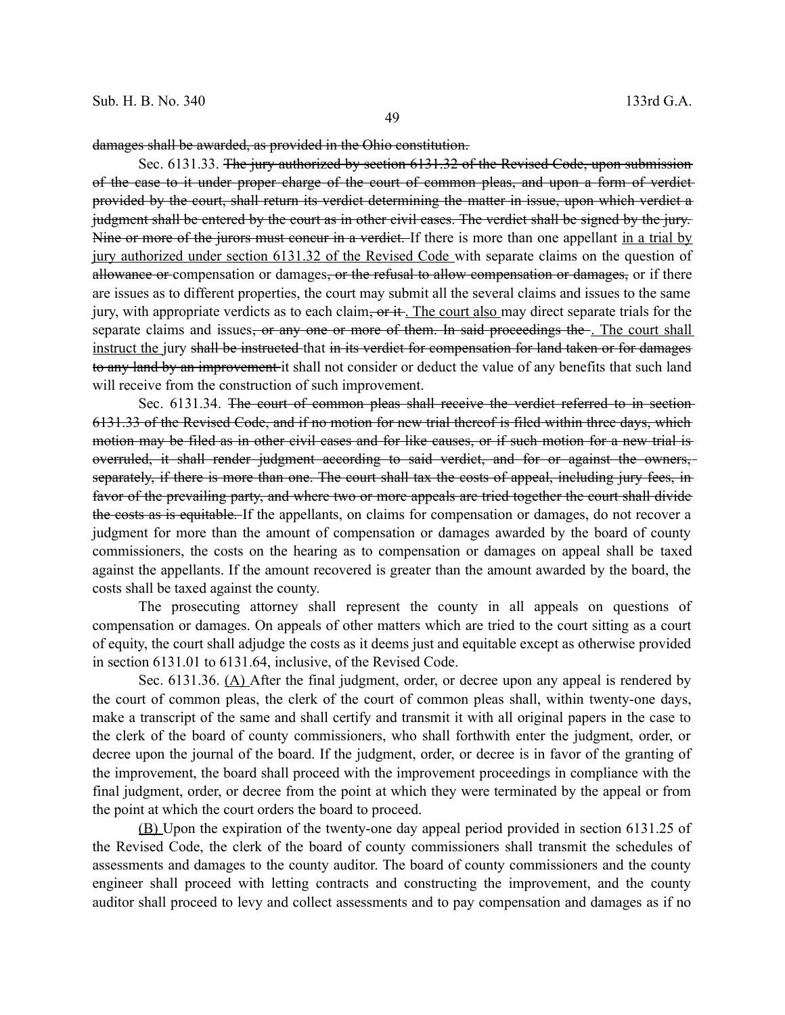damages shall be awarded, as provided in the Ohio constitution.

Sec. 6131.33. The jury authorized by section 6131.32 of the Revised Code, upon submission of the case to it under proper charge of the court of common pleas, and upon a form of verdict provided by the court, shall return its verdict determining the matter in issue, upon which verdict a judgment shall be entered by the court as in other civil cases. The verdict shall be signed by the jury. Nine or more of the jurors must concur in a verdict. If there is more than one appellant in a trial by jury authorized under section 6131.32 of the Revised Code with separate claims on the question of allowance or compensation or damages, or the refusal to allow compensation or damages, or if there are issues as to different properties, the court may submit all the several claims and issues to the same jury, with appropriate verdicts as to each claim,  $\sigma r$  it. The court also may direct separate trials for the separate claims and issues<del>, or any one or more of them. In said proceedings the</del>. The court shall instruct the jury shall be instructed that in its verdict for compensation for land taken or for damages to any land by an improvement it shall not consider or deduct the value of any benefits that such land will receive from the construction of such improvement.

Sec. 6131.34. The court of common pleas shall receive the verdict referred to in section 6131.33 of the Revised Code, and if no motion for new trial thereof is filed within three days, which motion may be filed as in other civil cases and for like causes, or if such motion for a new trial is overruled, it shall render judgment according to said verdict, and for or against the owners, separately, if there is more than one. The court shall tax the costs of appeal, including jury fees, in favor of the prevailing party, and where two or more appeals are tried together the court shall divide the costs as is equitable. If the appellants, on claims for compensation or damages, do not recover a judgment for more than the amount of compensation or damages awarded by the board of county commissioners, the costs on the hearing as to compensation or damages on appeal shall be taxed against the appellants. If the amount recovered is greater than the amount awarded by the board, the costs shall be taxed against the county.

The prosecuting attorney shall represent the county in all appeals on questions of compensation or damages. On appeals of other matters which are tried to the court sitting as a court of equity, the court shall adjudge the costs as it deems just and equitable except as otherwise provided in section 6131.01 to 6131.64, inclusive, of the Revised Code.

Sec. 6131.36. (A) After the final judgment, order, or decree upon any appeal is rendered by the court of common pleas, the clerk of the court of common pleas shall, within twenty-one days, make a transcript of the same and shall certify and transmit it with all original papers in the case to the clerk of the board of county commissioners, who shall forthwith enter the judgment, order, or decree upon the journal of the board. If the judgment, order, or decree is in favor of the granting of the improvement, the board shall proceed with the improvement proceedings in compliance with the final judgment, order, or decree from the point at which they were terminated by the appeal or from the point at which the court orders the board to proceed.

(B) Upon the expiration of the twenty-one day appeal period provided in section 6131.25 of the Revised Code, the clerk of the board of county commissioners shall transmit the schedules of assessments and damages to the county auditor. The board of county commissioners and the county engineer shall proceed with letting contracts and constructing the improvement, and the county auditor shall proceed to levy and collect assessments and to pay compensation and damages as if no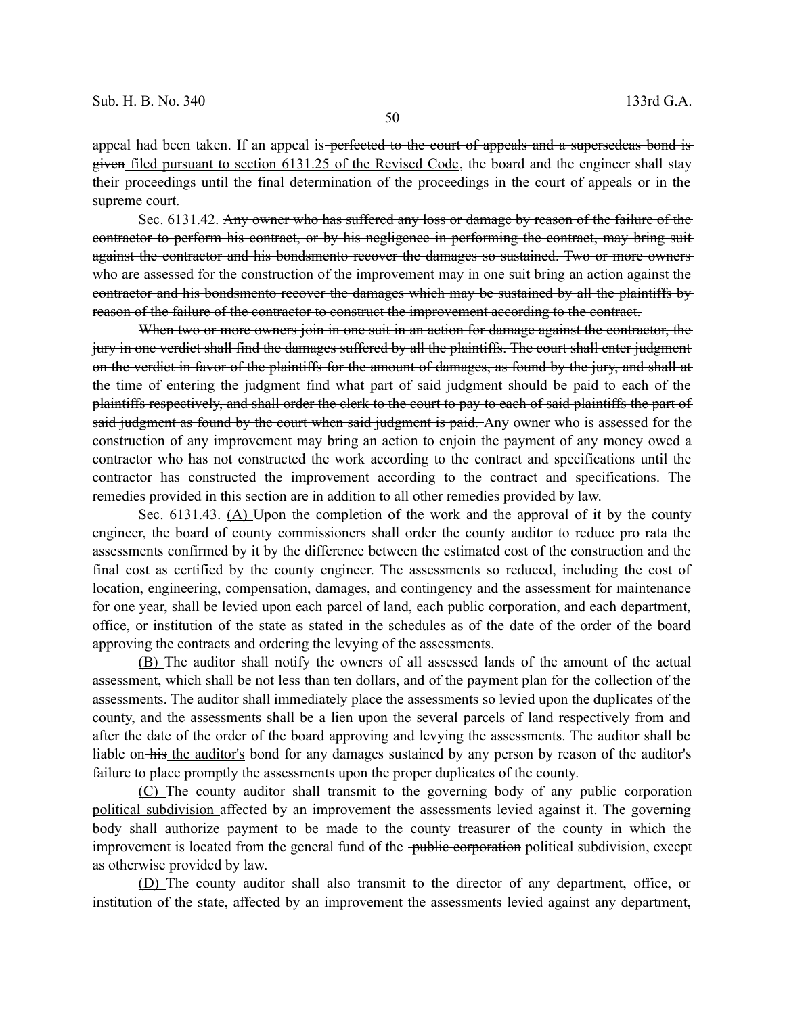appeal had been taken. If an appeal is perfected to the court of appeals and a supersedeas bond is given filed pursuant to section 6131.25 of the Revised Code, the board and the engineer shall stay their proceedings until the final determination of the proceedings in the court of appeals or in the supreme court.

Sec. 6131.42. Any owner who has suffered any loss or damage by reason of the failure of the contractor to perform his contract, or by his negligence in performing the contract, may bring suit against the contractor and his bondsmento recover the damages so sustained. Two or more owners who are assessed for the construction of the improvement may in one suit bring an action against the contractor and his bondsmento recover the damages which may be sustained by all the plaintiffs by reason of the failure of the contractor to construct the improvement according to the contract.

When two or more owners join in one suit in an action for damage against the contractor, the jury in one verdict shall find the damages suffered by all the plaintiffs. The court shall enter judgment on the verdict in favor of the plaintiffs for the amount of damages, as found by the jury, and shall at the time of entering the judgment find what part of said judgment should be paid to each of the plaintiffs respectively, and shall order the clerk to the court to pay to each of said plaintiffs the part of said judgment as found by the court when said judgment is paid. Any owner who is assessed for the construction of any improvement may bring an action to enjoin the payment of any money owed a contractor who has not constructed the work according to the contract and specifications until the contractor has constructed the improvement according to the contract and specifications. The remedies provided in this section are in addition to all other remedies provided by law.

Sec. 6131.43. (A) Upon the completion of the work and the approval of it by the county engineer, the board of county commissioners shall order the county auditor to reduce pro rata the assessments confirmed by it by the difference between the estimated cost of the construction and the final cost as certified by the county engineer. The assessments so reduced, including the cost of location, engineering, compensation, damages, and contingency and the assessment for maintenance for one year, shall be levied upon each parcel of land, each public corporation, and each department, office, or institution of the state as stated in the schedules as of the date of the order of the board approving the contracts and ordering the levying of the assessments.

(B) The auditor shall notify the owners of all assessed lands of the amount of the actual assessment, which shall be not less than ten dollars, and of the payment plan for the collection of the assessments. The auditor shall immediately place the assessments so levied upon the duplicates of the county, and the assessments shall be a lien upon the several parcels of land respectively from and after the date of the order of the board approving and levying the assessments. The auditor shall be liable on-his the auditor's bond for any damages sustained by any person by reason of the auditor's failure to place promptly the assessments upon the proper duplicates of the county.

(C) The county auditor shall transmit to the governing body of any public corporation political subdivision affected by an improvement the assessments levied against it. The governing body shall authorize payment to be made to the county treasurer of the county in which the improvement is located from the general fund of the <del>public corporation</del> political subdivision, except as otherwise provided by law.

(D) The county auditor shall also transmit to the director of any department, office, or institution of the state, affected by an improvement the assessments levied against any department,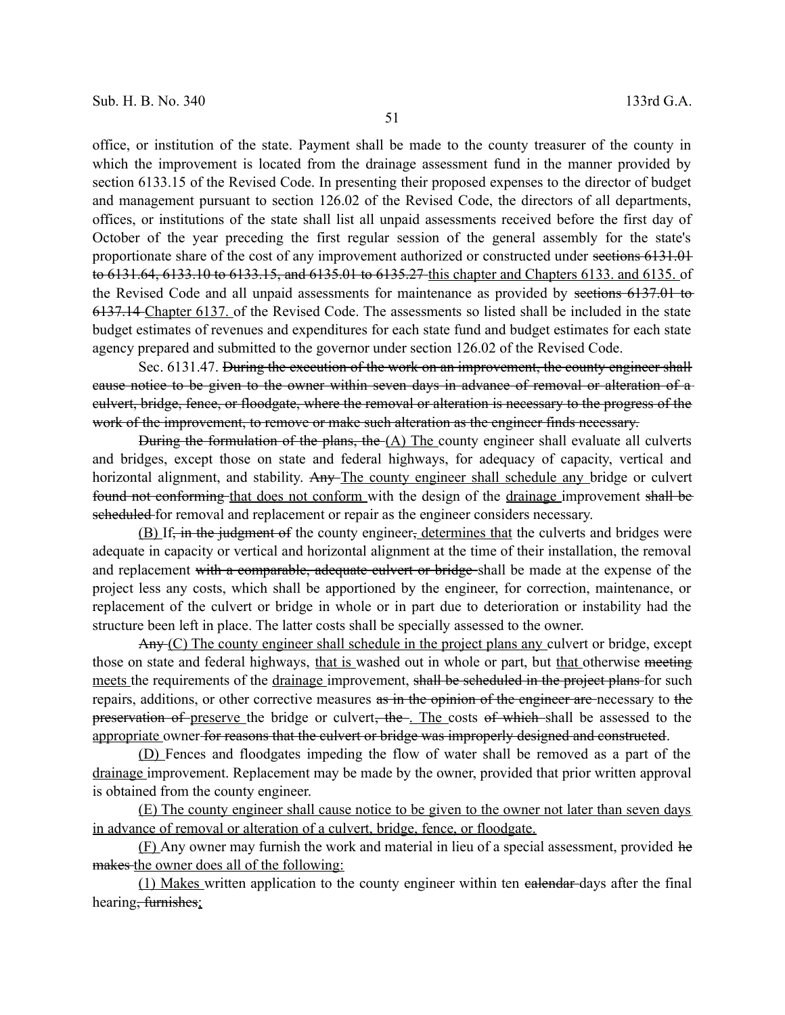office, or institution of the state. Payment shall be made to the county treasurer of the county in which the improvement is located from the drainage assessment fund in the manner provided by section 6133.15 of the Revised Code. In presenting their proposed expenses to the director of budget and management pursuant to section 126.02 of the Revised Code, the directors of all departments, offices, or institutions of the state shall list all unpaid assessments received before the first day of October of the year preceding the first regular session of the general assembly for the state's proportionate share of the cost of any improvement authorized or constructed under sections 6131.01 to 6131.64, 6133.10 to 6133.15, and 6135.01 to 6135.27 this chapter and Chapters 6133. and 6135. of the Revised Code and all unpaid assessments for maintenance as provided by sections 6137.01 to 6137.14 Chapter 6137. of the Revised Code. The assessments so listed shall be included in the state budget estimates of revenues and expenditures for each state fund and budget estimates for each state agency prepared and submitted to the governor under section 126.02 of the Revised Code.

Sec. 6131.47. During the execution of the work on an improvement, the county engineer shall cause notice to be given to the owner within seven days in advance of removal or alteration of a culvert, bridge, fence, or floodgate, where the removal or alteration is necessary to the progress of the work of the improvement, to remove or make such alteration as the engineer finds necessary.

During the formulation of the plans, the  $(A)$  The county engineer shall evaluate all culverts and bridges, except those on state and federal highways, for adequacy of capacity, vertical and horizontal alignment, and stability. Any The county engineer shall schedule any bridge or culvert found not conforming that does not conform with the design of the drainage improvement shall be scheduled for removal and replacement or repair as the engineer considers necessary.

(B) If, in the judgment of the county engineer, determines that the culverts and bridges were adequate in capacity or vertical and horizontal alignment at the time of their installation, the removal and replacement with a comparable, adequate culvert or bridge shall be made at the expense of the project less any costs, which shall be apportioned by the engineer, for correction, maintenance, or replacement of the culvert or bridge in whole or in part due to deterioration or instability had the structure been left in place. The latter costs shall be specially assessed to the owner.

 $\text{Any}(C)$  The county engineer shall schedule in the project plans any culvert or bridge, except those on state and federal highways, that is washed out in whole or part, but that otherwise meeting meets the requirements of the drainage improvement, shall be seheduled in the project plans for such repairs, additions, or other corrective measures as in the opinion of the engineer are necessary to the preservation of preserve the bridge or culvert, the . The costs of which shall be assessed to the appropriate owner for reasons that the culvert or bridge was improperly designed and constructed.

(D) Fences and floodgates impeding the flow of water shall be removed as a part of the drainage improvement. Replacement may be made by the owner, provided that prior written approval is obtained from the county engineer.

(E) The county engineer shall cause notice to be given to the owner not later than seven days in advance of removal or alteration of a culvert, bridge, fence, or floodgate.

(F) Any owner may furnish the work and material in lieu of a special assessment, provided he makes the owner does all of the following:

(1) Makes written application to the county engineer within ten calendar days after the final hearing<del>, furnishes</del>;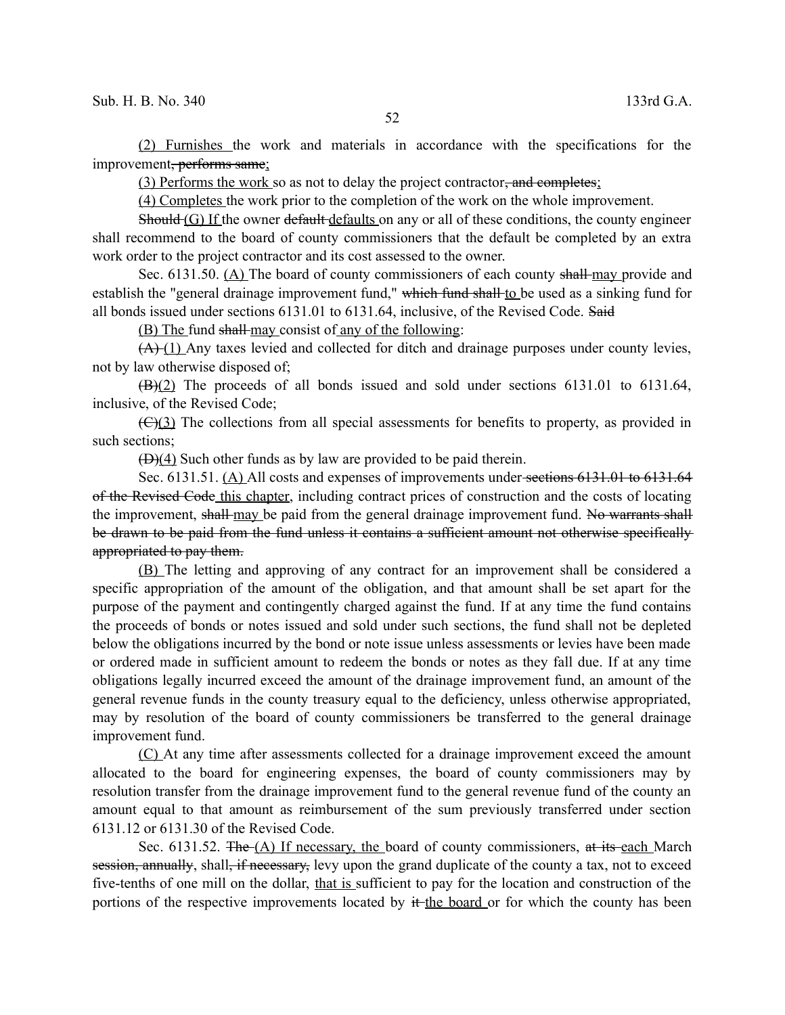(2) Furnishes the work and materials in accordance with the specifications for the improvement, performs same;

(3) Performs the work so as not to delay the project contractor, and completes;

(4) Completes the work prior to the completion of the work on the whole improvement.

Should (G) If the owner default defaults on any or all of these conditions, the county engineer shall recommend to the board of county commissioners that the default be completed by an extra work order to the project contractor and its cost assessed to the owner.

Sec. 6131.50. (A) The board of county commissioners of each county shall may provide and establish the "general drainage improvement fund," which fund shall to be used as a sinking fund for all bonds issued under sections 6131.01 to 6131.64, inclusive, of the Revised Code. Said

(B) The fund shall may consist of any of the following:

 $(A)(1)$  Any taxes levied and collected for ditch and drainage purposes under county levies, not by law otherwise disposed of;

 $(H)(2)$  The proceeds of all bonds issued and sold under sections 6131.01 to 6131.64, inclusive, of the Revised Code;

 $(\bigoplus)(3)$  The collections from all special assessments for benefits to property, as provided in such sections;

 $(D)(4)$  Such other funds as by law are provided to be paid therein.

Sec. 6131.51. (A) All costs and expenses of improvements under sections 6131.01 to 6131.64 of the Revised Code this chapter, including contract prices of construction and the costs of locating the improvement, shall may be paid from the general drainage improvement fund. No warrants shall be drawn to be paid from the fund unless it contains a sufficient amount not otherwise specifically appropriated to pay them.

(B) The letting and approving of any contract for an improvement shall be considered a specific appropriation of the amount of the obligation, and that amount shall be set apart for the purpose of the payment and contingently charged against the fund. If at any time the fund contains the proceeds of bonds or notes issued and sold under such sections, the fund shall not be depleted below the obligations incurred by the bond or note issue unless assessments or levies have been made or ordered made in sufficient amount to redeem the bonds or notes as they fall due. If at any time obligations legally incurred exceed the amount of the drainage improvement fund, an amount of the general revenue funds in the county treasury equal to the deficiency, unless otherwise appropriated, may by resolution of the board of county commissioners be transferred to the general drainage improvement fund.

(C) At any time after assessments collected for a drainage improvement exceed the amount allocated to the board for engineering expenses, the board of county commissioners may by resolution transfer from the drainage improvement fund to the general revenue fund of the county an amount equal to that amount as reimbursement of the sum previously transferred under section 6131.12 or 6131.30 of the Revised Code.

Sec. 6131.52. The  $(A)$  If necessary, the board of county commissioners, at its each March session, annually, shall, if necessary, levy upon the grand duplicate of the county a tax, not to exceed five-tenths of one mill on the dollar, that is sufficient to pay for the location and construction of the portions of the respective improvements located by it the board or for which the county has been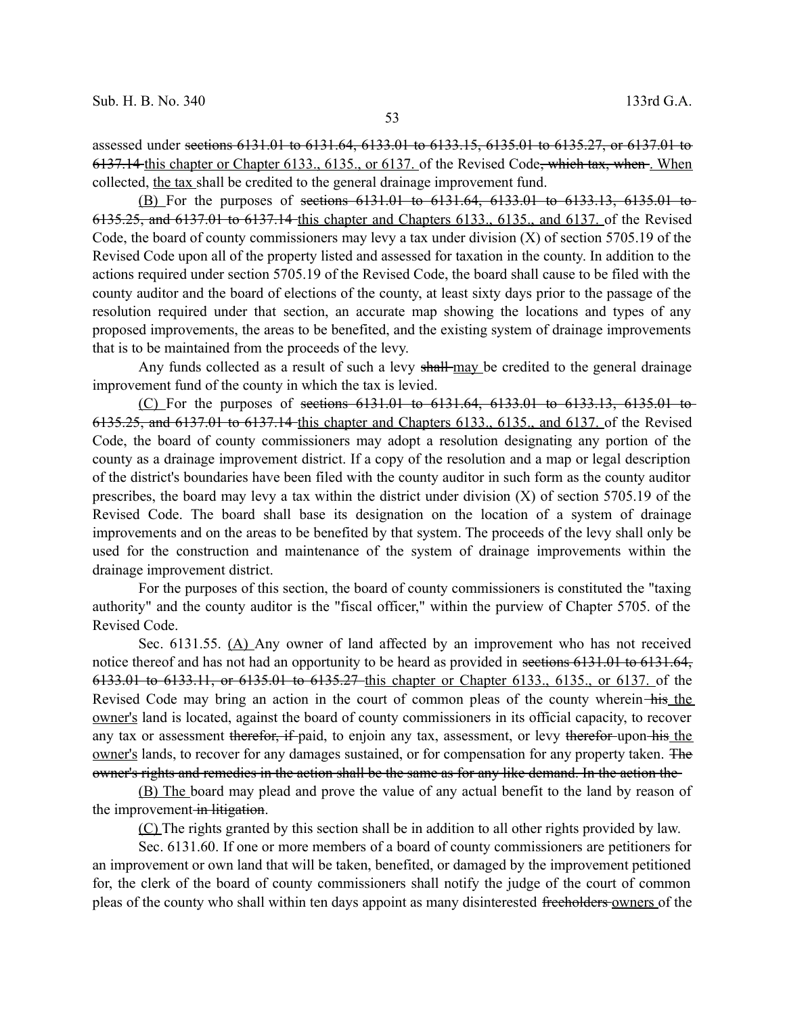assessed under sections 6131.01 to 6131.64, 6133.01 to 6133.15, 6135.01 to 6135.27, or 6137.01 to 6137.14 this chapter or Chapter 6133., 6135., or 6137. of the Revised Code, which tax, when . When collected, the tax shall be credited to the general drainage improvement fund.

(B) For the purposes of sections 6131.01 to 6131.64, 6133.01 to 6133.13, 6135.01 to 6135.25, and 6137.01 to 6137.14 this chapter and Chapters 6133., 6135., and 6137. of the Revised Code, the board of county commissioners may levy a tax under division (X) of section 5705.19 of the Revised Code upon all of the property listed and assessed for taxation in the county. In addition to the actions required under section 5705.19 of the Revised Code, the board shall cause to be filed with the county auditor and the board of elections of the county, at least sixty days prior to the passage of the resolution required under that section, an accurate map showing the locations and types of any proposed improvements, the areas to be benefited, and the existing system of drainage improvements that is to be maintained from the proceeds of the levy.

Any funds collected as a result of such a levy shall-may be credited to the general drainage improvement fund of the county in which the tax is levied.

(C) For the purposes of sections  $6131.01$  to  $6131.64$ ,  $6133.01$  to  $6133.13$ ,  $6135.01$  to 6135.25, and 6137.01 to 6137.14 this chapter and Chapters 6133., 6135., and 6137. of the Revised Code, the board of county commissioners may adopt a resolution designating any portion of the county as a drainage improvement district. If a copy of the resolution and a map or legal description of the district's boundaries have been filed with the county auditor in such form as the county auditor prescribes, the board may levy a tax within the district under division  $(X)$  of section 5705.19 of the Revised Code. The board shall base its designation on the location of a system of drainage improvements and on the areas to be benefited by that system. The proceeds of the levy shall only be used for the construction and maintenance of the system of drainage improvements within the drainage improvement district.

For the purposes of this section, the board of county commissioners is constituted the "taxing authority" and the county auditor is the "fiscal officer," within the purview of Chapter 5705. of the Revised Code.

Sec. 6131.55. (A) Any owner of land affected by an improvement who has not received notice thereof and has not had an opportunity to be heard as provided in sections 6131.01 to 6131.64, 6133.01 to 6133.11, or 6135.01 to 6135.27 this chapter or Chapter 6133., 6135., or 6137. of the Revised Code may bring an action in the court of common pleas of the county wherein his the owner's land is located, against the board of county commissioners in its official capacity, to recover any tax or assessment therefor, if paid, to enjoin any tax, assessment, or levy therefor upon his the owner's lands, to recover for any damages sustained, or for compensation for any property taken. The owner's rights and remedies in the action shall be the same as for any like demand. In the action the

(B) The board may plead and prove the value of any actual benefit to the land by reason of the improvement in litigation.

(C) The rights granted by this section shall be in addition to all other rights provided by law.

Sec. 6131.60. If one or more members of a board of county commissioners are petitioners for an improvement or own land that will be taken, benefited, or damaged by the improvement petitioned for, the clerk of the board of county commissioners shall notify the judge of the court of common pleas of the county who shall within ten days appoint as many disinterested freeholders owners of the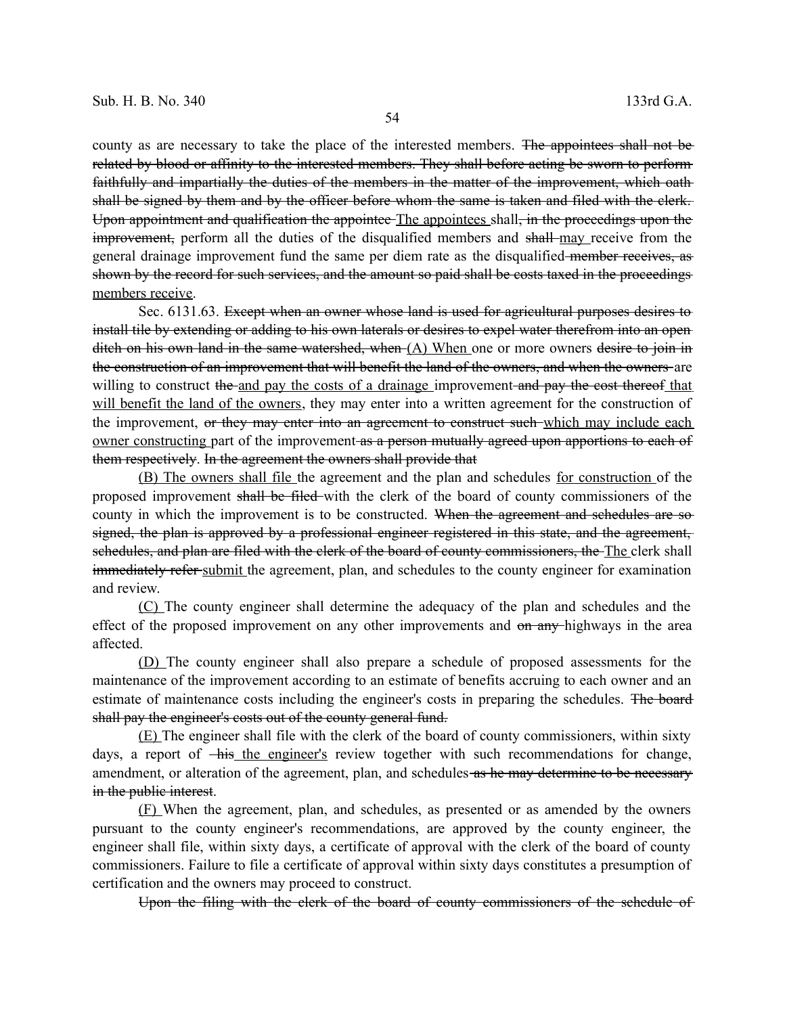county as are necessary to take the place of the interested members. The appointees shall not be related by blood or affinity to the interested members. They shall before acting be sworn to perform faithfully and impartially the duties of the members in the matter of the improvement, which oath shall be signed by them and by the officer before whom the same is taken and filed with the clerk. Upon appointment and qualification the appointee The appointees shall, in the proceedings upon the improvement, perform all the duties of the disqualified members and shall-may receive from the general drainage improvement fund the same per diem rate as the disqualified member receives, as shown by the record for such services, and the amount so paid shall be costs taxed in the proceedings members receive.

Sec. 6131.63. Except when an owner whose land is used for agricultural purposes desires to install tile by extending or adding to his own laterals or desires to expel water therefrom into an open ditch on his own land in the same watershed, when (A) When one or more owners desire to join in the construction of an improvement that will benefit the land of the owners, and when the owners are willing to construct the and pay the costs of a drainage improvement and pay the cost thereof that will benefit the land of the owners, they may enter into a written agreement for the construction of the improvement, or they may enter into an agreement to construct such which may include each owner constructing part of the improvement as a person mutually agreed upon apportions to each of them respectively. In the agreement the owners shall provide that

(B) The owners shall file the agreement and the plan and schedules for construction of the proposed improvement shall be filed with the clerk of the board of county commissioners of the county in which the improvement is to be constructed. When the agreement and schedules are sosigned, the plan is approved by a professional engineer registered in this state, and the agreement, schedules, and plan are filed with the clerk of the board of county commissioners, the The clerk shall immediately refer-submit the agreement, plan, and schedules to the county engineer for examination and review.

(C) The county engineer shall determine the adequacy of the plan and schedules and the effect of the proposed improvement on any other improvements and on any highways in the area affected.

(D) The county engineer shall also prepare a schedule of proposed assessments for the maintenance of the improvement according to an estimate of benefits accruing to each owner and an estimate of maintenance costs including the engineer's costs in preparing the schedules. The board shall pay the engineer's costs out of the county general fund.

(E) The engineer shall file with the clerk of the board of county commissioners, within sixty days, a report of <del>his the engineer's</del> review together with such recommendations for change, amendment, or alteration of the agreement, plan, and schedules as he may determine to be necessary in the public interest.

(F) When the agreement, plan, and schedules, as presented or as amended by the owners pursuant to the county engineer's recommendations, are approved by the county engineer, the engineer shall file, within sixty days, a certificate of approval with the clerk of the board of county commissioners. Failure to file a certificate of approval within sixty days constitutes a presumption of certification and the owners may proceed to construct.

Upon the filing with the clerk of the board of county commissioners of the schedule of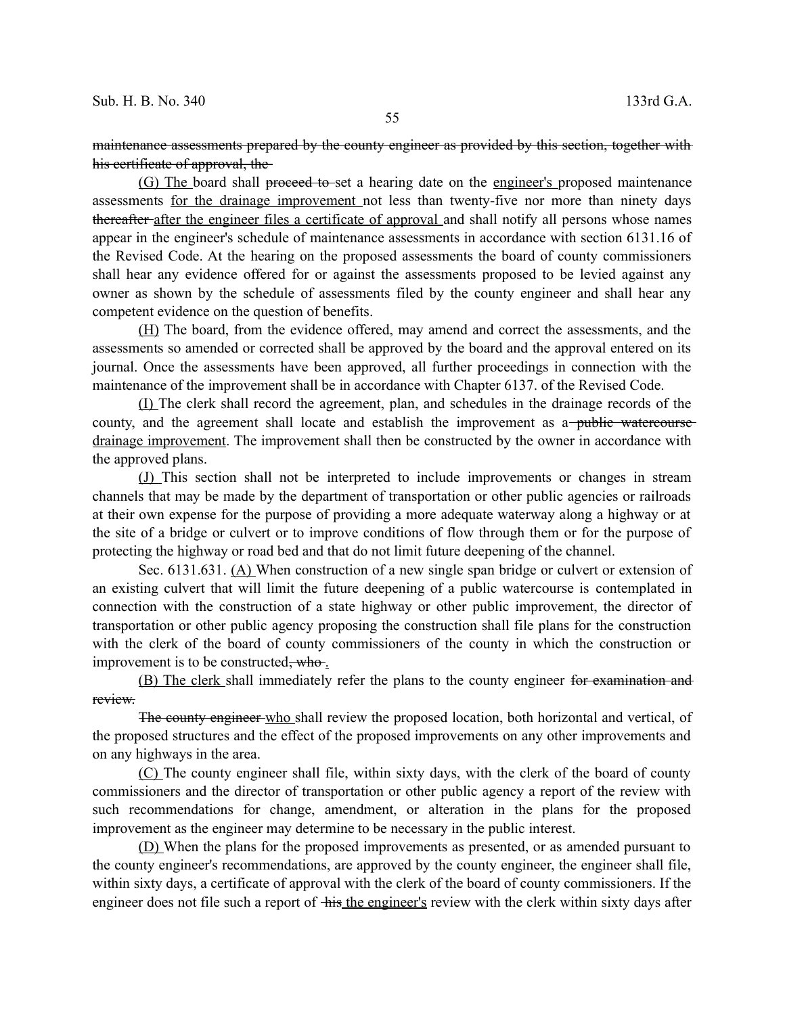maintenance assessments prepared by the county engineer as provided by this section, together with his certificate of approval, the

(G) The board shall proceed to-set a hearing date on the engineer's proposed maintenance assessments for the drainage improvement not less than twenty-five nor more than ninety days thereafter after the engineer files a certificate of approval and shall notify all persons whose names appear in the engineer's schedule of maintenance assessments in accordance with section 6131.16 of the Revised Code. At the hearing on the proposed assessments the board of county commissioners shall hear any evidence offered for or against the assessments proposed to be levied against any owner as shown by the schedule of assessments filed by the county engineer and shall hear any competent evidence on the question of benefits.

(H) The board, from the evidence offered, may amend and correct the assessments, and the assessments so amended or corrected shall be approved by the board and the approval entered on its journal. Once the assessments have been approved, all further proceedings in connection with the maintenance of the improvement shall be in accordance with Chapter 6137. of the Revised Code.

(I) The clerk shall record the agreement, plan, and schedules in the drainage records of the county, and the agreement shall locate and establish the improvement as a-public watercourse drainage improvement. The improvement shall then be constructed by the owner in accordance with the approved plans.

(J) This section shall not be interpreted to include improvements or changes in stream channels that may be made by the department of transportation or other public agencies or railroads at their own expense for the purpose of providing a more adequate waterway along a highway or at the site of a bridge or culvert or to improve conditions of flow through them or for the purpose of protecting the highway or road bed and that do not limit future deepening of the channel.

Sec. 6131.631. (A) When construction of a new single span bridge or culvert or extension of an existing culvert that will limit the future deepening of a public watercourse is contemplated in connection with the construction of a state highway or other public improvement, the director of transportation or other public agency proposing the construction shall file plans for the construction with the clerk of the board of county commissioners of the county in which the construction or improvement is to be constructed, who.

(B) The clerk shall immediately refer the plans to the county engineer for examination and review.

The county engineer who shall review the proposed location, both horizontal and vertical, of the proposed structures and the effect of the proposed improvements on any other improvements and on any highways in the area.

(C) The county engineer shall file, within sixty days, with the clerk of the board of county commissioners and the director of transportation or other public agency a report of the review with such recommendations for change, amendment, or alteration in the plans for the proposed improvement as the engineer may determine to be necessary in the public interest.

(D) When the plans for the proposed improvements as presented, or as amended pursuant to the county engineer's recommendations, are approved by the county engineer, the engineer shall file, within sixty days, a certificate of approval with the clerk of the board of county commissioners. If the engineer does not file such a report of his the engineer's review with the clerk within sixty days after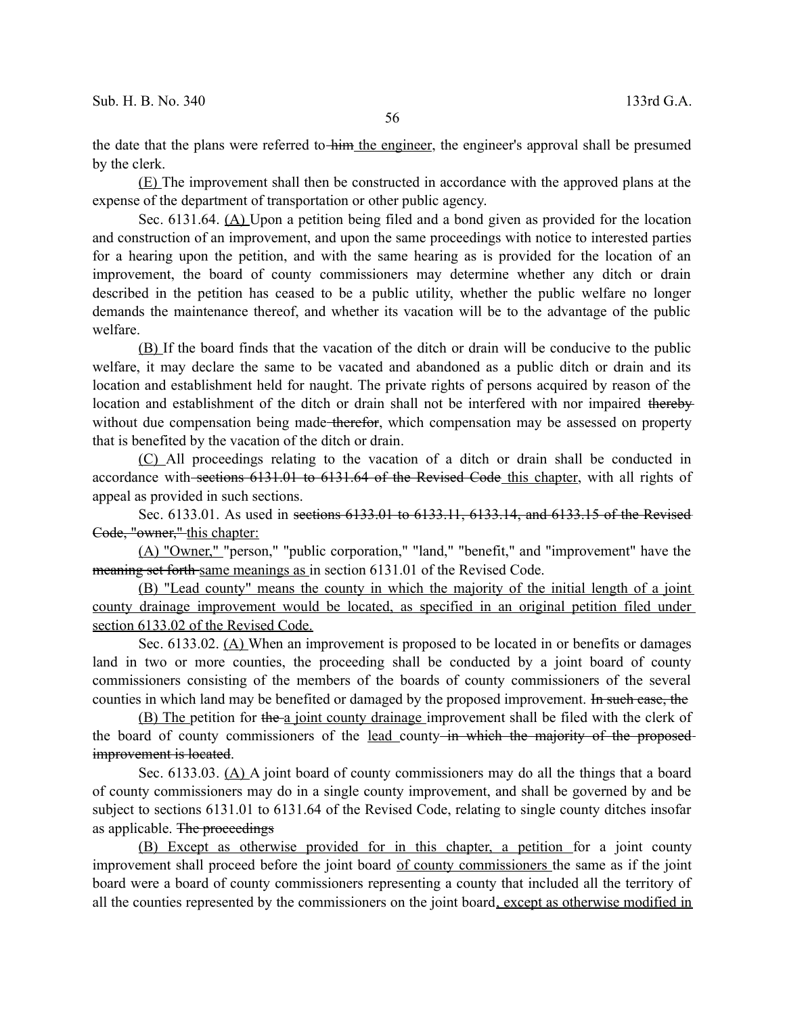the date that the plans were referred to him the engineer, the engineer's approval shall be presumed by the clerk.

(E) The improvement shall then be constructed in accordance with the approved plans at the expense of the department of transportation or other public agency.

Sec. 6131.64. (A) Upon a petition being filed and a bond given as provided for the location and construction of an improvement, and upon the same proceedings with notice to interested parties for a hearing upon the petition, and with the same hearing as is provided for the location of an improvement, the board of county commissioners may determine whether any ditch or drain described in the petition has ceased to be a public utility, whether the public welfare no longer demands the maintenance thereof, and whether its vacation will be to the advantage of the public welfare.

(B) If the board finds that the vacation of the ditch or drain will be conducive to the public welfare, it may declare the same to be vacated and abandoned as a public ditch or drain and its location and establishment held for naught. The private rights of persons acquired by reason of the location and establishment of the ditch or drain shall not be interfered with nor impaired thereby without due compensation being made therefor, which compensation may be assessed on property that is benefited by the vacation of the ditch or drain.

(C) All proceedings relating to the vacation of a ditch or drain shall be conducted in accordance with sections 6131.01 to 6131.64 of the Revised Code this chapter, with all rights of appeal as provided in such sections.

Sec. 6133.01. As used in sections 6133.01 to 6133.11, 6133.14, and 6133.15 of the Revised Code, "owner," this chapter:

(A) "Owner," "person," "public corporation," "land," "benefit," and "improvement" have the meaning set forth-same meanings as in section 6131.01 of the Revised Code.

(B) "Lead county" means the county in which the majority of the initial length of a joint county drainage improvement would be located, as specified in an original petition filed under section 6133.02 of the Revised Code.

Sec. 6133.02. (A) When an improvement is proposed to be located in or benefits or damages land in two or more counties, the proceeding shall be conducted by a joint board of county commissioners consisting of the members of the boards of county commissioners of the several counties in which land may be benefited or damaged by the proposed improvement. In such case, the

(B) The petition for the a joint county drainage improvement shall be filed with the clerk of the board of county commissioners of the lead county-in which the majority of the proposedimprovement is located.

Sec. 6133.03. (A) A joint board of county commissioners may do all the things that a board of county commissioners may do in a single county improvement, and shall be governed by and be subject to sections 6131.01 to 6131.64 of the Revised Code, relating to single county ditches insofar as applicable. The proceedings

(B) Except as otherwise provided for in this chapter, a petition for a joint county improvement shall proceed before the joint board of county commissioners the same as if the joint board were a board of county commissioners representing a county that included all the territory of all the counties represented by the commissioners on the joint board, except as otherwise modified in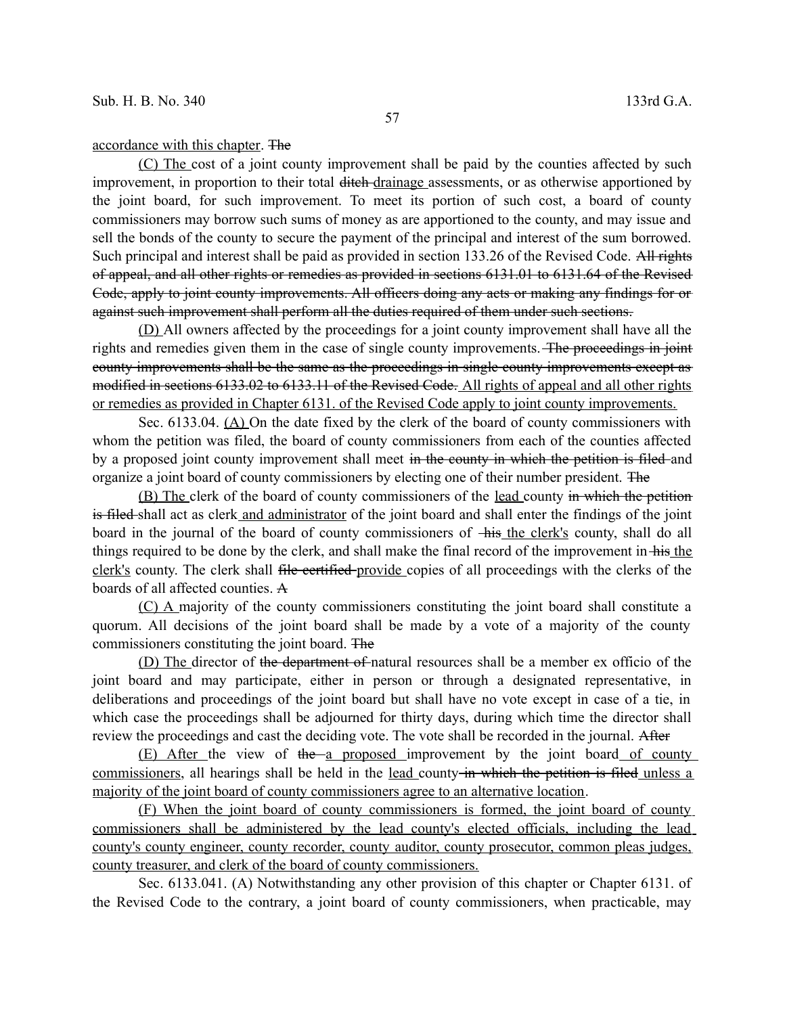## accordance with this chapter. The

(C) The cost of a joint county improvement shall be paid by the counties affected by such improvement, in proportion to their total ditch drainage assessments, or as otherwise apportioned by the joint board, for such improvement. To meet its portion of such cost, a board of county commissioners may borrow such sums of money as are apportioned to the county, and may issue and sell the bonds of the county to secure the payment of the principal and interest of the sum borrowed. Such principal and interest shall be paid as provided in section 133.26 of the Revised Code. All rights of appeal, and all other rights or remedies as provided in sections 6131.01 to 6131.64 of the Revised Code, apply to joint county improvements. All officers doing any acts or making any findings for or against such improvement shall perform all the duties required of them under such sections.

(D) All owners affected by the proceedings for a joint county improvement shall have all the rights and remedies given them in the case of single county improvements. The proceedings in joint county improvements shall be the same as the proceedings in single county improvements except as modified in sections 6133.02 to 6133.11 of the Revised Code. All rights of appeal and all other rights or remedies as provided in Chapter 6131. of the Revised Code apply to joint county improvements.

Sec. 6133.04. (A) On the date fixed by the clerk of the board of county commissioners with whom the petition was filed, the board of county commissioners from each of the counties affected by a proposed joint county improvement shall meet in the county in which the petition is filed and organize a joint board of county commissioners by electing one of their number president. The

(B) The clerk of the board of county commissioners of the lead county in which the petition is filed shall act as clerk and administrator of the joint board and shall enter the findings of the joint board in the journal of the board of county commissioners of  $\frac{1}{\text{His the clerk's count}}$ , shall do all things required to be done by the clerk, and shall make the final record of the improvement in his the clerk's county. The clerk shall file certified provide copies of all proceedings with the clerks of the boards of all affected counties. A

(C) A majority of the county commissioners constituting the joint board shall constitute a quorum. All decisions of the joint board shall be made by a vote of a majority of the county commissioners constituting the joint board. The

(D) The director of the department of natural resources shall be a member ex officio of the joint board and may participate, either in person or through a designated representative, in deliberations and proceedings of the joint board but shall have no vote except in case of a tie, in which case the proceedings shall be adjourned for thirty days, during which time the director shall review the proceedings and cast the deciding vote. The vote shall be recorded in the journal. After

(E) After the view of the a proposed improvement by the joint board of county commissioners, all hearings shall be held in the lead county in which the petition is filed unless a majority of the joint board of county commissioners agree to an alternative location.

(F) When the joint board of county commissioners is formed, the joint board of county commissioners shall be administered by the lead county's elected officials, including the lead county's county engineer, county recorder, county auditor, county prosecutor, common pleas judges, county treasurer, and clerk of the board of county commissioners.

Sec. 6133.041. (A) Notwithstanding any other provision of this chapter or Chapter 6131. of the Revised Code to the contrary, a joint board of county commissioners, when practicable, may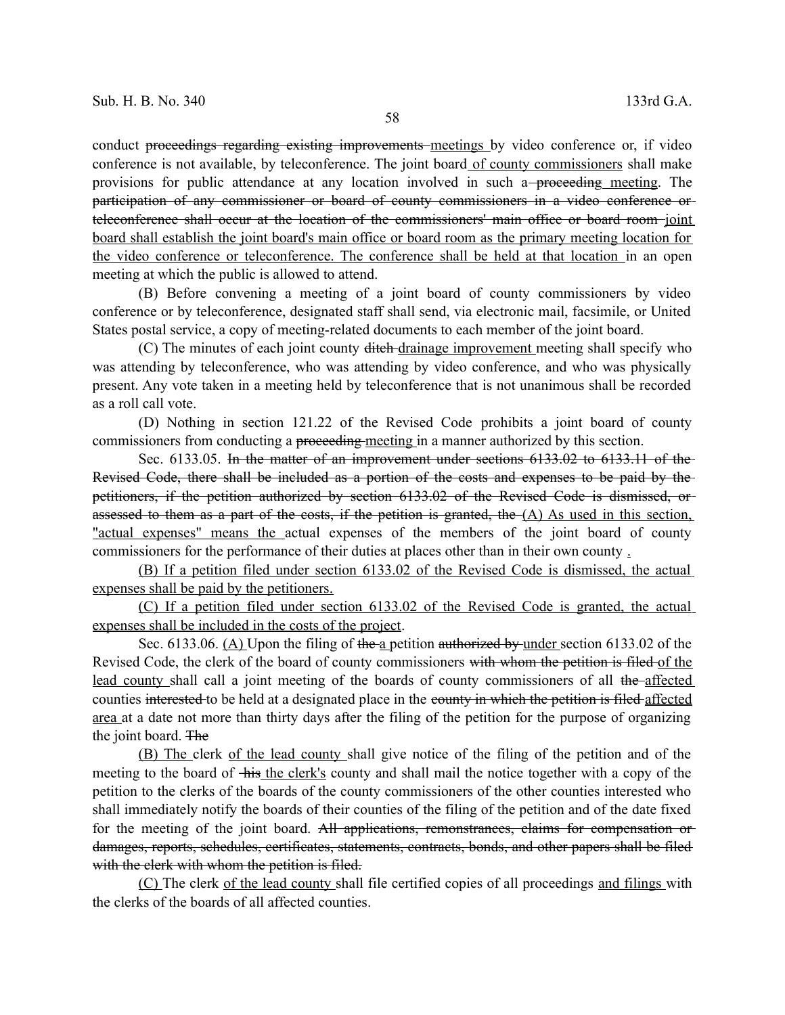conduct proceedings regarding existing improvements meetings by video conference or, if video conference is not available, by teleconference. The joint board of county commissioners shall make provisions for public attendance at any location involved in such a–proceeding meeting. The participation of any commissioner or board of county commissioners in a video conference or teleconference shall occur at the location of the commissioners' main office or board room joint board shall establish the joint board's main office or board room as the primary meeting location for the video conference or teleconference. The conference shall be held at that location in an open meeting at which the public is allowed to attend.

(B) Before convening a meeting of a joint board of county commissioners by video conference or by teleconference, designated staff shall send, via electronic mail, facsimile, or United States postal service, a copy of meeting-related documents to each member of the joint board.

(C) The minutes of each joint county ditch drainage improvement meeting shall specify who was attending by teleconference, who was attending by video conference, and who was physically present. Any vote taken in a meeting held by teleconference that is not unanimous shall be recorded as a roll call vote.

(D) Nothing in section 121.22 of the Revised Code prohibits a joint board of county commissioners from conducting a proceeding meeting in a manner authorized by this section.

Sec. 6133.05. In the matter of an improvement under sections 6133.02 to 6133.11 of the Revised Code, there shall be included as a portion of the costs and expenses to be paid by the petitioners, if the petition authorized by section 6133.02 of the Revised Code is dismissed, or assessed to them as a part of the costs, if the petition is granted, the  $(A)$  As used in this section, "actual expenses" means the actual expenses of the members of the joint board of county commissioners for the performance of their duties at places other than in their own county .

(B) If a petition filed under section 6133.02 of the Revised Code is dismissed, the actual expenses shall be paid by the petitioners.

(C) If a petition filed under section 6133.02 of the Revised Code is granted, the actual expenses shall be included in the costs of the project.

Sec. 6133.06. (A) Upon the filing of the a petition authorized by under section 6133.02 of the Revised Code, the clerk of the board of county commissioners with whom the petition is filed of the lead county shall call a joint meeting of the boards of county commissioners of all the affected counties interested to be held at a designated place in the county in which the petition is filed affected area at a date not more than thirty days after the filing of the petition for the purpose of organizing the joint board. The

(B) The clerk of the lead county shall give notice of the filing of the petition and of the meeting to the board of his the clerk's county and shall mail the notice together with a copy of the petition to the clerks of the boards of the county commissioners of the other counties interested who shall immediately notify the boards of their counties of the filing of the petition and of the date fixed for the meeting of the joint board. All applications, remonstrances, claims for compensation or damages, reports, schedules, certificates, statements, contracts, bonds, and other papers shall be filed with the clerk with whom the petition is filed.

(C) The clerk of the lead county shall file certified copies of all proceedings and filings with the clerks of the boards of all affected counties.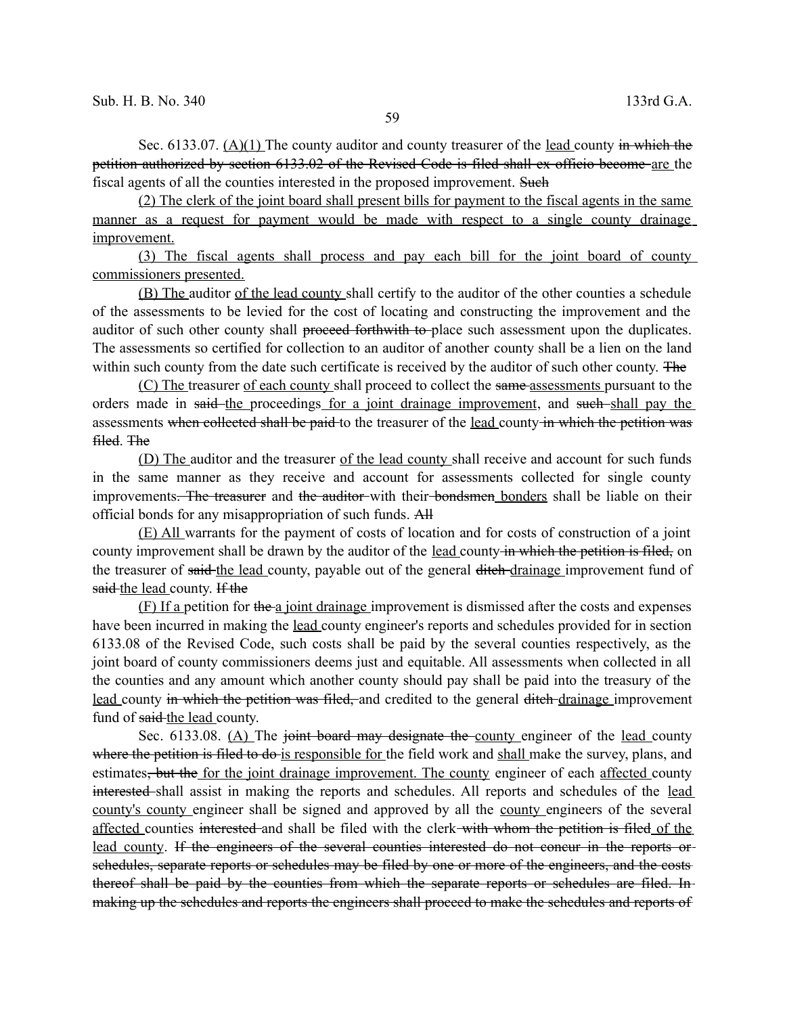Sec. 6133.07. (A)(1) The county auditor and county treasurer of the lead county in which the petition authorized by section 6133.02 of the Revised Code is filed shall ex officio become are the fiscal agents of all the counties interested in the proposed improvement. Such

(2) The clerk of the joint board shall present bills for payment to the fiscal agents in the same manner as a request for payment would be made with respect to a single county drainage improvement.

(3) The fiscal agents shall process and pay each bill for the joint board of county commissioners presented.

(B) The auditor of the lead county shall certify to the auditor of the other counties a schedule of the assessments to be levied for the cost of locating and constructing the improvement and the auditor of such other county shall proceed forthwith to place such assessment upon the duplicates. The assessments so certified for collection to an auditor of another county shall be a lien on the land within such county from the date such certificate is received by the auditor of such other county. The

(C) The treasurer of each county shall proceed to collect the same-assessments pursuant to the orders made in said the proceedings for a joint drainage improvement, and such shall pay the assessments when collected shall be paid to the treasurer of the lead county in which the petition was filed. The

(D) The auditor and the treasurer of the lead county shall receive and account for such funds in the same manner as they receive and account for assessments collected for single county improvements. The treasurer and the auditor with their bondsmen bonders shall be liable on their official bonds for any misappropriation of such funds. All

(E) All warrants for the payment of costs of location and for costs of construction of a joint county improvement shall be drawn by the auditor of the lead county in which the petition is filed, on the treasurer of said-the lead county, payable out of the general ditch-drainage improvement fund of said the lead county. If the

(F) If a petition for the a joint drainage improvement is dismissed after the costs and expenses have been incurred in making the <u>lead</u> county engineer's reports and schedules provided for in section 6133.08 of the Revised Code, such costs shall be paid by the several counties respectively, as the joint board of county commissioners deems just and equitable. All assessments when collected in all the counties and any amount which another county should pay shall be paid into the treasury of the lead county in which the petition was filed, and credited to the general ditch-drainage improvement fund of said the lead county.

Sec.  $6133.08$ . (A) The joint board may designate the county engineer of the lead county where the petition is filed to do is responsible for the field work and shall make the survey, plans, and estimates<del>, but the</del> for the joint drainage improvement. The county engineer of each affected county interested shall assist in making the reports and schedules. All reports and schedules of the lead county's county engineer shall be signed and approved by all the county engineers of the several affected counties interested and shall be filed with the clerk with whom the petition is filed of the lead county. If the engineers of the several counties interested do not concur in the reports or schedules, separate reports or schedules may be filed by one or more of the engineers, and the costs thereof shall be paid by the counties from which the separate reports or schedules are filed. In making up the schedules and reports the engineers shall proceed to make the schedules and reports of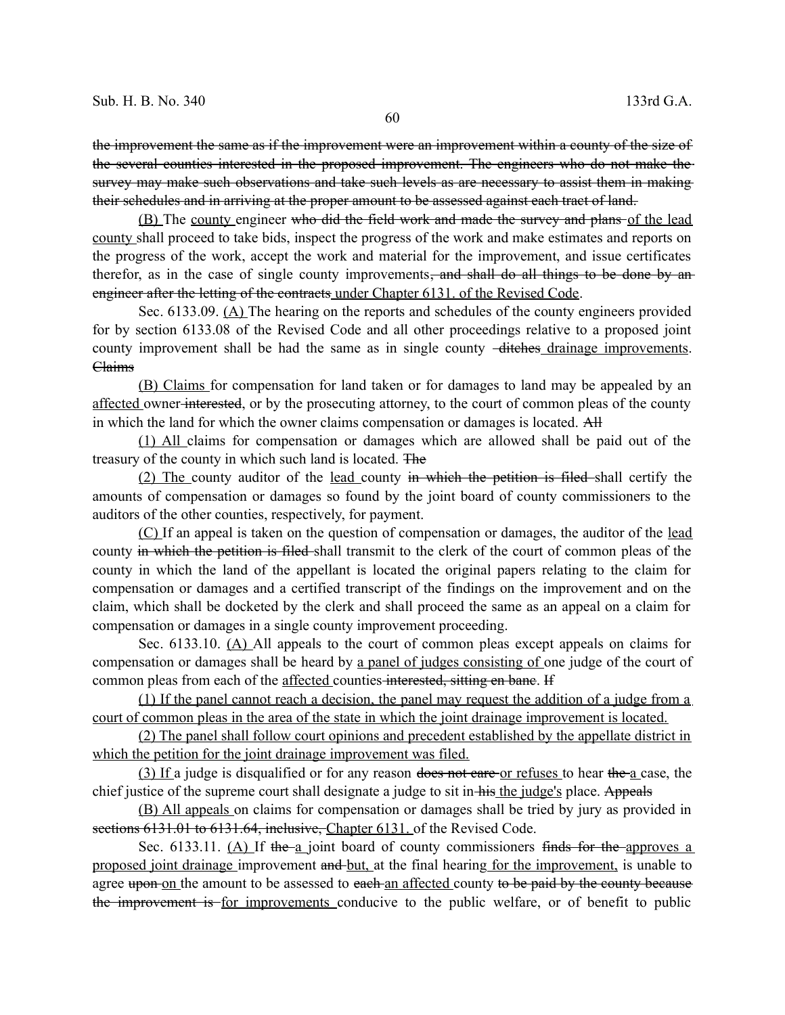the improvement the same as if the improvement were an improvement within a county of the size of the several counties interested in the proposed improvement. The engineers who do not make the survey may make such observations and take such levels as are necessary to assist them in making their schedules and in arriving at the proper amount to be assessed against each tract of land.

(B) The county engineer who did the field work and made the survey and plans of the lead county shall proceed to take bids, inspect the progress of the work and make estimates and reports on the progress of the work, accept the work and material for the improvement, and issue certificates therefor, as in the case of single county improvements<del>, and shall do all things to be done by an</del> engineer after the letting of the contracts under Chapter 6131. of the Revised Code.

Sec. 6133.09. (A) The hearing on the reports and schedules of the county engineers provided for by section 6133.08 of the Revised Code and all other proceedings relative to a proposed joint county improvement shall be had the same as in single county  $-\frac{d}{dt}$  drainage improvements. Claims

(B) Claims for compensation for land taken or for damages to land may be appealed by an affected owner interested, or by the prosecuting attorney, to the court of common pleas of the county in which the land for which the owner claims compensation or damages is located. All

(1) All claims for compensation or damages which are allowed shall be paid out of the treasury of the county in which such land is located. The

(2) The county auditor of the lead county in which the petition is filed shall certify the amounts of compensation or damages so found by the joint board of county commissioners to the auditors of the other counties, respectively, for payment.

(C) If an appeal is taken on the question of compensation or damages, the auditor of the lead county in which the petition is filed shall transmit to the clerk of the court of common pleas of the county in which the land of the appellant is located the original papers relating to the claim for compensation or damages and a certified transcript of the findings on the improvement and on the claim, which shall be docketed by the clerk and shall proceed the same as an appeal on a claim for compensation or damages in a single county improvement proceeding.

Sec. 6133.10. (A) All appeals to the court of common pleas except appeals on claims for compensation or damages shall be heard by a panel of judges consisting of one judge of the court of common pleas from each of the affected counties interested, sitting en bane. If

(1) If the panel cannot reach a decision, the panel may request the addition of a judge from a court of common pleas in the area of the state in which the joint drainage improvement is located.

(2) The panel shall follow court opinions and precedent established by the appellate district in which the petition for the joint drainage improvement was filed.

(3) If a judge is disqualified or for any reason does not care or refuses to hear the a case, the chief justice of the supreme court shall designate a judge to sit in his the judge's place. Appeals

(B) All appeals on claims for compensation or damages shall be tried by jury as provided in sections 6131.01 to 6131.64, inclusive, Chapter 6131. of the Revised Code.

Sec. 6133.11. (A) If the a joint board of county commissioners finds for the approves a proposed joint drainage improvement and but, at the final hearing for the improvement, is unable to agree upon on the amount to be assessed to each an affected county to be paid by the county because the improvement is for improvements conducive to the public welfare, or of benefit to public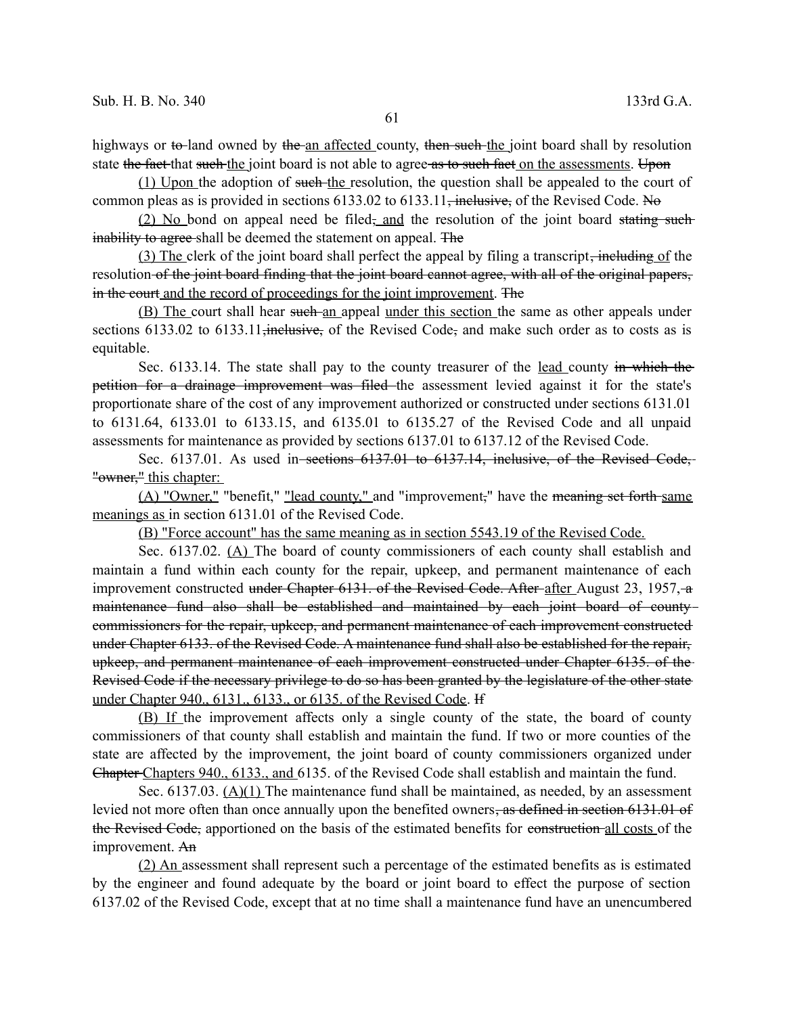highways or to land owned by the an affected county, then such the joint board shall by resolution state the fact that such the joint board is not able to agree as to such fact on the assessments. Upon

 $(1)$  Upon the adoption of such the resolution, the question shall be appealed to the court of common pleas as is provided in sections  $6133.02$  to  $6133.11$ , inclusive, of the Revised Code. No

(2) No bond on appeal need be filed, and the resolution of the joint board stating such inability to agree shall be deemed the statement on appeal. The

(3) The clerk of the joint board shall perfect the appeal by filing a transcript, including of the resolution of the joint board finding that the joint board cannot agree, with all of the original papers, in the court and the record of proceedings for the joint improvement. The

(B) The court shall hear such an appeal under this section the same as other appeals under sections 6133.02 to 6133.11, inclusive, of the Revised Code, and make such order as to costs as is equitable.

Sec. 6133.14. The state shall pay to the county treasurer of the <u>lead county in which the</u> petition for a drainage improvement was filed the assessment levied against it for the state's proportionate share of the cost of any improvement authorized or constructed under sections 6131.01 to 6131.64, 6133.01 to 6133.15, and 6135.01 to 6135.27 of the Revised Code and all unpaid assessments for maintenance as provided by sections 6137.01 to 6137.12 of the Revised Code.

Sec. 6137.01. As used in-sections 6137.01 to 6137.14, inclusive, of the Revised Code, "owner," this chapter:

(A) "Owner," "benefit," "lead county," and "improvement," have the meaning set forth same meanings as in section 6131.01 of the Revised Code.

(B) "Force account" has the same meaning as in section 5543.19 of the Revised Code.

Sec. 6137.02. (A) The board of county commissioners of each county shall establish and maintain a fund within each county for the repair, upkeep, and permanent maintenance of each improvement constructed under Chapter 6131. of the Revised Code. After-after August 23, 1957, a maintenance fund also shall be established and maintained by each joint board of countycommissioners for the repair, upkeep, and permanent maintenance of each improvement constructed under Chapter 6133. of the Revised Code. A maintenance fund shall also be established for the repair, upkeep, and permanent maintenance of each improvement constructed under Chapter 6135. of the Revised Code if the necessary privilege to do so has been granted by the legislature of the other state under Chapter 940., 6131., 6133., or 6135. of the Revised Code. If

(B) If the improvement affects only a single county of the state, the board of county commissioners of that county shall establish and maintain the fund. If two or more counties of the state are affected by the improvement, the joint board of county commissioners organized under Chapter Chapters 940., 6133., and 6135. of the Revised Code shall establish and maintain the fund.

Sec. 6137.03. (A)(1) The maintenance fund shall be maintained, as needed, by an assessment levied not more often than once annually upon the benefited owners, as defined in section 6131.01 of the Revised Code, apportioned on the basis of the estimated benefits for construction all costs of the improvement. An

(2) An assessment shall represent such a percentage of the estimated benefits as is estimated by the engineer and found adequate by the board or joint board to effect the purpose of section 6137.02 of the Revised Code, except that at no time shall a maintenance fund have an unencumbered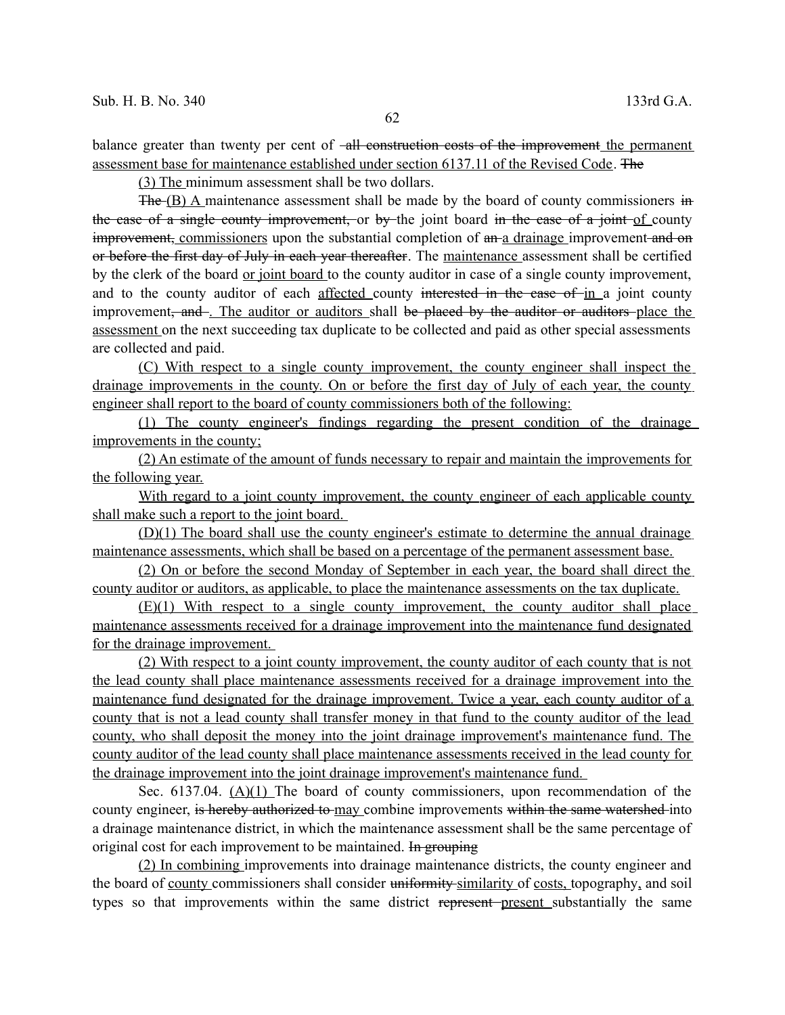balance greater than twenty per cent of -all construction costs of the improvement the permanent assessment base for maintenance established under section 6137.11 of the Revised Code. The

(3) The minimum assessment shall be two dollars.

The (B) A maintenance assessment shall be made by the board of county commissioners in the case of a single county improvement, or by the joint board in the case of a joint of county improvement, commissioners upon the substantial completion of an a drainage improvement and on or before the first day of July in each year thereafter. The maintenance assessment shall be certified by the clerk of the board or joint board to the county auditor in case of a single county improvement, and to the county auditor of each affected county interested in the case of in a joint county improvement<del>, and</del>. The auditor or auditors shall be placed by the auditor or auditors place the assessment on the next succeeding tax duplicate to be collected and paid as other special assessments are collected and paid.

(C) With respect to a single county improvement, the county engineer shall inspect the drainage improvements in the county. On or before the first day of July of each year, the county engineer shall report to the board of county commissioners both of the following:

(1) The county engineer's findings regarding the present condition of the drainage improvements in the county;

(2) An estimate of the amount of funds necessary to repair and maintain the improvements for the following year.

With regard to a joint county improvement, the county engineer of each applicable county shall make such a report to the joint board.

(D)(1) The board shall use the county engineer's estimate to determine the annual drainage maintenance assessments, which shall be based on a percentage of the permanent assessment base.

(2) On or before the second Monday of September in each year, the board shall direct the county auditor or auditors, as applicable, to place the maintenance assessments on the tax duplicate.

(E)(1) With respect to a single county improvement, the county auditor shall place maintenance assessments received for a drainage improvement into the maintenance fund designated for the drainage improvement.

(2) With respect to a joint county improvement, the county auditor of each county that is not the lead county shall place maintenance assessments received for a drainage improvement into the maintenance fund designated for the drainage improvement. Twice a year, each county auditor of a county that is not a lead county shall transfer money in that fund to the county auditor of the lead county, who shall deposit the money into the joint drainage improvement's maintenance fund. The county auditor of the lead county shall place maintenance assessments received in the lead county for the drainage improvement into the joint drainage improvement's maintenance fund.

Sec. 6137.04. (A)(1) The board of county commissioners, upon recommendation of the county engineer, is hereby authorized to may combine improvements within the same watershed into a drainage maintenance district, in which the maintenance assessment shall be the same percentage of original cost for each improvement to be maintained. In grouping

(2) In combining improvements into drainage maintenance districts, the county engineer and the board of county commissioners shall consider uniformity similarity of costs, topography, and soil types so that improvements within the same district represent present substantially the same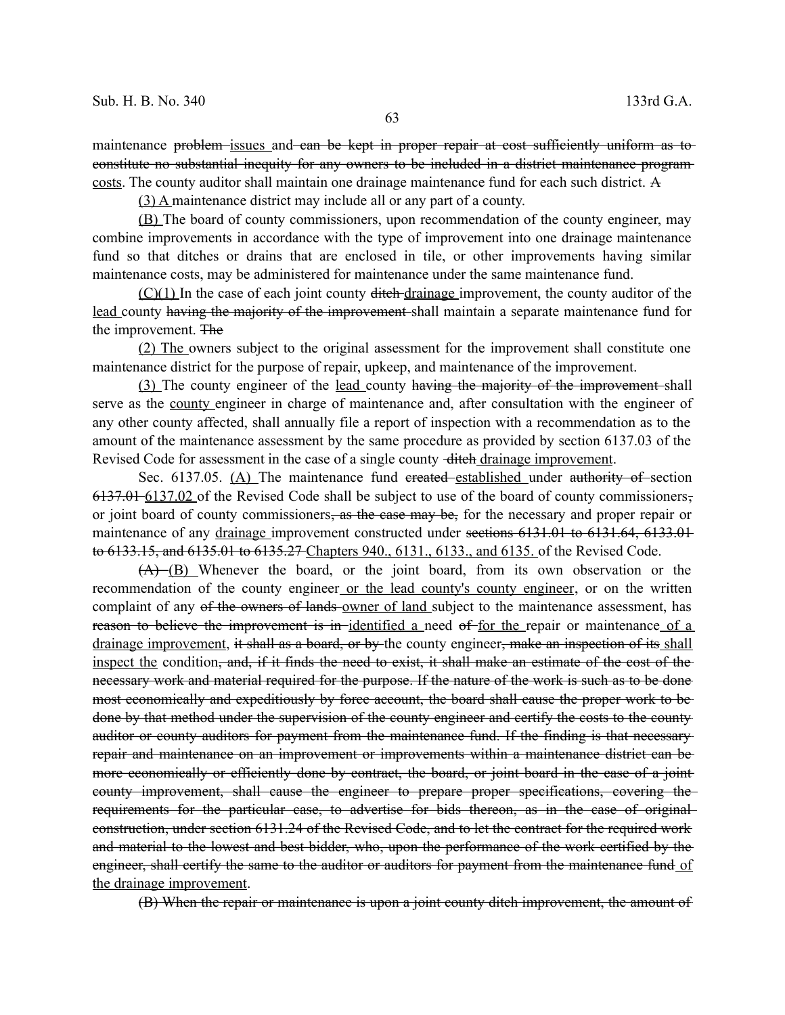maintenance problem issues and ean be kept in proper repair at cost sufficiently uniform as to constitute no substantial inequity for any owners to be included in a district maintenance program costs. The county auditor shall maintain one drainage maintenance fund for each such district. A

(3) A maintenance district may include all or any part of a county.

(B) The board of county commissioners, upon recommendation of the county engineer, may combine improvements in accordance with the type of improvement into one drainage maintenance fund so that ditches or drains that are enclosed in tile, or other improvements having similar maintenance costs, may be administered for maintenance under the same maintenance fund.

 $(C)(1)$  In the case of each joint county ditch drainage improvement, the county auditor of the lead county having the majority of the improvement shall maintain a separate maintenance fund for the improvement. The

(2) The owners subject to the original assessment for the improvement shall constitute one maintenance district for the purpose of repair, upkeep, and maintenance of the improvement.

(3) The county engineer of the lead county having the majority of the improvement shall serve as the county engineer in charge of maintenance and, after consultation with the engineer of any other county affected, shall annually file a report of inspection with a recommendation as to the amount of the maintenance assessment by the same procedure as provided by section 6137.03 of the Revised Code for assessment in the case of a single county -diteh drainage improvement.

Sec. 6137.05. (A) The maintenance fund ereated established under authority of section  $6137.01-6137.02$  of the Revised Code shall be subject to use of the board of county commissioners, or joint board of county commissioners, as the case may be, for the necessary and proper repair or maintenance of any drainage improvement constructed under sections 6131.01 to 6131.64, 6133.01 to 6133.15, and 6135.01 to 6135.27 Chapters 940., 6131., 6133., and 6135. of the Revised Code.

(A) (B) Whenever the board, or the joint board, from its own observation or the recommendation of the county engineer or the lead county's county engineer, or on the written complaint of any of the owners of lands owner of land subject to the maintenance assessment, has reason to believe the improvement is in identified a need of for the repair or maintenance of a drainage improvement, it shall as a board, or by the county engineer, make an inspection of its shall inspect the condition, and, if it finds the need to exist, it shall make an estimate of the cost of the necessary work and material required for the purpose. If the nature of the work is such as to be done most economically and expeditiously by force account, the board shall cause the proper work to be done by that method under the supervision of the county engineer and certify the costs to the county auditor or county auditors for payment from the maintenance fund. If the finding is that necessary repair and maintenance on an improvement or improvements within a maintenance district can be more economically or efficiently done by contract, the board, or joint board in the case of a jointcounty improvement, shall cause the engineer to prepare proper specifications, covering the requirements for the particular case, to advertise for bids thereon, as in the case of original construction, under section 6131.24 of the Revised Code, and to let the contract for the required work and material to the lowest and best bidder, who, upon the performance of the work certified by the engineer, shall certify the same to the auditor or auditors for payment from the maintenance fund of the drainage improvement.

(B) When the repair or maintenance is upon a joint county ditch improvement, the amount of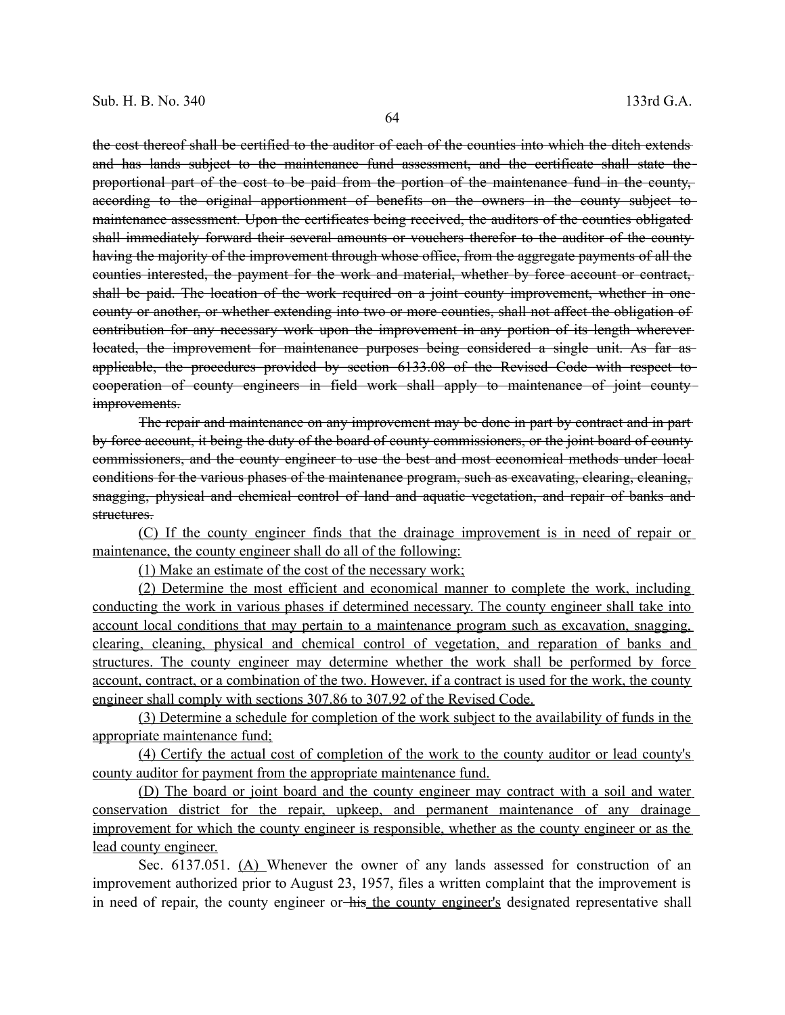the cost thereof shall be certified to the auditor of each of the counties into which the ditch extends and has lands subject to the maintenance fund assessment, and the certificate shall state theproportional part of the cost to be paid from the portion of the maintenance fund in the county, according to the original apportionment of benefits on the owners in the county subject to maintenance assessment. Upon the certificates being received, the auditors of the counties obligated shall immediately forward their several amounts or vouchers therefor to the auditor of the county having the majority of the improvement through whose office, from the aggregate payments of all the counties interested, the payment for the work and material, whether by force account or contract, shall be paid. The location of the work required on a joint county improvement, whether in onecounty or another, or whether extending into two or more counties, shall not affect the obligation of contribution for any necessary work upon the improvement in any portion of its length wherever located, the improvement for maintenance purposes being considered a single unit. As far asapplicable, the procedures provided by section 6133.08 of the Revised Code with respect to cooperation of county engineers in field work shall apply to maintenance of joint county improvements.

The repair and maintenance on any improvement may be done in part by contract and in part by force account, it being the duty of the board of county commissioners, or the joint board of county commissioners, and the county engineer to use the best and most economical methods under local conditions for the various phases of the maintenance program, such as excavating, clearing, cleaning, snagging, physical and chemical control of land and aquatic vegetation, and repair of banks and structures.

(C) If the county engineer finds that the drainage improvement is in need of repair or maintenance, the county engineer shall do all of the following:

(1) Make an estimate of the cost of the necessary work;

(2) Determine the most efficient and economical manner to complete the work, including conducting the work in various phases if determined necessary. The county engineer shall take into account local conditions that may pertain to a maintenance program such as excavation, snagging, clearing, cleaning, physical and chemical control of vegetation, and reparation of banks and structures. The county engineer may determine whether the work shall be performed by force account, contract, or a combination of the two. However, if a contract is used for the work, the county engineer shall comply with sections 307.86 to 307.92 of the Revised Code.

(3) Determine a schedule for completion of the work subject to the availability of funds in the appropriate maintenance fund;

(4) Certify the actual cost of completion of the work to the county auditor or lead county's county auditor for payment from the appropriate maintenance fund.

(D) The board or joint board and the county engineer may contract with a soil and water conservation district for the repair, upkeep, and permanent maintenance of any drainage improvement for which the county engineer is responsible, whether as the county engineer or as the lead county engineer.

Sec. 6137.051. (A) Whenever the owner of any lands assessed for construction of an improvement authorized prior to August 23, 1957, files a written complaint that the improvement is in need of repair, the county engineer or his the county engineer's designated representative shall

64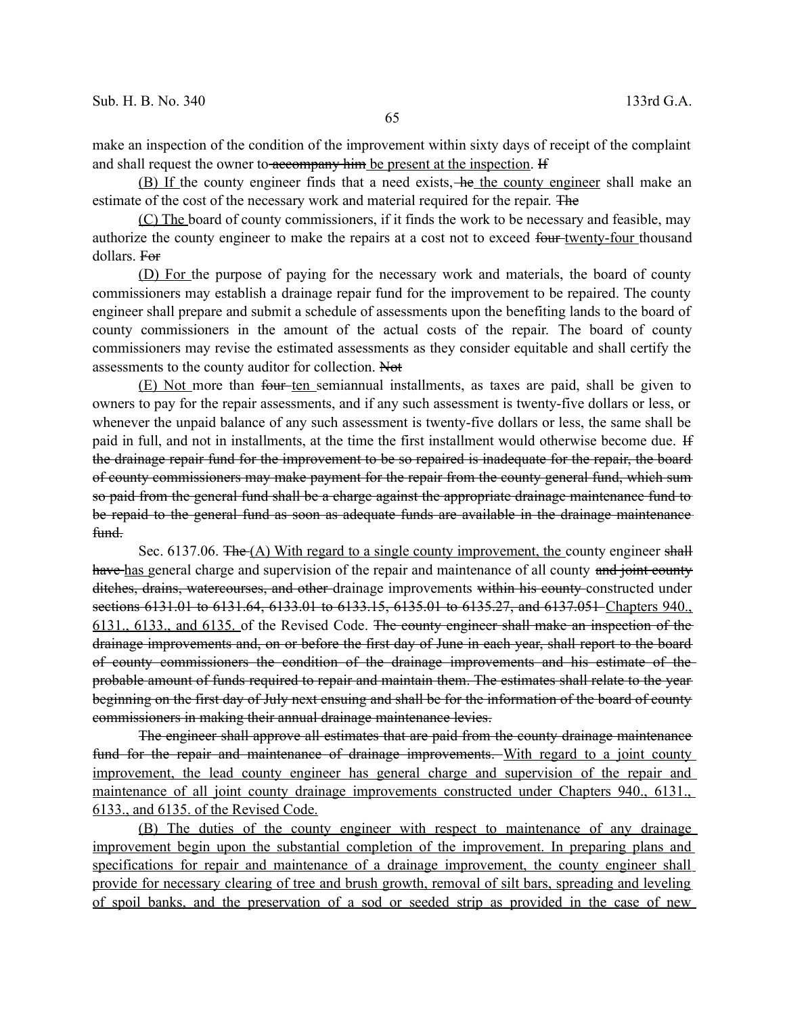make an inspection of the condition of the improvement within sixty days of receipt of the complaint and shall request the owner to accompany him be present at the inspection. If

(B) If the county engineer finds that a need exists, he the county engineer shall make an estimate of the cost of the necessary work and material required for the repair. The

(C) The board of county commissioners, if it finds the work to be necessary and feasible, may authorize the county engineer to make the repairs at a cost not to exceed four twenty-four thousand dollars. For

(D) For the purpose of paying for the necessary work and materials, the board of county commissioners may establish a drainage repair fund for the improvement to be repaired. The county engineer shall prepare and submit a schedule of assessments upon the benefiting lands to the board of county commissioners in the amount of the actual costs of the repair. The board of county commissioners may revise the estimated assessments as they consider equitable and shall certify the assessments to the county auditor for collection. Not

(E) Not more than four ten semiannual installments, as taxes are paid, shall be given to owners to pay for the repair assessments, and if any such assessment is twenty-five dollars or less, or whenever the unpaid balance of any such assessment is twenty-five dollars or less, the same shall be paid in full, and not in installments, at the time the first installment would otherwise become due. If the drainage repair fund for the improvement to be so repaired is inadequate for the repair, the board of county commissioners may make payment for the repair from the county general fund, which sum so paid from the general fund shall be a charge against the appropriate drainage maintenance fund to be repaid to the general fund as soon as adequate funds are available in the drainage maintenance  $f$ <sub>t</sub> $f$ 

Sec. 6137.06. The (A) With regard to a single county improvement, the county engineer shall have has general charge and supervision of the repair and maintenance of all county and joint county ditches, drains, watercourses, and other drainage improvements within his county-constructed under sections 6131.01 to 6131.64, 6133.01 to 6133.15, 6135.01 to 6135.27, and 6137.051 Chapters 940. 6131., 6133., and 6135. of the Revised Code. The county engineer shall make an inspection of the drainage improvements and, on or before the first day of June in each year, shall report to the board of county commissioners the condition of the drainage improvements and his estimate of the probable amount of funds required to repair and maintain them. The estimates shall relate to the year beginning on the first day of July next ensuing and shall be for the information of the board of county commissioners in making their annual drainage maintenance levies.

The engineer shall approve all estimates that are paid from the county drainage maintenance fund for the repair and maintenance of drainage improvements. With regard to a joint county improvement, the lead county engineer has general charge and supervision of the repair and maintenance of all joint county drainage improvements constructed under Chapters 940, 6131. 6133., and 6135. of the Revised Code.

(B) The duties of the county engineer with respect to maintenance of any drainage improvement begin upon the substantial completion of the improvement. In preparing plans and specifications for repair and maintenance of a drainage improvement, the county engineer shall provide for necessary clearing of tree and brush growth, removal of silt bars, spreading and leveling of spoil banks, and the preservation of a sod or seeded strip as provided in the case of new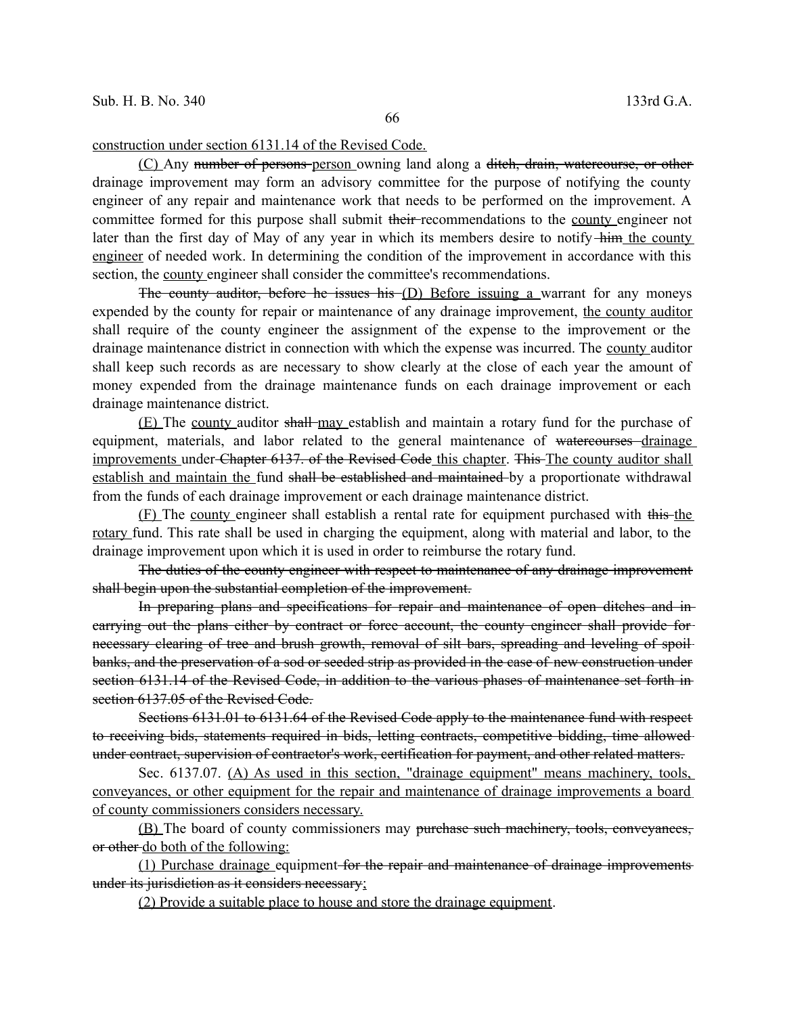## construction under section 6131.14 of the Revised Code.

(C) Any number of persons person owning land along a ditch, drain, watercourse, or other drainage improvement may form an advisory committee for the purpose of notifying the county engineer of any repair and maintenance work that needs to be performed on the improvement. A committee formed for this purpose shall submit their recommendations to the county engineer not later than the first day of May of any year in which its members desire to notify-him the county engineer of needed work. In determining the condition of the improvement in accordance with this section, the county engineer shall consider the committee's recommendations.

The county auditor, before he issues his (D) Before issuing a warrant for any moneys expended by the county for repair or maintenance of any drainage improvement, the county auditor shall require of the county engineer the assignment of the expense to the improvement or the drainage maintenance district in connection with which the expense was incurred. The county auditor shall keep such records as are necessary to show clearly at the close of each year the amount of money expended from the drainage maintenance funds on each drainage improvement or each drainage maintenance district.

(E) The county auditor shall may establish and maintain a rotary fund for the purchase of equipment, materials, and labor related to the general maintenance of watercourses drainage improvements under Chapter 6137. of the Revised Code this chapter. This The county auditor shall establish and maintain the fund shall be established and maintained by a proportionate withdrawal from the funds of each drainage improvement or each drainage maintenance district.

(F) The county engineer shall establish a rental rate for equipment purchased with this the rotary fund. This rate shall be used in charging the equipment, along with material and labor, to the drainage improvement upon which it is used in order to reimburse the rotary fund.

The duties of the county engineer with respect to maintenance of any drainage improvement shall begin upon the substantial completion of the improvement.

In preparing plans and specifications for repair and maintenance of open ditches and in carrying out the plans either by contract or force account, the county engineer shall provide for necessary clearing of tree and brush growth, removal of silt bars, spreading and leveling of spoilbanks, and the preservation of a sod or seeded strip as provided in the case of new construction under section 6131.14 of the Revised Code, in addition to the various phases of maintenance set forth in section 6137.05 of the Revised Code.

Sections 6131.01 to 6131.64 of the Revised Code apply to the maintenance fund with respect to receiving bids, statements required in bids, letting contracts, competitive bidding, time allowed under contract, supervision of contractor's work, certification for payment, and other related matters.

Sec. 6137.07. (A) As used in this section, "drainage equipment" means machinery, tools, conveyances, or other equipment for the repair and maintenance of drainage improvements a board of county commissioners considers necessary.

(B) The board of county commissioners may purchase such machinery, tools, conveyances, or other do both of the following:

(1) Purchase drainage equipment for the repair and maintenance of drainage improvements under its jurisdiction as it considers necessary;

(2) Provide a suitable place to house and store the drainage equipment.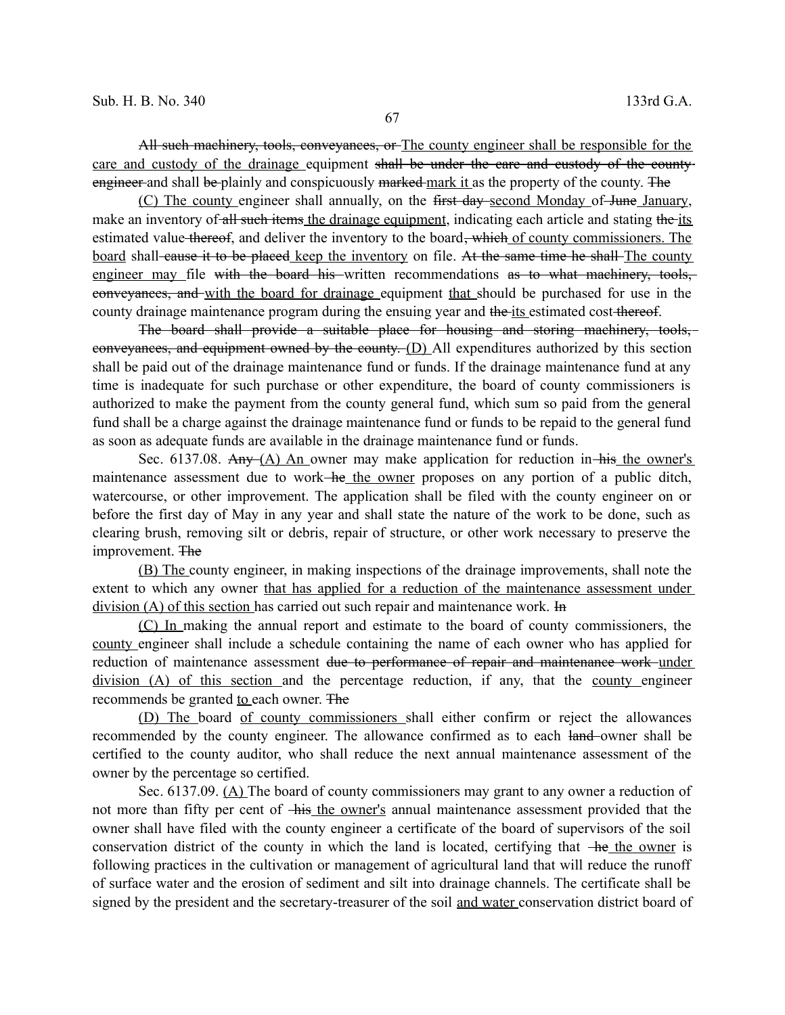All such machinery, tools, conveyances, or The county engineer shall be responsible for the care and custody of the drainage equipment shall be under the care and custody of the countyengineer and shall be plainly and conspicuously marked mark it as the property of the county. The

(C) The county engineer shall annually, on the first day second Monday of June January, make an inventory of all such items the drainage equipment, indicating each article and stating the its estimated value thereof, and deliver the inventory to the board<del>, which</del> of county commissioners. The board shall-cause it to be placed keep the inventory on file. At the same time he shall-The county engineer may file with the board his written recommendations as to what machinery, tools, conveyances, and with the board for drainage equipment that should be purchased for use in the county drainage maintenance program during the ensuing year and the its estimated cost thereof.

The board shall provide a suitable place for housing and storing machinery, tools, conveyances, and equipment owned by the county. (D) All expenditures authorized by this section shall be paid out of the drainage maintenance fund or funds. If the drainage maintenance fund at any time is inadequate for such purchase or other expenditure, the board of county commissioners is authorized to make the payment from the county general fund, which sum so paid from the general fund shall be a charge against the drainage maintenance fund or funds to be repaid to the general fund as soon as adequate funds are available in the drainage maintenance fund or funds.

Sec. 6137.08. Any  $(A)$  An owner may make application for reduction in his the owner's maintenance assessment due to work—he the owner proposes on any portion of a public ditch, watercourse, or other improvement. The application shall be filed with the county engineer on or before the first day of May in any year and shall state the nature of the work to be done, such as clearing brush, removing silt or debris, repair of structure, or other work necessary to preserve the improvement. The

(B) The county engineer, in making inspections of the drainage improvements, shall note the extent to which any owner that has applied for a reduction of the maintenance assessment under division (A) of this section has carried out such repair and maintenance work. In

(C) In making the annual report and estimate to the board of county commissioners, the county engineer shall include a schedule containing the name of each owner who has applied for reduction of maintenance assessment <del>due to performance of repair and maintenance work under</del> division (A) of this section and the percentage reduction, if any, that the county engineer recommends be granted to each owner. The

(D) The board of county commissioners shall either confirm or reject the allowances recommended by the county engineer. The allowance confirmed as to each land-owner shall be certified to the county auditor, who shall reduce the next annual maintenance assessment of the owner by the percentage so certified.

Sec. 6137.09. (A) The board of county commissioners may grant to any owner a reduction of not more than fifty per cent of his the owner's annual maintenance assessment provided that the owner shall have filed with the county engineer a certificate of the board of supervisors of the soil conservation district of the county in which the land is located, certifying that  $-$ he the owner is following practices in the cultivation or management of agricultural land that will reduce the runoff of surface water and the erosion of sediment and silt into drainage channels. The certificate shall be signed by the president and the secretary-treasurer of the soil and water conservation district board of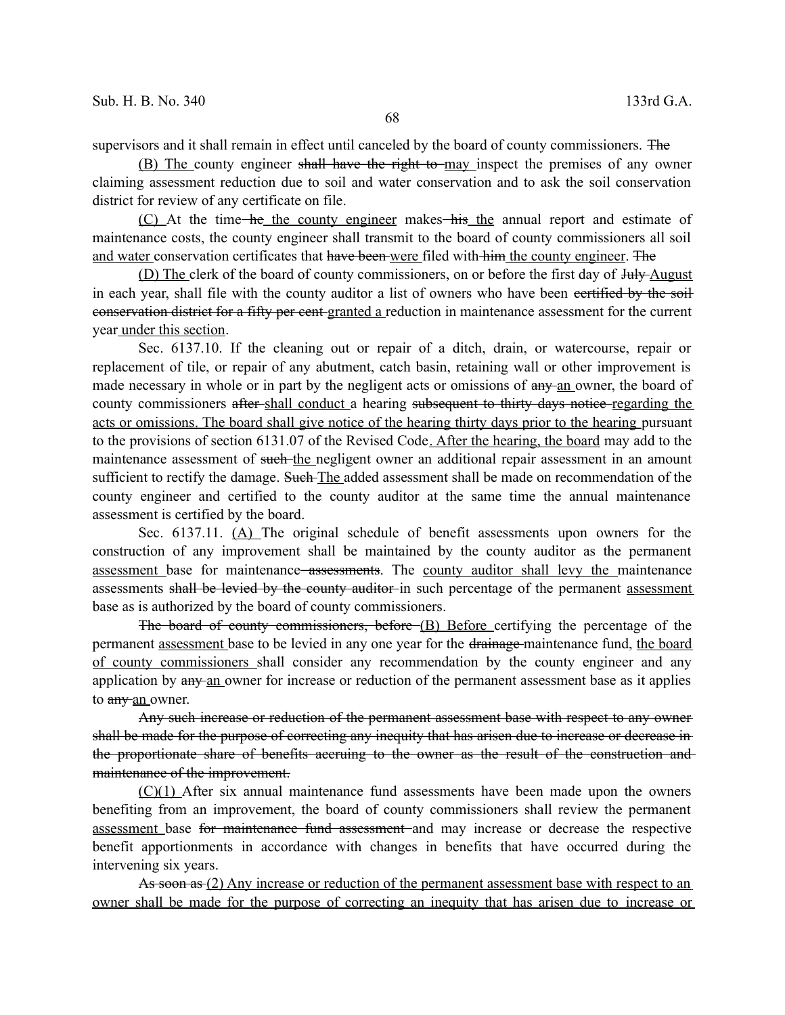supervisors and it shall remain in effect until canceled by the board of county commissioners. The

(B) The county engineer shall have the right to may inspect the premises of any owner claiming assessment reduction due to soil and water conservation and to ask the soil conservation district for review of any certificate on file.

(C) At the time he the county engineer makes his the annual report and estimate of maintenance costs, the county engineer shall transmit to the board of county commissioners all soil and water conservation certificates that have been were filed with him the county engineer. The

(D) The clerk of the board of county commissioners, on or before the first day of July-August in each year, shall file with the county auditor a list of owners who have been certified by the soil conservation district for a fifty per cent granted a reduction in maintenance assessment for the current year under this section.

Sec. 6137.10. If the cleaning out or repair of a ditch, drain, or watercourse, repair or replacement of tile, or repair of any abutment, catch basin, retaining wall or other improvement is made necessary in whole or in part by the negligent acts or omissions of  $\frac{any}{any}$  an owner, the board of county commissioners after-shall conduct a hearing subsequent to thirty days notice regarding the acts or omissions. The board shall give notice of the hearing thirty days prior to the hearing pursuant to the provisions of section 6131.07 of the Revised Code. After the hearing, the board may add to the maintenance assessment of such the negligent owner an additional repair assessment in an amount sufficient to rectify the damage. Such The added assessment shall be made on recommendation of the county engineer and certified to the county auditor at the same time the annual maintenance assessment is certified by the board.

Sec. 6137.11. (A) The original schedule of benefit assessments upon owners for the construction of any improvement shall be maintained by the county auditor as the permanent assessment base for maintenance assessments. The county auditor shall levy the maintenance assessments shall be levied by the county auditor in such percentage of the permanent assessment base as is authorized by the board of county commissioners.

The board of county commissioners, before (B) Before certifying the percentage of the permanent assessment base to be levied in any one year for the drainage maintenance fund, the board of county commissioners shall consider any recommendation by the county engineer and any application by any an owner for increase or reduction of the permanent assessment base as it applies to any an owner.

Any such increase or reduction of the permanent assessment base with respect to any owner shall be made for the purpose of correcting any inequity that has arisen due to increase or decrease in the proportionate share of benefits accruing to the owner as the result of the construction and maintenance of the improvement.

(C)(1) After six annual maintenance fund assessments have been made upon the owners benefiting from an improvement, the board of county commissioners shall review the permanent assessment base for maintenance fund assessment and may increase or decrease the respective benefit apportionments in accordance with changes in benefits that have occurred during the intervening six years.

As soon as (2) Any increase or reduction of the permanent assessment base with respect to an owner shall be made for the purpose of correcting an inequity that has arisen due to increase or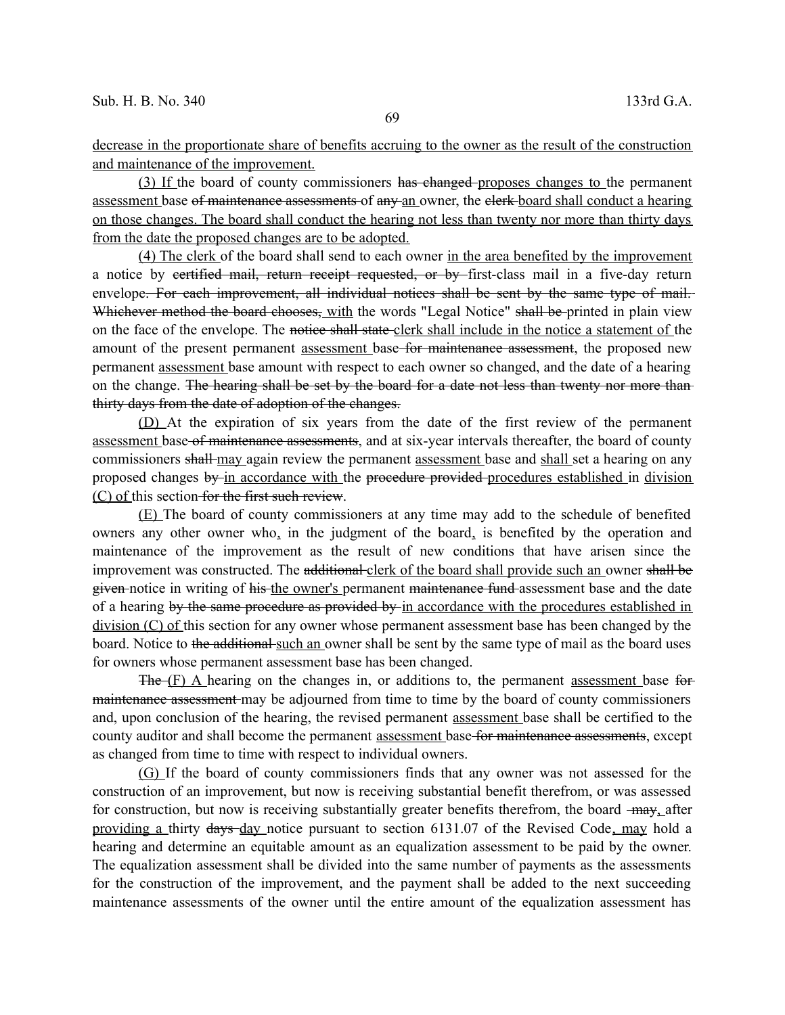decrease in the proportionate share of benefits accruing to the owner as the result of the construction and maintenance of the improvement.

(3) If the board of county commissioners has changed proposes changes to the permanent assessment base of maintenance assessments of any an owner, the elerk-board shall conduct a hearing on those changes. The board shall conduct the hearing not less than twenty nor more than thirty days from the date the proposed changes are to be adopted.

(4) The clerk of the board shall send to each owner in the area benefited by the improvement a notice by eertified mail, return receipt requested, or by first-class mail in a five-day return envelope. For each improvement, all individual notices shall be sent by the same type of mail. Whichever method the board chooses, with the words "Legal Notice" shall be printed in plain view on the face of the envelope. The notice shall state clerk shall include in the notice a statement of the amount of the present permanent assessment base for maintenance assessment, the proposed new permanent assessment base amount with respect to each owner so changed, and the date of a hearing on the change. The hearing shall be set by the board for a date not less than twenty nor more than thirty days from the date of adoption of the changes.

(D) At the expiration of six years from the date of the first review of the permanent assessment base of maintenance assessments, and at six-year intervals thereafter, the board of county commissioners shall-may again review the permanent assessment base and shall set a hearing on any proposed changes by in accordance with the procedure provided procedures established in division (C) of this section for the first such review.

(E) The board of county commissioners at any time may add to the schedule of benefited owners any other owner who, in the judgment of the board, is benefited by the operation and maintenance of the improvement as the result of new conditions that have arisen since the improvement was constructed. The additional clerk of the board shall provide such an owner shall be given notice in writing of his the owner's permanent maintenance fund assessment base and the date of a hearing by the same procedure as provided by in accordance with the procedures established in division (C) of this section for any owner whose permanent assessment base has been changed by the board. Notice to the additional such an owner shall be sent by the same type of mail as the board uses for owners whose permanent assessment base has been changed.

 $The F)$  A hearing on the changes in, or additions to, the permanent assessment base for maintenance assessment may be adjourned from time to time by the board of county commissioners and, upon conclusion of the hearing, the revised permanent assessment base shall be certified to the county auditor and shall become the permanent assessment base for maintenance assessments, except as changed from time to time with respect to individual owners.

(G) If the board of county commissioners finds that any owner was not assessed for the construction of an improvement, but now is receiving substantial benefit therefrom, or was assessed for construction, but now is receiving substantially greater benefits therefrom, the board  $-may$  after providing a thirty days day notice pursuant to section 6131.07 of the Revised Code, may hold a hearing and determine an equitable amount as an equalization assessment to be paid by the owner. The equalization assessment shall be divided into the same number of payments as the assessments for the construction of the improvement, and the payment shall be added to the next succeeding maintenance assessments of the owner until the entire amount of the equalization assessment has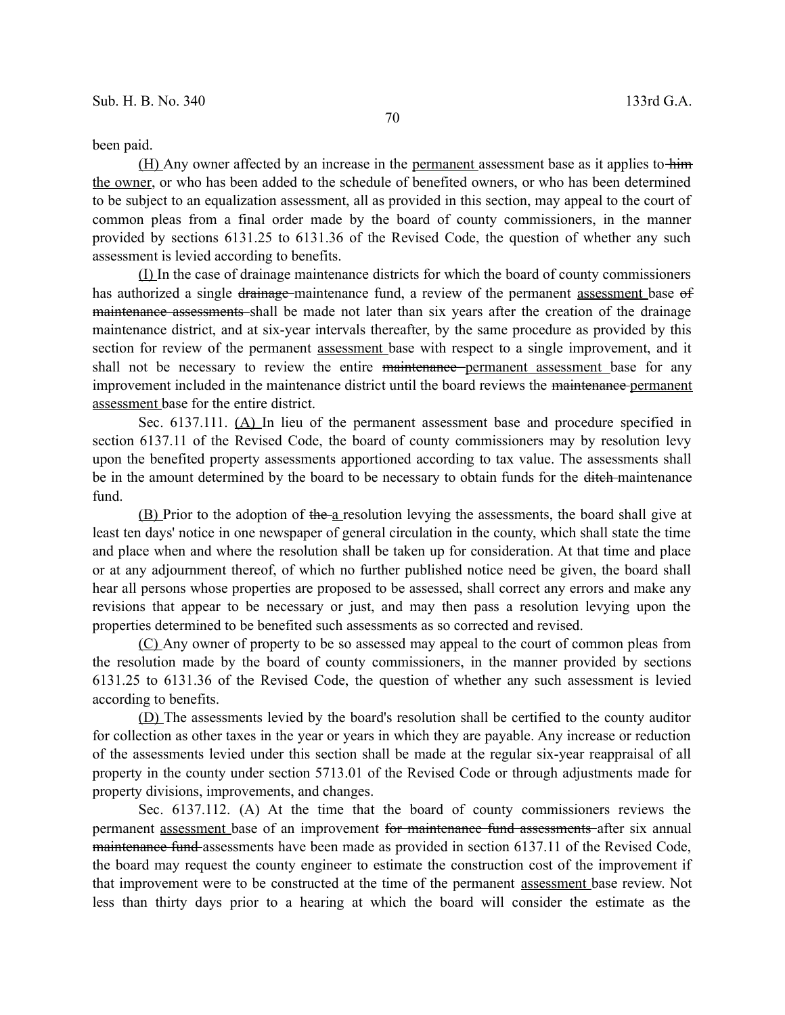## been paid.

(H) Any owner affected by an increase in the permanent assessment base as it applies to him the owner, or who has been added to the schedule of benefited owners, or who has been determined to be subject to an equalization assessment, all as provided in this section, may appeal to the court of common pleas from a final order made by the board of county commissioners, in the manner provided by sections 6131.25 to 6131.36 of the Revised Code, the question of whether any such assessment is levied according to benefits.

(I) In the case of drainage maintenance districts for which the board of county commissioners has authorized a single drainage maintenance fund, a review of the permanent assessment base of maintenance assessments shall be made not later than six years after the creation of the drainage maintenance district, and at six-year intervals thereafter, by the same procedure as provided by this section for review of the permanent assessment base with respect to a single improvement, and it shall not be necessary to review the entire maintenance permanent assessment base for any improvement included in the maintenance district until the board reviews the maintenance permanent assessment base for the entire district.

Sec. 6137.111. (A) In lieu of the permanent assessment base and procedure specified in section 6137.11 of the Revised Code, the board of county commissioners may by resolution levy upon the benefited property assessments apportioned according to tax value. The assessments shall be in the amount determined by the board to be necessary to obtain funds for the ditch-maintenance fund.

(B) Prior to the adoption of the a resolution levying the assessments, the board shall give at least ten days' notice in one newspaper of general circulation in the county, which shall state the time and place when and where the resolution shall be taken up for consideration. At that time and place or at any adjournment thereof, of which no further published notice need be given, the board shall hear all persons whose properties are proposed to be assessed, shall correct any errors and make any revisions that appear to be necessary or just, and may then pass a resolution levying upon the properties determined to be benefited such assessments as so corrected and revised.

(C) Any owner of property to be so assessed may appeal to the court of common pleas from the resolution made by the board of county commissioners, in the manner provided by sections 6131.25 to 6131.36 of the Revised Code, the question of whether any such assessment is levied according to benefits.

(D) The assessments levied by the board's resolution shall be certified to the county auditor for collection as other taxes in the year or years in which they are payable. Any increase or reduction of the assessments levied under this section shall be made at the regular six-year reappraisal of all property in the county under section 5713.01 of the Revised Code or through adjustments made for property divisions, improvements, and changes.

Sec. 6137.112. (A) At the time that the board of county commissioners reviews the permanent assessment base of an improvement for maintenance fund assessments after six annual maintenance fund assessments have been made as provided in section 6137.11 of the Revised Code, the board may request the county engineer to estimate the construction cost of the improvement if that improvement were to be constructed at the time of the permanent assessment base review. Not less than thirty days prior to a hearing at which the board will consider the estimate as the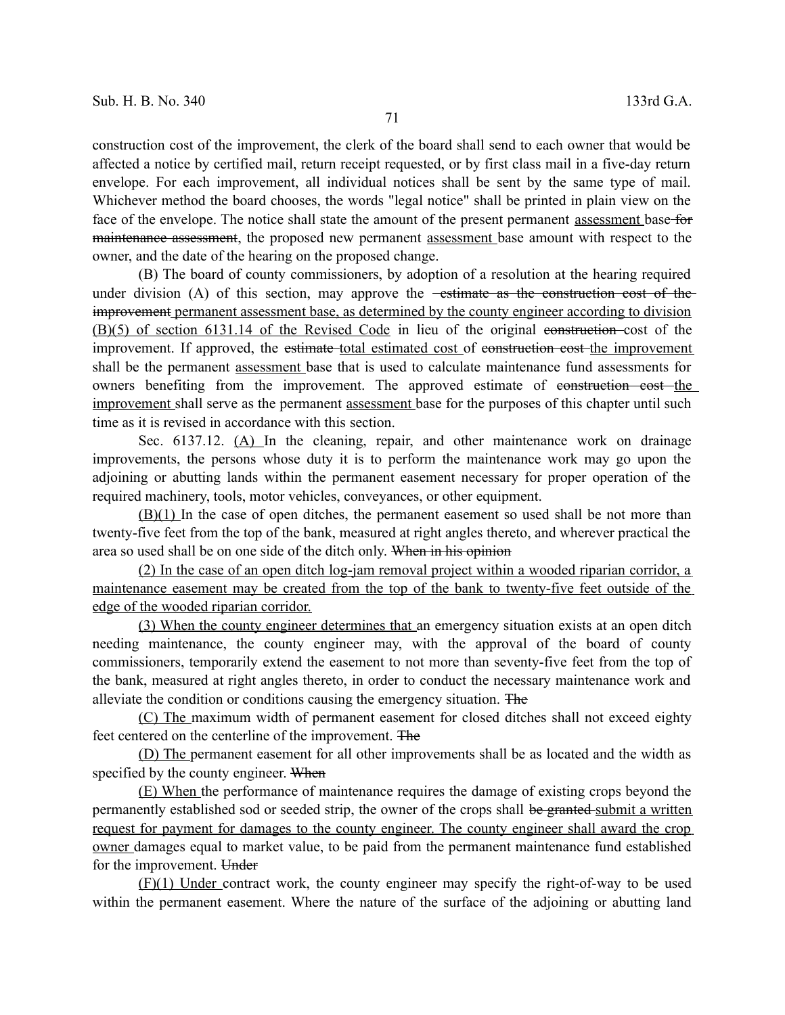construction cost of the improvement, the clerk of the board shall send to each owner that would be affected a notice by certified mail, return receipt requested, or by first class mail in a five-day return envelope. For each improvement, all individual notices shall be sent by the same type of mail. Whichever method the board chooses, the words "legal notice" shall be printed in plain view on the face of the envelope. The notice shall state the amount of the present permanent assessment base for maintenance assessment, the proposed new permanent assessment base amount with respect to the owner, and the date of the hearing on the proposed change.

(B) The board of county commissioners, by adoption of a resolution at the hearing required under division  $(A)$  of this section, may approve the  $-$ estimate as the construction cost of the improvement permanent assessment base, as determined by the county engineer according to division (B)(5) of section 6131.14 of the Revised Code in lieu of the original construction cost of the improvement. If approved, the estimate total estimated cost of construction cost the improvement shall be the permanent assessment base that is used to calculate maintenance fund assessments for owners benefiting from the improvement. The approved estimate of construction cost the improvement shall serve as the permanent assessment base for the purposes of this chapter until such time as it is revised in accordance with this section.

Sec. 6137.12. (A) In the cleaning, repair, and other maintenance work on drainage improvements, the persons whose duty it is to perform the maintenance work may go upon the adjoining or abutting lands within the permanent easement necessary for proper operation of the required machinery, tools, motor vehicles, conveyances, or other equipment.

(B)(1) In the case of open ditches, the permanent easement so used shall be not more than twenty-five feet from the top of the bank, measured at right angles thereto, and wherever practical the area so used shall be on one side of the ditch only. When in his opinion

(2) In the case of an open ditch log-jam removal project within a wooded riparian corridor, a maintenance easement may be created from the top of the bank to twenty-five feet outside of the edge of the wooded riparian corridor.

(3) When the county engineer determines that an emergency situation exists at an open ditch needing maintenance, the county engineer may, with the approval of the board of county commissioners, temporarily extend the easement to not more than seventy-five feet from the top of the bank, measured at right angles thereto, in order to conduct the necessary maintenance work and alleviate the condition or conditions causing the emergency situation. The

(C) The maximum width of permanent easement for closed ditches shall not exceed eighty feet centered on the centerline of the improvement. The

(D) The permanent easement for all other improvements shall be as located and the width as specified by the county engineer. When

(E) When the performance of maintenance requires the damage of existing crops beyond the permanently established sod or seeded strip, the owner of the crops shall be granted submit a written request for payment for damages to the county engineer. The county engineer shall award the crop owner damages equal to market value, to be paid from the permanent maintenance fund established for the improvement. Under

(F)(1) Under contract work, the county engineer may specify the right-of-way to be used within the permanent easement. Where the nature of the surface of the adjoining or abutting land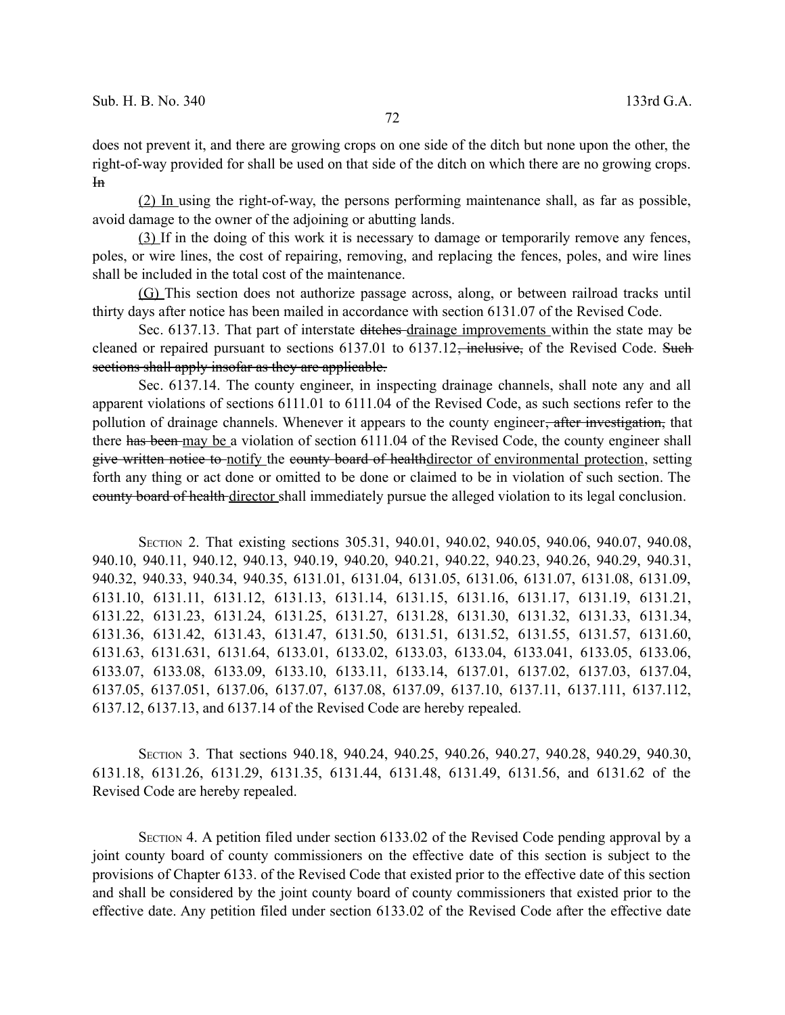does not prevent it, and there are growing crops on one side of the ditch but none upon the other, the right-of-way provided for shall be used on that side of the ditch on which there are no growing crops.  $H<sub>n</sub>$ 

(2) In using the right-of-way, the persons performing maintenance shall, as far as possible, avoid damage to the owner of the adjoining or abutting lands.

(3) If in the doing of this work it is necessary to damage or temporarily remove any fences, poles, or wire lines, the cost of repairing, removing, and replacing the fences, poles, and wire lines shall be included in the total cost of the maintenance.

(G) This section does not authorize passage across, along, or between railroad tracks until thirty days after notice has been mailed in accordance with section 6131.07 of the Revised Code.

Sec. 6137.13. That part of interstate ditches-drainage improvements within the state may be cleaned or repaired pursuant to sections  $6137.01$  to  $6137.12$ , inclusive, of the Revised Code. Such sections shall apply insofar as they are applicable.

Sec. 6137.14. The county engineer, in inspecting drainage channels, shall note any and all apparent violations of sections 6111.01 to 6111.04 of the Revised Code, as such sections refer to the pollution of drainage channels. Whenever it appears to the county engineer<del>, after investigation,</del> that there has been may be a violation of section 6111.04 of the Revised Code, the county engineer shall give written notice to notify the county board of healthdirector of environmental protection, setting forth any thing or act done or omitted to be done or claimed to be in violation of such section. The county board of health director shall immediately pursue the alleged violation to its legal conclusion.

SECTION 2. That existing sections 305.31, 940.01, 940.02, 940.05, 940.06, 940.07, 940.08, 940.10, 940.11, 940.12, 940.13, 940.19, 940.20, 940.21, 940.22, 940.23, 940.26, 940.29, 940.31, 940.32, 940.33, 940.34, 940.35, 6131.01, 6131.04, 6131.05, 6131.06, 6131.07, 6131.08, 6131.09, 6131.10, 6131.11, 6131.12, 6131.13, 6131.14, 6131.15, 6131.16, 6131.17, 6131.19, 6131.21, 6131.22, 6131.23, 6131.24, 6131.25, 6131.27, 6131.28, 6131.30, 6131.32, 6131.33, 6131.34, 6131.36, 6131.42, 6131.43, 6131.47, 6131.50, 6131.51, 6131.52, 6131.55, 6131.57, 6131.60, 6131.63, 6131.631, 6131.64, 6133.01, 6133.02, 6133.03, 6133.04, 6133.041, 6133.05, 6133.06, 6133.07, 6133.08, 6133.09, 6133.10, 6133.11, 6133.14, 6137.01, 6137.02, 6137.03, 6137.04, 6137.05, 6137.051, 6137.06, 6137.07, 6137.08, 6137.09, 6137.10, 6137.11, 6137.111, 6137.112, 6137.12, 6137.13, and 6137.14 of the Revised Code are hereby repealed.

SECTION 3. That sections 940.18, 940.24, 940.25, 940.26, 940.27, 940.28, 940.29, 940.30, 6131.18, 6131.26, 6131.29, 6131.35, 6131.44, 6131.48, 6131.49, 6131.56, and 6131.62 of the Revised Code are hereby repealed.

SECTION 4. A petition filed under section 6133.02 of the Revised Code pending approval by a joint county board of county commissioners on the effective date of this section is subject to the provisions of Chapter 6133. of the Revised Code that existed prior to the effective date of this section and shall be considered by the joint county board of county commissioners that existed prior to the effective date. Any petition filed under section 6133.02 of the Revised Code after the effective date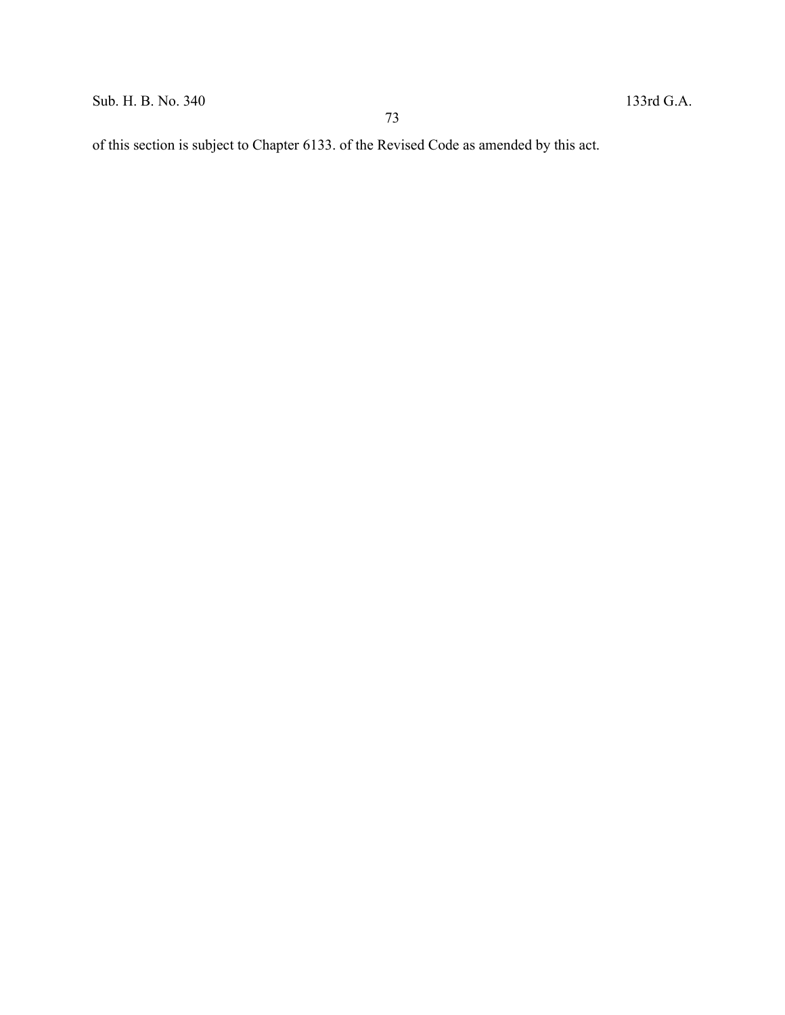Sub. H. B. No. 340 133rd G.A.

of this section is subject to Chapter 6133. of the Revised Code as amended by this act.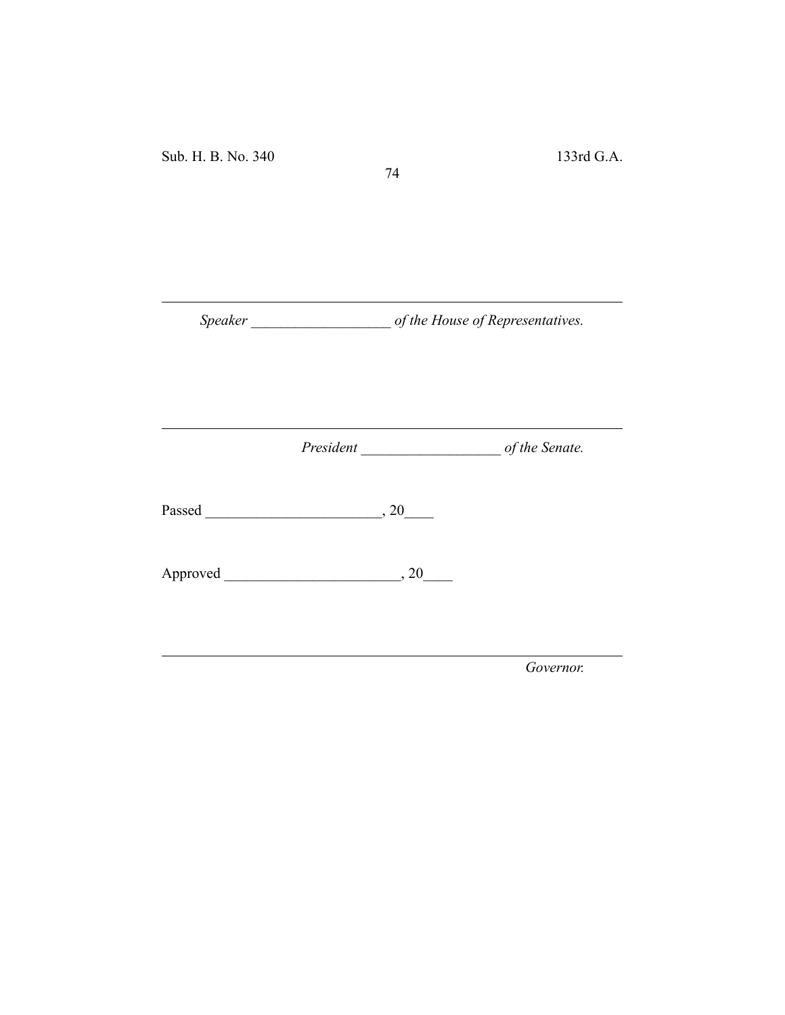Sub. H. B. No. 340 133rd G.A.

*Speaker \_\_\_\_\_\_\_\_\_\_\_\_\_\_\_\_\_\_\_ of the House of Representatives.*

74

*President \_\_\_\_\_\_\_\_\_\_\_\_\_\_\_\_\_\_\_ of the Senate.*

Passed \_\_\_\_\_\_\_\_\_\_\_\_\_\_\_\_\_\_\_\_\_\_\_\_, 20\_\_\_\_

Approved \_\_\_\_\_\_\_\_\_\_\_\_\_\_\_\_\_\_\_\_\_\_\_\_, 20\_\_\_\_

*Governor.*